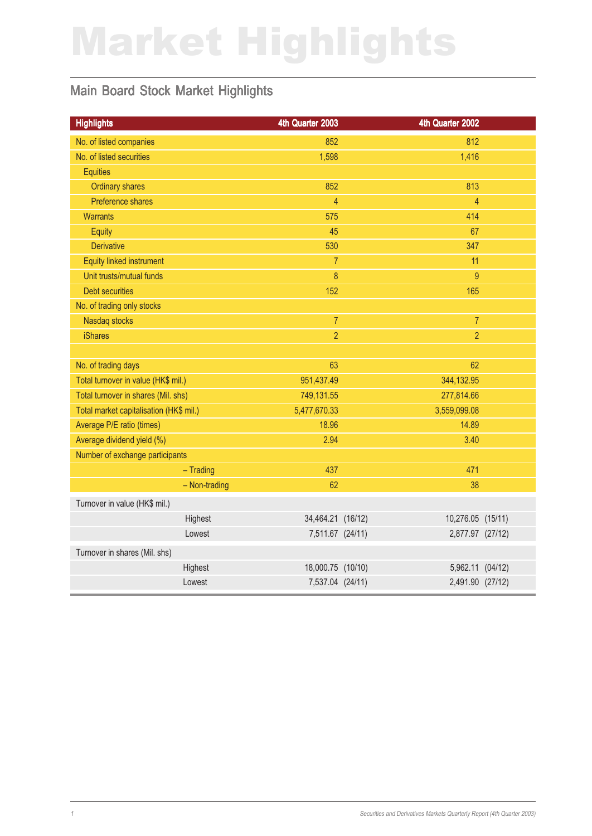# Market Highlights

#### Main Board Stock Market Highlights

| <b>Highlights</b>                       | 4th Quarter 2003  | 4th Quarter 2002  |  |
|-----------------------------------------|-------------------|-------------------|--|
| No. of listed companies                 | 852               | 812               |  |
| No. of listed securities                | 1,598             | 1,416             |  |
| <b>Equities</b>                         |                   |                   |  |
| <b>Ordinary shares</b>                  | 852               | 813               |  |
| Preference shares                       | $\overline{4}$    | $\overline{4}$    |  |
| <b>Warrants</b>                         | 575               | 414               |  |
| Equity                                  | 45                | 67                |  |
| <b>Derivative</b>                       | 530               | 347               |  |
| Equity linked instrument                | $\overline{7}$    | 11                |  |
| Unit trusts/mutual funds                | 8                 | 9                 |  |
| <b>Debt securities</b>                  | 152               | 165               |  |
| No. of trading only stocks              |                   |                   |  |
| Nasdaq stocks                           | $\overline{7}$    | $\overline{7}$    |  |
| <b>iShares</b>                          | $\overline{2}$    | $\overline{2}$    |  |
|                                         |                   |                   |  |
| No. of trading days                     | 63                | 62                |  |
| Total turnover in value (HK\$ mil.)     | 951,437.49        | 344,132.95        |  |
| Total turnover in shares (Mil. shs)     | 749,131.55        | 277,814.66        |  |
| Total market capitalisation (HK\$ mil.) | 5,477,670.33      | 3,559,099.08      |  |
| Average P/E ratio (times)               | 18.96             | 14.89             |  |
| Average dividend yield (%)              | 2.94              | 3.40              |  |
| Number of exchange participants         |                   |                   |  |
| $-$ Trading                             | 437               | 471               |  |
| - Non-trading                           | 62                | 38                |  |
| Turnover in value (HK\$ mil.)           |                   |                   |  |
| Highest                                 | 34,464.21 (16/12) | 10,276.05 (15/11) |  |
| Lowest                                  | 7,511.67 (24/11)  | 2,877.97 (27/12)  |  |
| Turnover in shares (Mil. shs)           |                   |                   |  |
| Highest                                 | 18,000.75 (10/10) | 5,962.11 (04/12)  |  |
| Lowest                                  | 7,537.04 (24/11)  | 2,491.90 (27/12)  |  |
|                                         |                   |                   |  |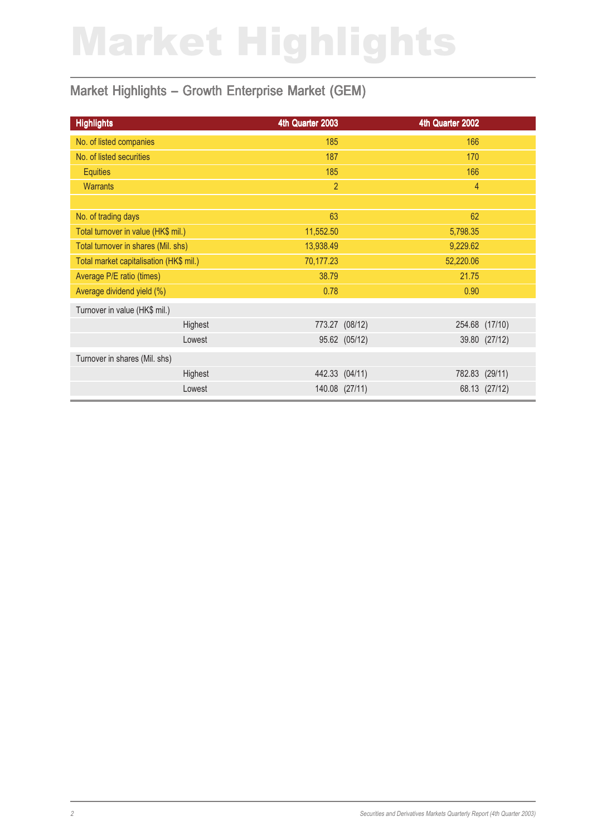# Market Highlights

#### Market Highlights - Growth Enterprise Market (GEM)

| <b>Highlights</b>                       | 4th Quarter 2003 |                | 4th Quarter 2002 |                |
|-----------------------------------------|------------------|----------------|------------------|----------------|
| No. of listed companies                 | 185              |                | 166              |                |
| No. of listed securities                | 187              |                | 170              |                |
| <b>Equities</b>                         | 185              |                | 166              |                |
| <b>Warrants</b>                         | $\overline{2}$   |                | 4                |                |
|                                         |                  |                |                  |                |
| No. of trading days                     | 63               |                | 62               |                |
| Total turnover in value (HK\$ mil.)     | 11,552.50        |                | 5,798.35         |                |
| Total turnover in shares (Mil. shs)     | 13,938.49        |                | 9,229.62         |                |
| Total market capitalisation (HK\$ mil.) | 70,177.23        |                | 52,220.06        |                |
| Average P/E ratio (times)               | 38.79            |                | 21.75            |                |
| Average dividend yield (%)              | 0.78             |                | 0.90             |                |
| Turnover in value (HK\$ mil.)           |                  |                |                  |                |
| Highest                                 |                  | 773.27 (08/12) | 254.68           | (17/10)        |
| Lowest                                  |                  | 95.62 (05/12)  |                  | 39.80 (27/12)  |
| Turnover in shares (Mil. shs)           |                  |                |                  |                |
| Highest                                 | 442.33 (04/11)   |                |                  | 782.83 (29/11) |
| Lowest                                  |                  | 140.08 (27/11) |                  | 68.13 (27/12)  |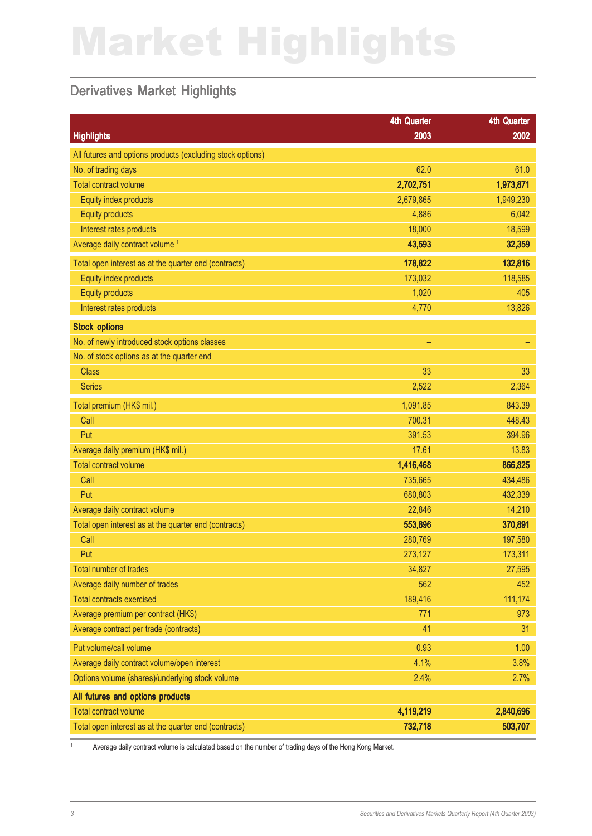# Market Highlights

#### Derivatives Market Highlights

|                                                            | <b>4th Quarter</b> | <b>4th Quarter</b> |
|------------------------------------------------------------|--------------------|--------------------|
| <b>Highlights</b>                                          | 2003               | 2002               |
| All futures and options products (excluding stock options) |                    |                    |
| No. of trading days                                        | 62.0               | 61.0               |
| <b>Total contract volume</b>                               | 2,702,751          | 1,973,871          |
| Equity index products                                      | 2,679,865          | 1,949,230          |
| <b>Equity products</b>                                     | 4,886              | 6,042              |
| Interest rates products                                    | 18,000             | 18,599             |
| Average daily contract volume <sup>1</sup>                 | 43,593             | 32,359             |
| Total open interest as at the quarter end (contracts)      | 178,822            | 132,816            |
| Equity index products                                      | 173,032            | 118,585            |
| <b>Equity products</b>                                     | 1,020              | 405                |
| Interest rates products                                    | 4,770              | 13,826             |
| <b>Stock options</b>                                       |                    |                    |
| No. of newly introduced stock options classes              | ۳                  |                    |
| No. of stock options as at the quarter end                 |                    |                    |
| <b>Class</b>                                               | 33                 | 33                 |
| <b>Series</b>                                              | 2,522              | 2,364              |
| Total premium (HK\$ mil.)                                  | 1,091.85           | 843.39             |
| Call                                                       | 700.31             | 448.43             |
| Put                                                        | 391.53             | 394.96             |
| Average daily premium (HK\$ mil.)                          | 17.61              | 13.83              |
| <b>Total contract volume</b>                               | 1,416,468          | 866,825            |
| Call                                                       | 735,665            | 434,486            |
| Put                                                        | 680,803            | 432,339            |
| Average daily contract volume                              | 22,846             | 14,210             |
| Total open interest as at the quarter end (contracts)      | 553,896            | 370,891            |
| Call                                                       | 280,769            | 197,580            |
| Put                                                        | 273,127            | 173,311            |
| <b>Total number of trades</b>                              | 34,827             | 27,595             |
| Average daily number of trades                             | 562                | 452                |
| <b>Total contracts exercised</b>                           | 189,416            | 111,174            |
| Average premium per contract (HK\$)                        | 771                | 973                |
| Average contract per trade (contracts)                     | 41                 | 31                 |
| Put volume/call volume                                     | 0.93               | 1.00               |
| Average daily contract volume/open interest                | 4.1%               | 3.8%               |
| Options volume (shares)/underlying stock volume            | 2.4%               | 2.7%               |
| All futures and options products                           |                    |                    |
| <b>Total contract volume</b>                               | 4,119,219          | 2,840,696          |
| Total open interest as at the quarter end (contracts)      | 732,718            | 503,707            |

1 Average daily contract volume is calculated based on the number of trading days of the Hong Kong Market.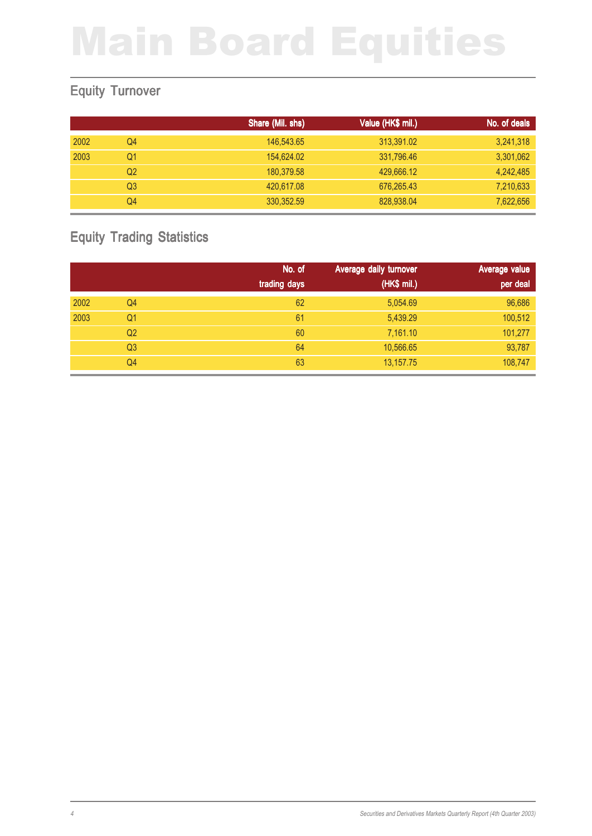#### Equity Turnover

|      |    | Share (Mil. shs) | Value (HK\$ mil.) | No. of deals |
|------|----|------------------|-------------------|--------------|
| 2002 | Q4 | 146,543.65       | 313,391.02        | 3,241,318    |
| 2003 | Q1 | 154,624.02       | 331,796.46        | 3,301,062    |
|      | Q2 | 180,379.58       | 429,666.12        | 4,242,485    |
|      | Q3 | 420,617.08       | 676,265.43        | 7,210,633    |
|      | Q4 | 330, 352.59      | 828,938.04        | 7,622,656    |

#### Equity Trading Statistics

|      |                | No. of       | Average daily turnover | Average value |
|------|----------------|--------------|------------------------|---------------|
|      |                | trading days | (HK\$ mil.)            | per deal      |
| 2002 | Q4             | 62           | 5,054.69               | 96,686        |
| 2003 | Q1             | 61           | 5,439.29               | 100,512       |
|      | Q <sub>2</sub> | 60           | 7,161.10               | 101,277       |
|      | Q <sub>3</sub> | 64           | 10,566.65              | 93,787        |
|      | Q4             | 63           | 13,157.75              | 108,747       |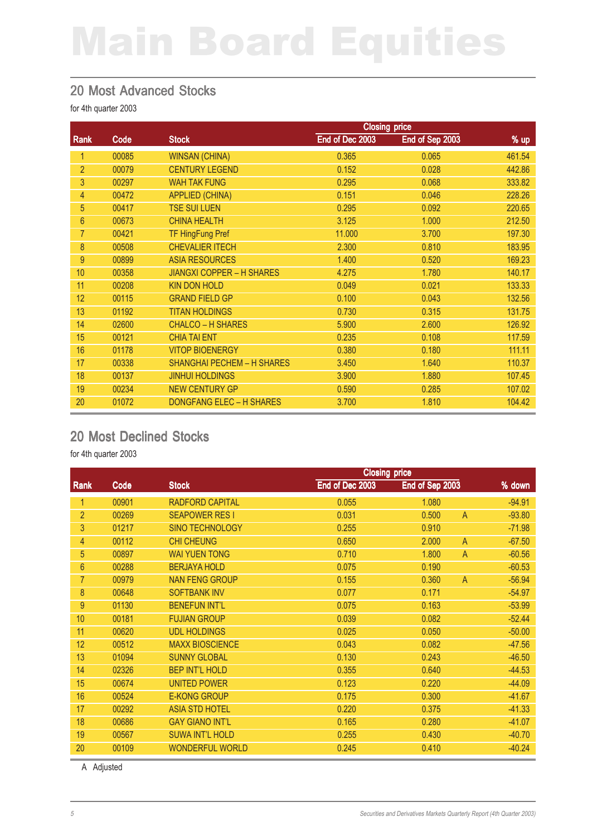#### 20 Most Advanced Stocks

for 4th quarter 2003

|                |       | <b>Closing price</b>              |                 |                 |        |
|----------------|-------|-----------------------------------|-----------------|-----------------|--------|
| Rank           | Code  | <b>Stock</b>                      | End of Dec 2003 | End of Sep 2003 | $%$ up |
| 1              | 00085 | <b>WINSAN (CHINA)</b>             | 0.365           | 0.065           | 461.54 |
| $\overline{2}$ | 00079 | <b>CENTURY LEGEND</b>             | 0.152           | 0.028           | 442.86 |
| 3              | 00297 | <b>WAH TAK FUNG</b>               | 0.295           | 0.068           | 333.82 |
| 4              | 00472 | <b>APPLIED (CHINA)</b>            | 0.151           | 0.046           | 228.26 |
| 5              | 00417 | <b>TSE SUI LUEN</b>               | 0.295           | 0.092           | 220.65 |
| $6\phantom{1}$ | 00673 | <b>CHINA HEALTH</b>               | 3.125           | 1.000           | 212.50 |
| $\overline{7}$ | 00421 | <b>TF HingFung Pref</b>           | 11.000          | 3.700           | 197.30 |
| 8              | 00508 | <b>CHEVALIER ITECH</b>            | 2.300           | 0.810           | 183.95 |
| 9              | 00899 | <b>ASIA RESOURCES</b>             | 1.400           | 0.520           | 169.23 |
| 10             | 00358 | <b>JIANGXI COPPER - H SHARES</b>  | 4.275           | 1.780           | 140.17 |
| 11             | 00208 | <b>KIN DON HOLD</b>               | 0.049           | 0.021           | 133.33 |
| 12             | 00115 | <b>GRAND FIELD GP</b>             | 0.100           | 0.043           | 132.56 |
| 13             | 01192 | <b>TITAN HOLDINGS</b>             | 0.730           | 0.315           | 131.75 |
| 14             | 02600 | <b>CHALCO - H SHARES</b>          | 5.900           | 2.600           | 126.92 |
| 15             | 00121 | <b>CHIA TAI ENT</b>               | 0.235           | 0.108           | 117.59 |
| 16             | 01178 | <b>VITOP BIOENERGY</b>            | 0.380           | 0.180           | 111.11 |
| 17             | 00338 | <b>SHANGHAI PECHEM - H SHARES</b> | 3.450           | 1.640           | 110.37 |
| 18             | 00137 | <b>JINHUI HOLDINGS</b>            | 3.900           | 1.880           | 107.45 |
| 19             | 00234 | <b>NEW CENTURY GP</b>             | 0.590           | 0.285           | 107.02 |
| 20             | 01072 | <b>DONGFANG ELEC - H SHARES</b>   | 3.700           | 1.810           | 104.42 |

#### 20 Most Declined Stocks

for 4th quarter 2003

|                |       |                        | <b>Closing price</b> |                 |                |          |
|----------------|-------|------------------------|----------------------|-----------------|----------------|----------|
| <b>Rank</b>    | Code  | <b>Stock</b>           | End of Dec 2003      | End of Sep 2003 |                | % down   |
| 1              | 00901 | <b>RADFORD CAPITAL</b> | 0.055                | 1.080           |                | $-94.91$ |
| $\overline{2}$ | 00269 | <b>SEAPOWER RESI</b>   | 0.031                | 0.500           | A              | $-93.80$ |
| 3              | 01217 | <b>SINO TECHNOLOGY</b> | 0.255                | 0.910           |                | $-71.98$ |
| 4              | 00112 | <b>CHI CHEUNG</b>      | 0.650                | 2.000           | $\overline{A}$ | $-67.50$ |
| 5              | 00897 | <b>WAI YUEN TONG</b>   | 0.710                | 1.800           | $\overline{A}$ | $-60.56$ |
| 6              | 00288 | <b>BERJAYA HOLD</b>    | 0.075                | 0.190           |                | $-60.53$ |
| $\overline{7}$ | 00979 | <b>NAN FENG GROUP</b>  | 0.155                | 0.360           | $\mathsf{A}$   | $-56.94$ |
| 8              | 00648 | <b>SOFTBANK INV</b>    | 0.077                | 0.171           |                | $-54.97$ |
| 9              | 01130 | <b>BENEFUN INT'L</b>   | 0.075                | 0.163           |                | $-53.99$ |
| 10             | 00181 | <b>FUJIAN GROUP</b>    | 0.039                | 0.082           |                | $-52.44$ |
| 11             | 00620 | <b>UDL HOLDINGS</b>    | 0.025                | 0.050           |                | $-50.00$ |
| 12             | 00512 | <b>MAXX BIOSCIENCE</b> | 0.043                | 0.082           |                | $-47.56$ |
| 13             | 01094 | <b>SUNNY GLOBAL</b>    | 0.130                | 0.243           |                | $-46.50$ |
| 14             | 02326 | <b>BEP INT'L HOLD</b>  | 0.355                | 0.640           |                | $-44.53$ |
| 15             | 00674 | <b>UNITED POWER</b>    | 0.123                | 0.220           |                | $-44.09$ |
| 16             | 00524 | <b>E-KONG GROUP</b>    | 0.175                | 0.300           |                | $-41.67$ |
| 17             | 00292 | <b>ASIA STD HOTEL</b>  | 0.220                | 0.375           |                | $-41.33$ |
| 18             | 00686 | <b>GAY GIANO INT'L</b> | 0.165                | 0.280           |                | $-41.07$ |
| 19             | 00567 | <b>SUWA INT'L HOLD</b> | 0.255                | 0.430           |                | $-40.70$ |
| 20             | 00109 | <b>WONDERFUL WORLD</b> | 0.245                | 0.410           |                | $-40.24$ |

A Adjusted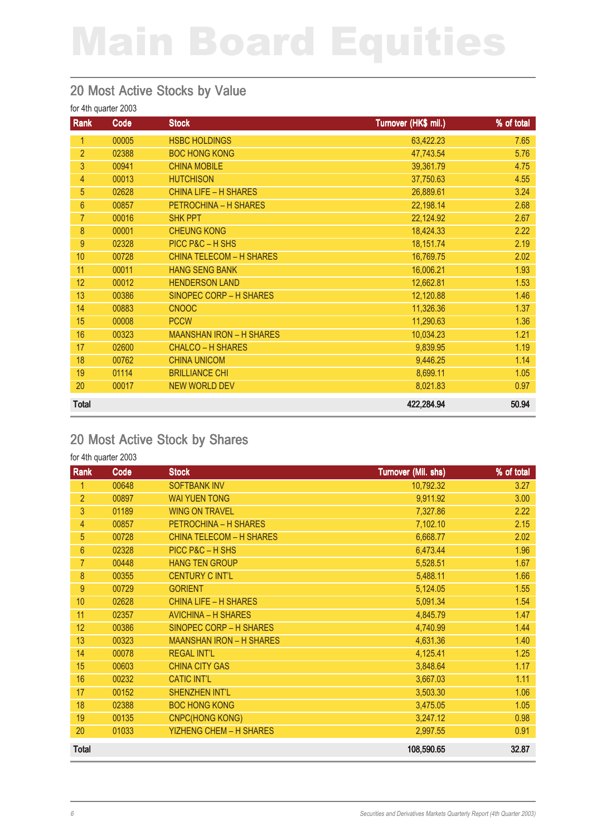#### 20 Most Active Stocks by Value

for 4th quarter 2003

| Rank           | Code  | <b>Stock</b>                    | Turnover (HK\$ mil.) | % of total |
|----------------|-------|---------------------------------|----------------------|------------|
| 1              | 00005 | <b>HSBC HOLDINGS</b>            | 63,422.23            | 7.65       |
| $\overline{2}$ | 02388 | <b>BOC HONG KONG</b>            | 47,743.54            | 5.76       |
| 3              | 00941 | <b>CHINA MOBILE</b>             | 39,361.79            | 4.75       |
| 4              | 00013 | <b>HUTCHISON</b>                | 37,750.63            | 4.55       |
| 5              | 02628 | <b>CHINA LIFE - H SHARES</b>    | 26,889.61            | 3.24       |
| 6              | 00857 | PETROCHINA - H SHARES           | 22,198.14            | 2.68       |
| $\overline{7}$ | 00016 | <b>SHK PPT</b>                  | 22,124.92            | 2.67       |
| 8              | 00001 | <b>CHEUNG KONG</b>              | 18,424.33            | 2.22       |
| 9              | 02328 | PICC P&C - H SHS                | 18,151.74            | 2.19       |
| 10             | 00728 | <b>CHINA TELECOM - H SHARES</b> | 16,769.75            | 2.02       |
| 11             | 00011 | <b>HANG SENG BANK</b>           | 16,006.21            | 1.93       |
| 12             | 00012 | <b>HENDERSON LAND</b>           | 12,662.81            | 1.53       |
| 13             | 00386 | SINOPEC CORP - H SHARES         | 12,120.88            | 1.46       |
| 14             | 00883 | <b>CNOOC</b>                    | 11,326.36            | 1.37       |
| 15             | 00008 | <b>PCCW</b>                     | 11,290.63            | 1.36       |
| 16             | 00323 | <b>MAANSHAN IRON - H SHARES</b> | 10,034.23            | 1.21       |
| 17             | 02600 | <b>CHALCO – H SHARES</b>        | 9,839.95             | 1.19       |
| 18             | 00762 | <b>CHINA UNICOM</b>             | 9,446.25             | 1.14       |
| 19             | 01114 | <b>BRILLIANCE CHI</b>           | 8,699.11             | 1.05       |
| 20             | 00017 | <b>NEW WORLD DEV</b>            | 8,021.83             | 0.97       |
| <b>Total</b>   |       |                                 | 422,284.94           | 50.94      |

#### 20 Most Active Stock by Shares

| Rank             | Code  | <b>Stock</b>                    | Turnover (Mil. shs) | % of total |
|------------------|-------|---------------------------------|---------------------|------------|
| 1                | 00648 | <b>SOFTBANK INV</b>             | 10,792.32           | 3.27       |
| $\overline{2}$   | 00897 | <b>WAI YUEN TONG</b>            | 9,911.92            | 3.00       |
| $\mathbf{3}$     | 01189 | <b>WING ON TRAVEL</b>           | 7,327.86            | 2.22       |
| $\overline{4}$   | 00857 | PETROCHINA - H SHARES           | 7,102.10            | 2.15       |
| 5                | 00728 | <b>CHINA TELECOM - H SHARES</b> | 6,668.77            | 2.02       |
| $6\phantom{1}$   | 02328 | PICC P&C - H SHS                | 6,473.44            | 1.96       |
| $\overline{7}$   | 00448 | <b>HANG TEN GROUP</b>           | 5,528.51            | 1.67       |
| $\boldsymbol{8}$ | 00355 | <b>CENTURY CINT'L</b>           | 5,488.11            | 1.66       |
| 9                | 00729 | <b>GORIENT</b>                  | 5,124.05            | 1.55       |
| 10               | 02628 | <b>CHINA LIFE - H SHARES</b>    | 5,091.34            | 1.54       |
| 11               | 02357 | <b>AVICHINA - H SHARES</b>      | 4,845.79            | 1.47       |
| 12               | 00386 | SINOPEC CORP - H SHARES         | 4,740.99            | 1.44       |
| 13               | 00323 | <b>MAANSHAN IRON - H SHARES</b> | 4,631.36            | 1.40       |
| 14               | 00078 | <b>REGAL INT'L</b>              | 4,125.41            | 1.25       |
| 15               | 00603 | <b>CHINA CITY GAS</b>           | 3,848.64            | 1.17       |
| 16               | 00232 | <b>CATIC INT'L</b>              | 3,667.03            | 1.11       |
| 17               | 00152 | <b>SHENZHEN INT'L</b>           | 3,503.30            | 1.06       |
| 18               | 02388 | <b>BOC HONG KONG</b>            | 3,475.05            | 1.05       |
| 19               | 00135 | <b>CNPC(HONG KONG)</b>          | 3,247.12            | 0.98       |
| 20               | 01033 | <b>YIZHENG CHEM - H SHARES</b>  | 2,997.55            | 0.91       |
| <b>Total</b>     |       |                                 | 108,590.65          | 32.87      |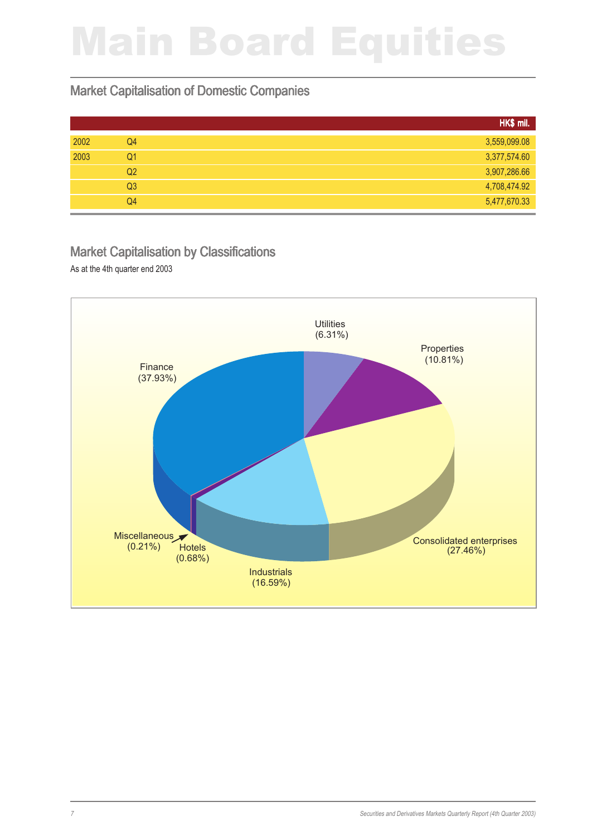#### Market Capitalisation of Domestic Companies

|      |                | HK\$ mil.    |
|------|----------------|--------------|
| 2002 | Q4             | 3,559,099.08 |
| 2003 | Q <sub>1</sub> | 3,377,574.60 |
|      | Q <sub>2</sub> | 3,907,286.66 |
|      | Q <sub>3</sub> | 4,708,474.92 |
|      | Q <sub>4</sub> | 5,477,670.33 |
|      |                |              |

#### Market Capitalisation by Classifications

As at the 4th quarter end 2003

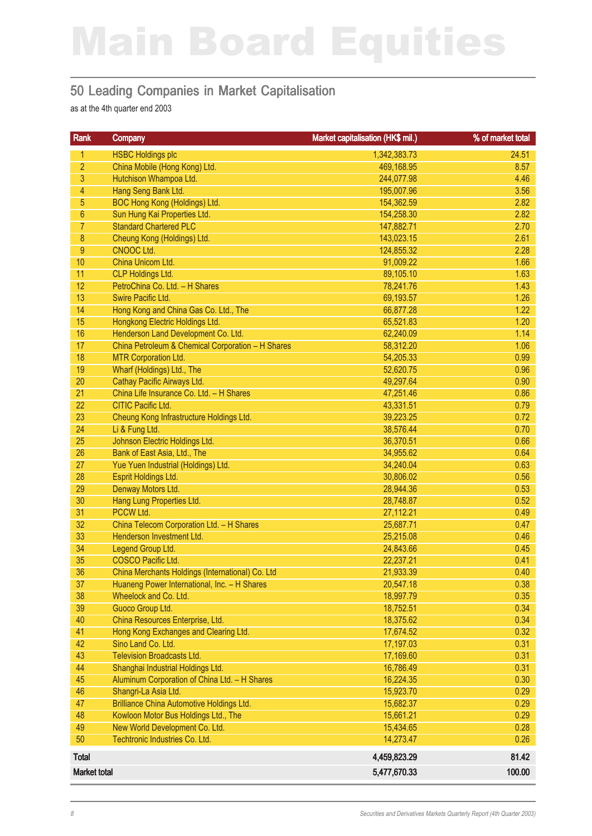#### 50 Leading Companies in Market Capitalisation

as at the 4th quarter end 2003

| Rank                | Company                                           | Market capitalisation (HK\$ mil.) | % of market total |
|---------------------|---------------------------------------------------|-----------------------------------|-------------------|
| 1                   | <b>HSBC Holdings plc</b>                          | 1,342,383.73                      | 24.51             |
| $\overline{2}$      | China Mobile (Hong Kong) Ltd.                     | 469,168.95                        | 8.57              |
| 3                   | Hutchison Whampoa Ltd.                            | 244,077.98                        | 4.46              |
| 4                   | Hang Seng Bank Ltd.                               | 195,007.96                        | 3.56              |
| 5                   | BOC Hong Kong (Holdings) Ltd.                     | 154,362.59                        | 2.82              |
| $6\phantom{.}$      | Sun Hung Kai Properties Ltd.                      | 154,258.30                        | 2.82              |
| $\overline{7}$      | <b>Standard Chartered PLC</b>                     | 147,882.71                        | 2.70              |
| 8                   | Cheung Kong (Holdings) Ltd.                       | 143,023.15                        | 2.61              |
| 9                   | CNOOC Ltd.                                        | 124,855.32                        | 2.28              |
| 10                  | China Unicom Ltd.                                 | 91,009.22                         | 1.66              |
| 11                  | <b>CLP Holdings Ltd.</b>                          | 89,105.10                         | 1.63              |
| 12                  | PetroChina Co. Ltd. - H Shares                    | 78,241.76                         | 1.43              |
| 13                  | Swire Pacific Ltd.                                | 69,193.57                         | 1.26              |
| 14                  | Hong Kong and China Gas Co. Ltd., The             | 66,877.28                         | 1.22              |
| 15                  | Hongkong Electric Holdings Ltd.                   | 65,521.83                         | 1.20              |
| 16                  | Henderson Land Development Co. Ltd.               | 62,240.09                         | 1.14              |
| 17                  | China Petroleum & Chemical Corporation - H Shares | 58,312.20                         | 1.06              |
| 18                  | <b>MTR Corporation Ltd.</b>                       | 54,205.33                         | 0.99              |
| 19                  | Wharf (Holdings) Ltd., The                        | 52,620.75                         | 0.96              |
| 20                  | Cathay Pacific Airways Ltd.                       | 49,297.64                         | 0.90              |
| 21                  | China Life Insurance Co. Ltd. - H Shares          | 47,251.46                         | 0.86              |
| 22                  | <b>CITIC Pacific Ltd.</b>                         | 43,331.51                         | 0.79              |
| 23                  | Cheung Kong Infrastructure Holdings Ltd.          | 39,223.25                         | 0.72              |
| 24                  | Li & Fung Ltd.                                    | 38,576.44                         | 0.70              |
| 25                  | Johnson Electric Holdings Ltd.                    | 36,370.51                         | 0.66              |
| 26                  | Bank of East Asia, Ltd., The                      | 34,955.62                         | 0.64              |
| 27                  | Yue Yuen Industrial (Holdings) Ltd.               | 34,240.04                         | 0.63              |
| 28                  | Esprit Holdings Ltd.                              | 30,806.02                         | 0.56              |
| 29<br>30            | Denway Motors Ltd.                                | 28,944.36                         | 0.53              |
| 31                  | Hang Lung Properties Ltd.<br>PCCW Ltd.            | 28,748.87<br>27,112.21            | 0.52              |
| 32                  | China Telecom Corporation Ltd. - H Shares         | 25,687.71                         | 0.49<br>0.47      |
| 33                  | Henderson Investment Ltd.                         | 25,215.08                         | 0.46              |
| 34                  | Legend Group Ltd.                                 | 24,843.66                         | 0.45              |
| 35                  | COSCO Pacific Ltd.                                | 22,237.21                         | 0.41              |
| 36                  | China Merchants Holdings (International) Co. Ltd  | 21,933.39                         | 0.40              |
| 37                  | Huaneng Power International, Inc. - H Shares      | 20,547.18                         | 0.38              |
| 38                  | Wheelock and Co. Ltd.                             | 18,997.79                         | 0.35              |
| 39                  | Guoco Group Ltd.                                  | 18,752.51                         | 0.34              |
| 40                  | China Resources Enterprise, Ltd.                  | 18,375.62                         | 0.34              |
| 41                  | Hong Kong Exchanges and Clearing Ltd.             | 17,674.52                         | 0.32              |
| 42                  | Sino Land Co. Ltd.                                | 17,197.03                         | 0.31              |
| 43                  | <b>Television Broadcasts Ltd.</b>                 | 17,169.60                         | 0.31              |
| 44                  | Shanghai Industrial Holdings Ltd.                 | 16,786.49                         | 0.31              |
| 45                  | Aluminum Corporation of China Ltd. - H Shares     | 16,224.35                         | 0.30              |
| 46                  | Shangri-La Asia Ltd.                              | 15,923.70                         | 0.29              |
| 47                  | Brilliance China Automotive Holdings Ltd.         | 15,682.37                         | 0.29              |
| 48                  | Kowloon Motor Bus Holdings Ltd., The              | 15,661.21                         | 0.29              |
| 49                  | New World Development Co. Ltd.                    | 15,434.65                         | 0.28              |
| 50                  | Techtronic Industries Co. Ltd.                    | 14,273.47                         | 0.26              |
| <b>Total</b>        |                                                   | 4,459,823.29                      | 81.42             |
| <b>Market total</b> |                                                   | 5,477,670.33                      | 100.00            |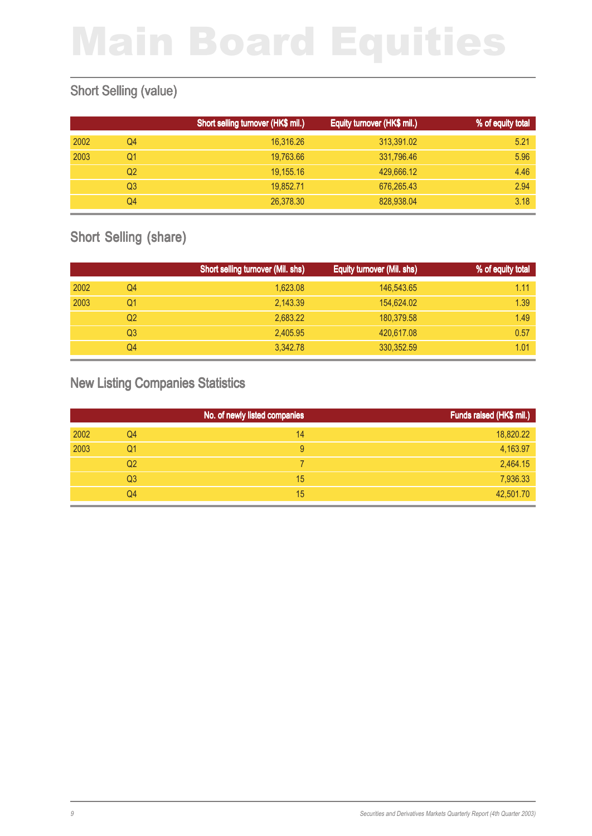#### Short Selling (value)

|      |    | Short selling turnover (HK\$ mil.) | Equity turnover (HK\$ mil.) | % of equity total |
|------|----|------------------------------------|-----------------------------|-------------------|
| 2002 | Q4 | 16,316.26                          | 313,391.02                  | 5.21              |
| 2003 | Q1 | 19,763.66                          | 331,796.46                  | 5.96              |
|      | Q2 | 19,155.16                          | 429,666.12                  | 4.46              |
|      | Q3 | 19,852.71                          | 676,265.43                  | 2.94              |
|      | Q4 | 26,378.30                          | 828,938.04                  | 3.18              |

#### Short Selling (share)

|      |    | Short selling turnover (Mil. shs) | Equity turnover (Mil. shs) | % of equity total |
|------|----|-----------------------------------|----------------------------|-------------------|
| 2002 | Q4 | 1,623.08                          | 146,543.65                 | 1.11              |
| 2003 | Q1 | 2,143.39                          | 154,624.02                 | 1.39              |
|      | Q2 | 2.683.22                          | 180,379.58                 | 1.49              |
|      | Q3 | 2,405.95                          | 420,617.08                 | 0.57              |
|      | Q4 | 3.342.78                          | 330, 352.59                | 1.01              |

#### New Listing Companies Statistics

|      |                | No. of newly listed companies | Funds raised (HK\$ mil.) |
|------|----------------|-------------------------------|--------------------------|
| 2002 | Q4             | 14                            | 18,820.22                |
| 2003 | Q1             | 9                             | 4,163.97                 |
|      | Q <sub>2</sub> |                               | 2,464.15                 |
|      | Q <sub>3</sub> | 15                            | 7,936.33                 |
|      | Q4             | 15                            | 42,501.70                |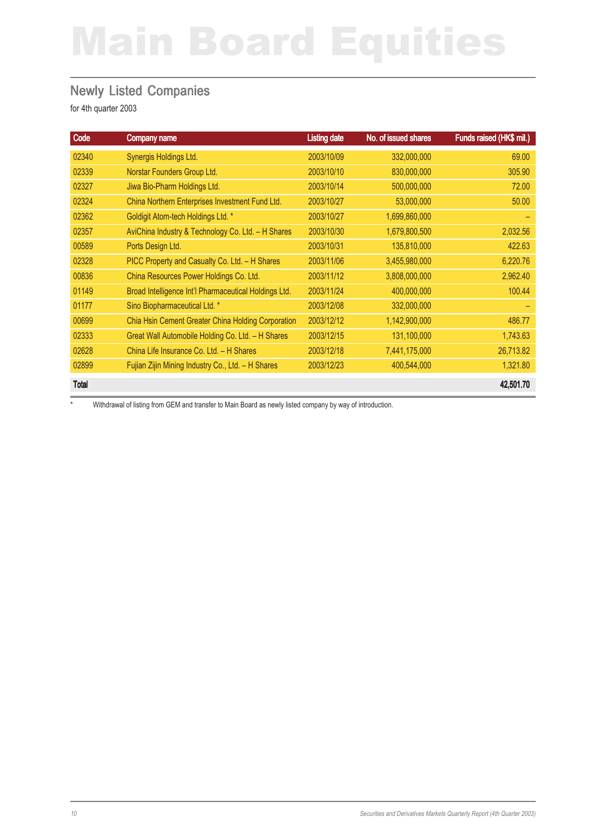#### Newly Listed Companies

for 4th quarter 2003

| Code         | <b>Company name</b>                                   | <b>Listing date</b> | No. of issued shares | Funds raised (HK\$ mil.) |
|--------------|-------------------------------------------------------|---------------------|----------------------|--------------------------|
| 02340        | Synergis Holdings Ltd.                                | 2003/10/09          | 332,000,000          | 69.00                    |
| 02339        | Norstar Founders Group Ltd.                           | 2003/10/10          | 830,000,000          | 305.90                   |
| 02327        | Jiwa Bio-Pharm Holdings Ltd.                          | 2003/10/14          | 500,000,000          | 72.00                    |
| 02324        | China Northern Enterprises Investment Fund Ltd.       | 2003/10/27          | 53,000,000           | 50.00                    |
| 02362        | Goldigit Atom-tech Holdings Ltd. *                    | 2003/10/27          | 1,699,860,000        |                          |
| 02357        | AviChina Industry & Technology Co. Ltd. - H Shares    | 2003/10/30          | 1,679,800,500        | 2,032.56                 |
| 00589        | Ports Design Ltd.                                     | 2003/10/31          | 135,810,000          | 422.63                   |
| 02328        | PICC Property and Casualty Co. Ltd. - H Shares        | 2003/11/06          | 3,455,980,000        | 6,220.76                 |
| 00836        | China Resources Power Holdings Co. Ltd.               | 2003/11/12          | 3,808,000,000        | 2,962.40                 |
| 01149        | Broad Intelligence Int'l Pharmaceutical Holdings Ltd. | 2003/11/24          | 400,000,000          | 100.44                   |
| 01177        | Sino Biopharmaceutical Ltd. *                         | 2003/12/08          | 332,000,000          |                          |
| 00699        | Chia Hsin Cement Greater China Holding Corporation    | 2003/12/12          | 1,142,900,000        | 486.77                   |
| 02333        | Great Wall Automobile Holding Co. Ltd. - H Shares     | 2003/12/15          | 131,100,000          | 1,743.63                 |
| 02628        | China Life Insurance Co. Ltd. - H Shares              | 2003/12/18          | 7,441,175,000        | 26,713.82                |
| 02899        | Fujian Zijin Mining Industry Co., Ltd. - H Shares     | 2003/12/23          | 400,544,000          | 1,321.80                 |
| <b>Total</b> |                                                       |                     |                      | 42,501.70                |

\* Withdrawal of listing from GEM and transfer to Main Board as newly listed company by way of introduction.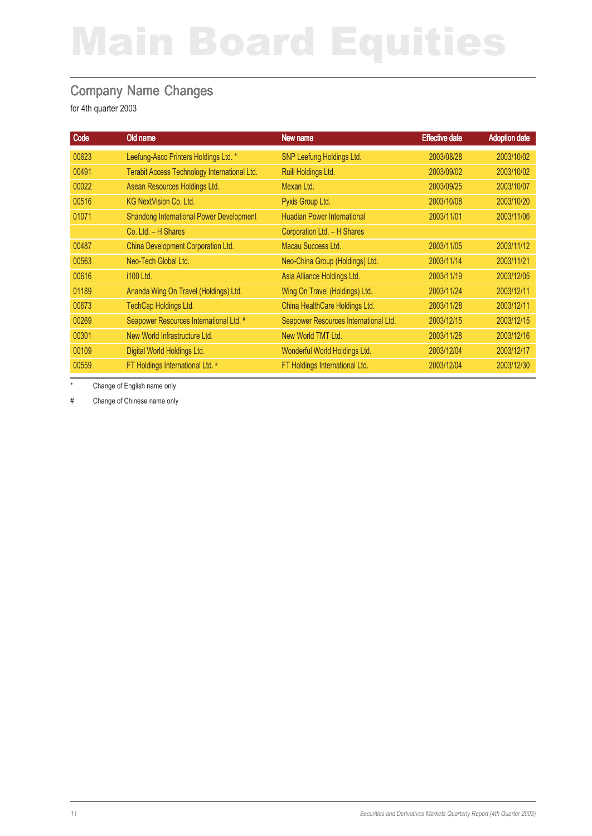#### Company Name Changes

for 4th quarter 2003

| Code  | Old name                                        | New name                              | <b>Effective date</b> | <b>Adoption date</b> |
|-------|-------------------------------------------------|---------------------------------------|-----------------------|----------------------|
| 00623 | Leefung-Asco Printers Holdings Ltd. *           | SNP Leefung Holdings Ltd.             | 2003/08/28            | 2003/10/02           |
| 00491 | Terabit Access Technology International Ltd.    | Ruili Holdings Ltd.                   | 2003/09/02            | 2003/10/02           |
| 00022 | Asean Resources Holdings Ltd.                   | Mexan Ltd.                            | 2003/09/25            | 2003/10/07           |
| 00516 | <b>KG NextVision Co. Ltd.</b>                   | Pyxis Group Ltd.                      | 2003/10/08            | 2003/10/20           |
| 01071 | <b>Shandong International Power Development</b> | <b>Huadian Power International</b>    | 2003/11/01            | 2003/11/06           |
|       | Co. Ltd. - H Shares                             | Corporation Ltd. - H Shares           |                       |                      |
| 00487 | China Development Corporation Ltd.              | Macau Success Ltd.                    | 2003/11/05            | 2003/11/12           |
| 00563 | Neo-Tech Global Ltd.                            | Neo-China Group (Holdings) Ltd.       | 2003/11/14            | 2003/11/21           |
| 00616 | i100 Ltd.                                       | Asia Alliance Holdings Ltd.           | 2003/11/19            | 2003/12/05           |
| 01189 | Ananda Wing On Travel (Holdings) Ltd.           | Wing On Travel (Holdings) Ltd.        | 2003/11/24            | 2003/12/11           |
| 00673 | TechCap Holdings Ltd.                           | China HealthCare Holdings Ltd.        | 2003/11/28            | 2003/12/11           |
| 00269 | Seapower Resources International Ltd. #         | Seapower Resources International Ltd. | 2003/12/15            | 2003/12/15           |
| 00301 | New World Infrastructure Ltd.                   | New World TMT Ltd.                    | 2003/11/28            | 2003/12/16           |
| 00109 | Digital World Holdings Ltd.                     | Wonderful World Holdings Ltd.         | 2003/12/04            | 2003/12/17           |
| 00559 | FT Holdings International Ltd. #                | FT Holdings International Ltd.        | 2003/12/04            | 2003/12/30           |

Change of English name only

# Change of Chinese name only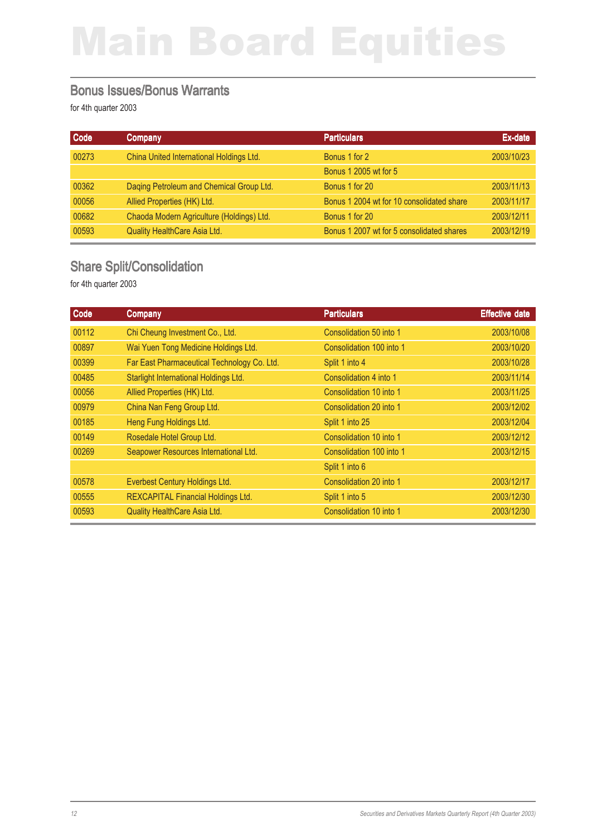#### Bonus Issues/Bonus Warrants

for 4th quarter 2003

| Code  | Company                                   | <b>Particulars</b>                        | Ex-date    |
|-------|-------------------------------------------|-------------------------------------------|------------|
| 00273 | China United International Holdings Ltd.  | Bonus 1 for 2                             | 2003/10/23 |
|       |                                           | Bonus 1 2005 wt for 5                     |            |
| 00362 | Daqing Petroleum and Chemical Group Ltd.  | Bonus 1 for 20                            | 2003/11/13 |
| 00056 | Allied Properties (HK) Ltd.               | Bonus 1 2004 wt for 10 consolidated share | 2003/11/17 |
| 00682 | Chaoda Modern Agriculture (Holdings) Ltd. | Bonus 1 for 20                            | 2003/12/11 |
| 00593 | <b>Quality HealthCare Asia Ltd.</b>       | Bonus 1 2007 wt for 5 consolidated shares | 2003/12/19 |

#### Share Split/Consolidation

| Code  | Company                                     | <b>Particulars</b>       | <b>Effective date</b> |
|-------|---------------------------------------------|--------------------------|-----------------------|
| 00112 | Chi Cheung Investment Co., Ltd.             | Consolidation 50 into 1  | 2003/10/08            |
| 00897 | Wai Yuen Tong Medicine Holdings Ltd.        | Consolidation 100 into 1 | 2003/10/20            |
| 00399 | Far East Pharmaceutical Technology Co. Ltd. | Split 1 into 4           | 2003/10/28            |
| 00485 | Starlight International Holdings Ltd.       | Consolidation 4 into 1   | 2003/11/14            |
| 00056 | Allied Properties (HK) Ltd.                 | Consolidation 10 into 1  | 2003/11/25            |
| 00979 | China Nan Feng Group Ltd.                   | Consolidation 20 into 1  | 2003/12/02            |
| 00185 | Heng Fung Holdings Ltd.                     | Split 1 into 25          | 2003/12/04            |
| 00149 | Rosedale Hotel Group Ltd.                   | Consolidation 10 into 1  | 2003/12/12            |
| 00269 | Seapower Resources International Ltd.       | Consolidation 100 into 1 | 2003/12/15            |
|       |                                             | Split 1 into 6           |                       |
| 00578 | Everbest Century Holdings Ltd.              | Consolidation 20 into 1  | 2003/12/17            |
| 00555 | <b>REXCAPITAL Financial Holdings Ltd.</b>   | Split 1 into 5           | 2003/12/30            |
| 00593 | Quality HealthCare Asia Ltd.                | Consolidation 10 into 1  | 2003/12/30            |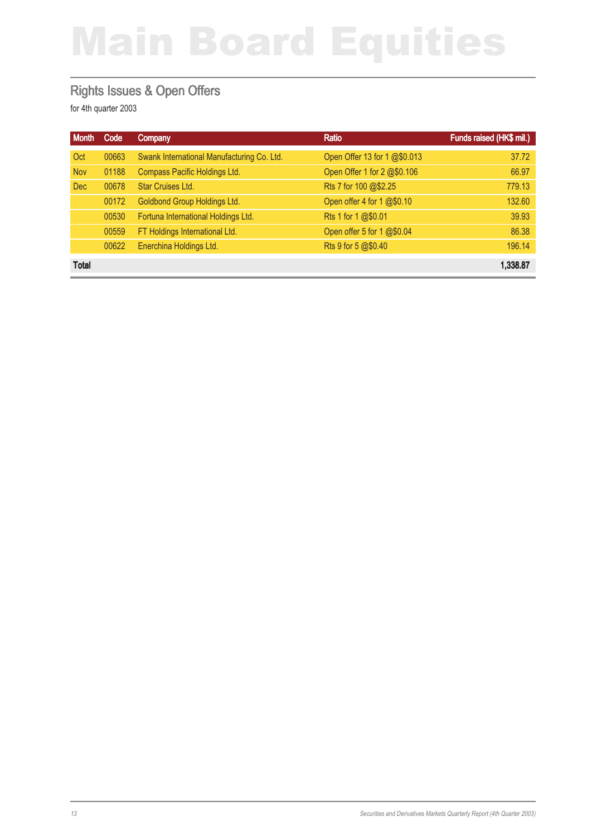#### Rights Issues & Open Offers

| <b>Month</b> | Code  | Company                                    | Ratio                        | Funds raised (HK\$ mil.) |
|--------------|-------|--------------------------------------------|------------------------------|--------------------------|
| Oct          | 00663 | Swank International Manufacturing Co. Ltd. | Open Offer 13 for 1 @\$0.013 | 37.72                    |
| <b>Nov</b>   | 01188 | Compass Pacific Holdings Ltd.              | Open Offer 1 for 2 @\$0.106  | 66.97                    |
| <b>Dec</b>   | 00678 | <b>Star Cruises Ltd.</b>                   | Rts 7 for 100 @\$2.25        | 779.13                   |
|              | 00172 | Goldbond Group Holdings Ltd.               | Open offer 4 for 1 @\$0.10   | 132.60                   |
|              | 00530 | Fortuna International Holdings Ltd.        | Rts 1 for 1 @\$0.01          | 39.93                    |
|              | 00559 | FT Holdings International Ltd.             | Open offer 5 for 1 @\$0.04   | 86.38                    |
|              | 00622 | Enerchina Holdings Ltd.                    | Rts 9 for 5 @\$0.40          | 196.14                   |
| <b>Total</b> |       |                                            |                              | 1,338.87                 |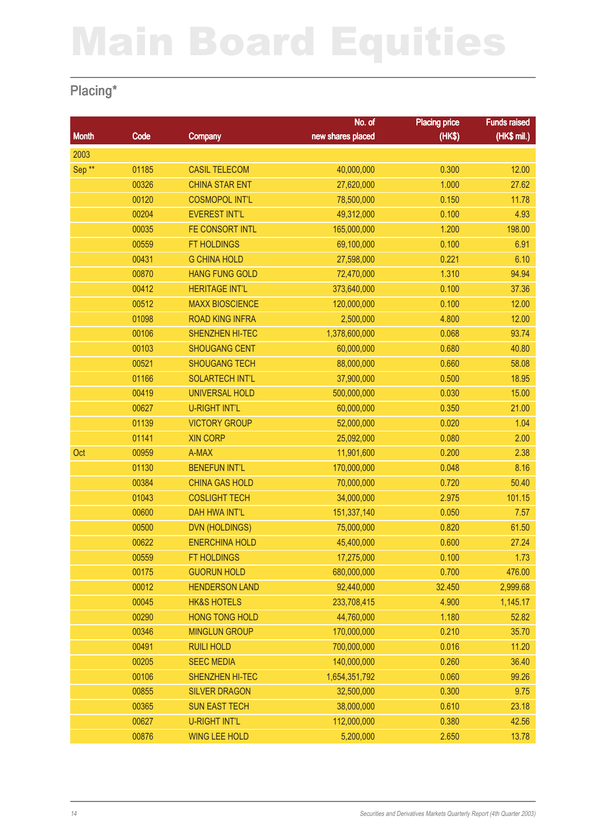### Placing\*

|                   |       |                        | No. of            | <b>Placing price</b> | <b>Funds raised</b> |
|-------------------|-------|------------------------|-------------------|----------------------|---------------------|
| <b>Month</b>      | Code  | Company                | new shares placed | (HK\$)               | (HK\$ mil.)         |
| 2003              |       |                        |                   |                      |                     |
| Sep <sup>**</sup> | 01185 | <b>CASIL TELECOM</b>   | 40,000,000        | 0.300                | 12.00               |
|                   | 00326 | <b>CHINA STAR ENT</b>  | 27,620,000        | 1.000                | 27.62               |
|                   | 00120 | <b>COSMOPOL INT'L</b>  | 78,500,000        | 0.150                | 11.78               |
|                   | 00204 | <b>EVEREST INT'L</b>   | 49,312,000        | 0.100                | 4.93                |
|                   | 00035 | FE CONSORT INTL        | 165,000,000       | 1.200                | 198.00              |
|                   | 00559 | <b>FT HOLDINGS</b>     | 69,100,000        | 0.100                | 6.91                |
|                   | 00431 | <b>G CHINA HOLD</b>    | 27,598,000        | 0.221                | 6.10                |
|                   | 00870 | <b>HANG FUNG GOLD</b>  | 72,470,000        | 1.310                | 94.94               |
|                   | 00412 | <b>HERITAGE INT'L</b>  | 373,640,000       | 0.100                | 37.36               |
|                   | 00512 | <b>MAXX BIOSCIENCE</b> | 120,000,000       | 0.100                | 12.00               |
|                   | 01098 | <b>ROAD KING INFRA</b> | 2,500,000         | 4.800                | 12.00               |
|                   | 00106 | SHENZHEN HI-TEC        | 1,378,600,000     | 0.068                | 93.74               |
|                   | 00103 | <b>SHOUGANG CENT</b>   | 60,000,000        | 0.680                | 40.80               |
|                   | 00521 | <b>SHOUGANG TECH</b>   | 88,000,000        | 0.660                | 58.08               |
|                   | 01166 | <b>SOLARTECH INT'L</b> | 37,900,000        | 0.500                | 18.95               |
|                   | 00419 | <b>UNIVERSAL HOLD</b>  | 500,000,000       | 0.030                | 15.00               |
|                   | 00627 | <b>U-RIGHT INT'L</b>   | 60,000,000        | 0.350                | 21.00               |
|                   | 01139 | <b>VICTORY GROUP</b>   | 52,000,000        | 0.020                | 1.04                |
|                   | 01141 | <b>XIN CORP</b>        | 25,092,000        | 0.080                | 2.00                |
| Oct               | 00959 | A-MAX                  | 11,901,600        | 0.200                | 2.38                |
|                   | 01130 | <b>BENEFUN INT'L</b>   | 170,000,000       | 0.048                | 8.16                |
|                   | 00384 | <b>CHINA GAS HOLD</b>  | 70,000,000        | 0.720                | 50.40               |
|                   | 01043 | <b>COSLIGHT TECH</b>   | 34,000,000        | 2.975                | 101.15              |
|                   | 00600 | <b>DAH HWA INT'L</b>   | 151,337,140       | 0.050                | 7.57                |
|                   | 00500 | <b>DVN (HOLDINGS)</b>  | 75,000,000        | 0.820                | 61.50               |
|                   | 00622 | <b>ENERCHINA HOLD</b>  | 45,400,000        | 0.600                | 27.24               |
|                   | 00559 | FT HOLDINGS            | 17,275,000        | 0.100                | 1.73                |
|                   | 00175 | <b>GUORUN HOLD</b>     | 680,000,000       | 0.700                | 476.00              |
|                   | 00012 | <b>HENDERSON LAND</b>  | 92,440,000        | 32.450               | 2,999.68            |
|                   | 00045 | <b>HK&amp;S HOTELS</b> | 233,708,415       | 4.900                | 1,145.17            |
|                   | 00290 | <b>HONG TONG HOLD</b>  | 44,760,000        | 1.180                | 52.82               |
|                   | 00346 | <b>MINGLUN GROUP</b>   | 170,000,000       | 0.210                | 35.70               |
|                   | 00491 | <b>RUILI HOLD</b>      | 700,000,000       | 0.016                | 11.20               |
|                   | 00205 | <b>SEEC MEDIA</b>      | 140,000,000       | 0.260                | 36.40               |
|                   | 00106 | SHENZHEN HI-TEC        | 1,654,351,792     | 0.060                | 99.26               |
|                   | 00855 | <b>SILVER DRAGON</b>   | 32,500,000        | 0.300                | 9.75                |
|                   | 00365 | <b>SUN EAST TECH</b>   | 38,000,000        | 0.610                | 23.18               |
|                   | 00627 | <b>U-RIGHT INT'L</b>   | 112,000,000       | 0.380                | 42.56               |
|                   | 00876 | <b>WING LEE HOLD</b>   | 5,200,000         | 2.650                | 13.78               |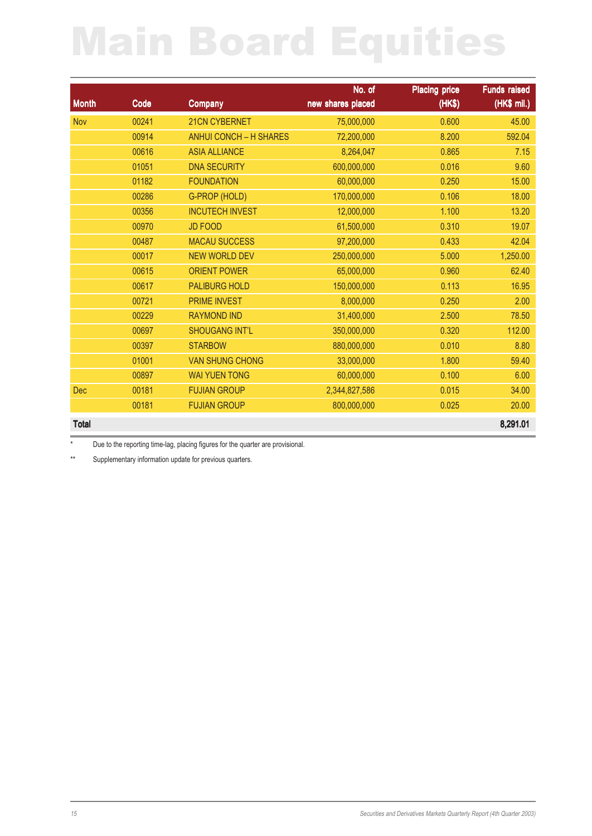|              |       |                               | No. of            | <b>Placing price</b> | <b>Funds raised</b> |
|--------------|-------|-------------------------------|-------------------|----------------------|---------------------|
| <b>Month</b> | Code  | <b>Company</b>                | new shares placed | (HK\$)               | (HK\$ mil.)         |
| <b>Nov</b>   | 00241 | 21CN CYBERNET                 | 75,000,000        | 0.600                | 45.00               |
|              | 00914 | <b>ANHUI CONCH - H SHARES</b> | 72,200,000        | 8.200                | 592.04              |
|              | 00616 | <b>ASIA ALLIANCE</b>          | 8,264,047         | 0.865                | 7.15                |
|              | 01051 | <b>DNA SECURITY</b>           | 600,000,000       | 0.016                | 9.60                |
|              | 01182 | <b>FOUNDATION</b>             | 60,000,000        | 0.250                | 15.00               |
|              | 00286 | G-PROP (HOLD)                 | 170,000,000       | 0.106                | 18.00               |
|              | 00356 | <b>INCUTECH INVEST</b>        | 12,000,000        | 1.100                | 13.20               |
|              | 00970 | <b>JD FOOD</b>                | 61,500,000        | 0.310                | 19.07               |
|              | 00487 | <b>MACAU SUCCESS</b>          | 97,200,000        | 0.433                | 42.04               |
|              | 00017 | <b>NEW WORLD DEV</b>          | 250,000,000       | 5.000                | 1,250.00            |
|              | 00615 | <b>ORIENT POWER</b>           | 65,000,000        | 0.960                | 62.40               |
|              | 00617 | <b>PALIBURG HOLD</b>          | 150,000,000       | 0.113                | 16.95               |
|              | 00721 | <b>PRIME INVEST</b>           | 8,000,000         | 0.250                | 2.00                |
|              | 00229 | <b>RAYMOND IND</b>            | 31,400,000        | 2.500                | 78.50               |
|              | 00697 | <b>SHOUGANG INT'L</b>         | 350,000,000       | 0.320                | 112.00              |
|              | 00397 | <b>STARBOW</b>                | 880,000,000       | 0.010                | 8.80                |
|              | 01001 | <b>VAN SHUNG CHONG</b>        | 33,000,000        | 1.800                | 59.40               |
|              | 00897 | <b>WAI YUEN TONG</b>          | 60,000,000        | 0.100                | 6.00                |
| <b>Dec</b>   | 00181 | <b>FUJIAN GROUP</b>           | 2,344,827,586     | 0.015                | 34.00               |
|              | 00181 | <b>FUJIAN GROUP</b>           | 800,000,000       | 0.025                | 20.00               |
| <b>Total</b> |       |                               |                   |                      | 8,291.01            |

\* Due to the reporting time-lag, placing figures for the quarter are provisional.

\*\* Supplementary information update for previous quarters.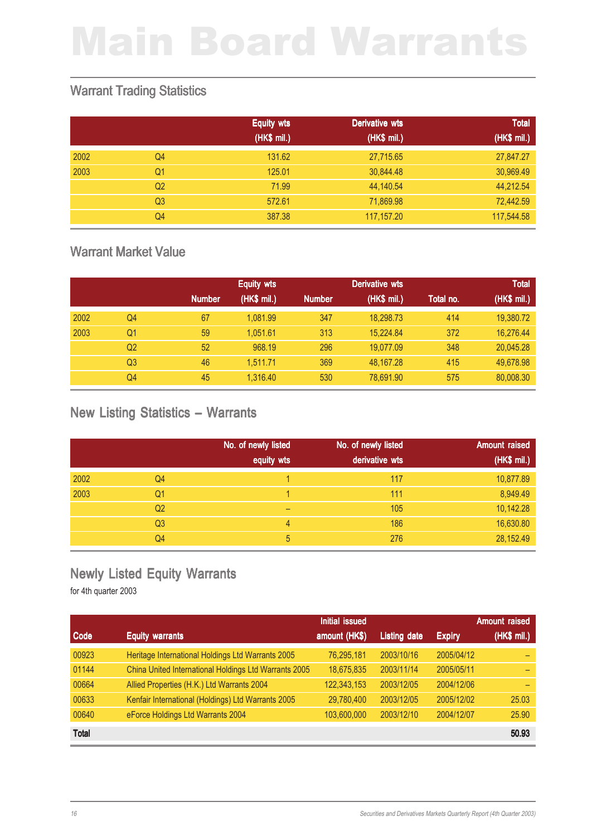#### Warrant Trading Statistics

|      |                | <b>Equity wts</b> | <b>Derivative wts</b> | <b>Total</b> |
|------|----------------|-------------------|-----------------------|--------------|
|      |                | (HK\$ mil.)       | (HK\$ ml.)            | (HK\$ mil.)  |
| 2002 | Q <sub>4</sub> | 131.62            | 27,715.65             | 27,847.27    |
| 2003 | Q <sub>1</sub> | 125.01            | 30,844.48             | 30,969.49    |
|      | Q <sub>2</sub> | 71.99             | 44,140.54             | 44,212.54    |
|      | Q <sub>3</sub> | 572.61            | 71,869.98             | 72,442.59    |
|      | Q4             | 387.38            | 117,157.20            | 117,544.58   |

#### Warrant Market Value

|      |    |               | <b>Equity wts</b> |               | Derivative wts |           | <b>Total</b> |
|------|----|---------------|-------------------|---------------|----------------|-----------|--------------|
|      |    | <b>Number</b> | (HK\$ mil.)       | <b>Number</b> | (HK\$ mil.)    | Total no. | (HK\$ mil.)  |
| 2002 | Q4 | 67            | 1.081.99          | 347           | 18.298.73      | 414       | 19,380.72    |
| 2003 | Q1 | 59            | 1.051.61          | 313           | 15.224.84      | 372       | 16,276.44    |
|      | Q2 | 52            | 968.19            | 296           | 19.077.09      | 348       | 20,045.28    |
|      | Q3 | 46            | 1.511.71          | 369           | 48.167.28      | 415       | 49.678.98    |
|      | Q4 | 45            | 1.316.40          | 530           | 78,691.90      | 575       | 80,008.30    |

#### New Listing Statistics – Warrants

|      |                | No. of newly listed<br>equity wts | No. of newly listed<br>derivative wts | Amount raised<br>(HK\$ mil.) |
|------|----------------|-----------------------------------|---------------------------------------|------------------------------|
|      |                |                                   |                                       |                              |
| 2002 | Q <sub>4</sub> |                                   | 117                                   | 10,877.89                    |
| 2003 | Q1             |                                   | 111                                   | 8,949.49                     |
|      | Q <sub>2</sub> | -                                 | 105                                   | 10,142.28                    |
|      | Q <sub>3</sub> | 4                                 | 186                                   | 16,630.80                    |
|      | Q4             | 5                                 | 276                                   | 28,152.49                    |

#### Newly Listed Equity Warrants

|              |                                                       | <b>Initial issued</b> |                     |               | <b>Amount raised</b> |
|--------------|-------------------------------------------------------|-----------------------|---------------------|---------------|----------------------|
| Code         | <b>Equity warrants</b>                                | amount (HK\$)         | <b>Listing date</b> | <b>Expiry</b> | (HK\$ mil.)          |
| 00923        | Heritage International Holdings Ltd Warrants 2005     | 76,295,181            | 2003/10/16          | 2005/04/12    |                      |
| 01144        | China United International Holdings Ltd Warrants 2005 | 18,675,835            | 2003/11/14          | 2005/05/11    |                      |
| 00664        | Allied Properties (H.K.) Ltd Warrants 2004            | 122,343,153           | 2003/12/05          | 2004/12/06    |                      |
| 00633        | Kenfair International (Holdings) Ltd Warrants 2005    | 29,780,400            | 2003/12/05          | 2005/12/02    | 25.03                |
| 00640        | eForce Holdings Ltd Warrants 2004                     | 103,600,000           | 2003/12/10          | 2004/12/07    | 25.90                |
| <b>Total</b> |                                                       |                       |                     |               | 50.93                |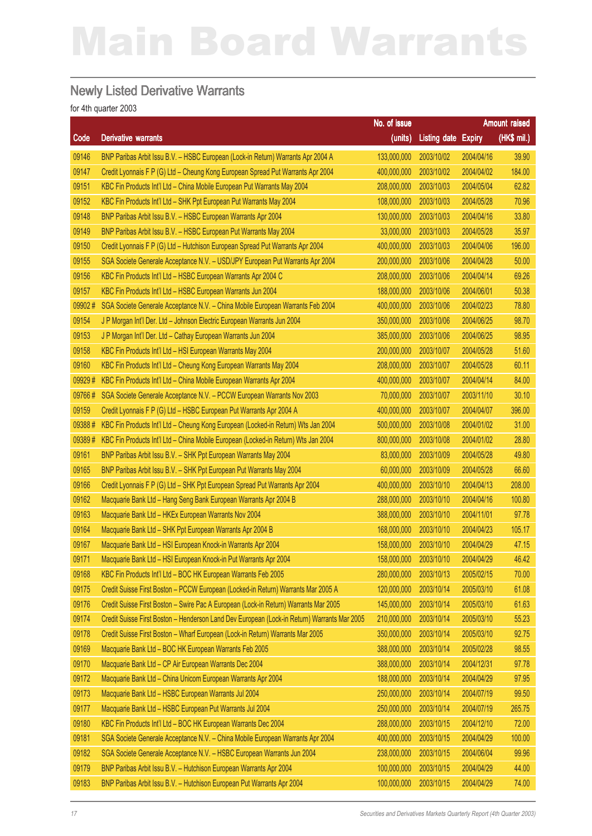#### Newly Listed Derivative Warrants

|        |                                                                                             | No. of issue |                            |            | Amount raised |
|--------|---------------------------------------------------------------------------------------------|--------------|----------------------------|------------|---------------|
| Code   | <b>Derivative warrants</b>                                                                  | (units)      | <b>Listing date Expiry</b> |            | (HK\$ mil.)   |
| 09146  | BNP Paribas Arbit Issu B.V. - HSBC European (Lock-in Return) Warrants Apr 2004 A            | 133,000,000  | 2003/10/02                 | 2004/04/16 | 39.90         |
| 09147  | Credit Lyonnais F P (G) Ltd - Cheung Kong European Spread Put Warrants Apr 2004             | 400,000,000  | 2003/10/02                 | 2004/04/02 | 184.00        |
| 09151  | KBC Fin Products Int'l Ltd - China Mobile European Put Warrants May 2004                    | 208,000,000  | 2003/10/03                 | 2004/05/04 | 62.82         |
| 09152  | KBC Fin Products Int'l Ltd - SHK Ppt European Put Warrants May 2004                         | 108,000,000  | 2003/10/03                 | 2004/05/28 | 70.96         |
| 09148  | BNP Paribas Arbit Issu B.V. - HSBC European Warrants Apr 2004                               | 130,000,000  | 2003/10/03                 | 2004/04/16 | 33.80         |
| 09149  | BNP Paribas Arbit Issu B.V. - HSBC European Put Warrants May 2004                           | 33,000,000   | 2003/10/03                 | 2004/05/28 | 35.97         |
| 09150  | Credit Lyonnais F P (G) Ltd - Hutchison European Spread Put Warrants Apr 2004               | 400,000,000  | 2003/10/03                 | 2004/04/06 | 196.00        |
| 09155  | SGA Societe Generale Acceptance N.V. - USD/JPY European Put Warrants Apr 2004               | 200,000,000  | 2003/10/06                 | 2004/04/28 | 50.00         |
| 09156  | KBC Fin Products Int'l Ltd - HSBC European Warrants Apr 2004 C                              | 208,000,000  | 2003/10/06                 | 2004/04/14 | 69.26         |
| 09157  | KBC Fin Products Int'l Ltd - HSBC European Warrants Jun 2004                                | 188,000,000  | 2003/10/06                 | 2004/06/01 | 50.38         |
| 09902# | SGA Societe Generale Acceptance N.V. - China Mobile European Warrants Feb 2004              | 400,000,000  | 2003/10/06                 | 2004/02/23 | 78.80         |
| 09154  | J P Morgan Int'l Der. Ltd - Johnson Electric European Warrants Jun 2004                     | 350,000,000  | 2003/10/06                 | 2004/06/25 | 98.70         |
| 09153  | J P Morgan Int'l Der. Ltd - Cathay European Warrants Jun 2004                               | 385,000,000  | 2003/10/06                 | 2004/06/25 | 98.95         |
| 09158  | KBC Fin Products Int'l Ltd - HSI European Warrants May 2004                                 | 200,000,000  | 2003/10/07                 | 2004/05/28 | 51.60         |
| 09160  | KBC Fin Products Int'l Ltd - Cheung Kong European Warrants May 2004                         | 208,000,000  | 2003/10/07                 | 2004/05/28 | 60.11         |
| 09929# | KBC Fin Products Int'l Ltd - China Mobile European Warrants Apr 2004                        | 400,000,000  | 2003/10/07                 | 2004/04/14 | 84.00         |
| 09766# | SGA Societe Generale Acceptance N.V. - PCCW European Warrants Nov 2003                      | 70,000,000   | 2003/10/07                 | 2003/11/10 | 30.10         |
| 09159  | Credit Lyonnais F P (G) Ltd - HSBC European Put Warrants Apr 2004 A                         | 400,000,000  | 2003/10/07                 | 2004/04/07 | 396.00        |
| 09388# | KBC Fin Products Int'l Ltd - Cheung Kong European (Locked-in Return) Wts Jan 2004           | 500,000,000  | 2003/10/08                 | 2004/01/02 | 31.00         |
| 09389# | KBC Fin Products Int'l Ltd - China Mobile European (Locked-in Return) Wts Jan 2004          | 800,000,000  | 2003/10/08                 | 2004/01/02 | 28.80         |
| 09161  | BNP Paribas Arbit Issu B.V. - SHK Ppt European Warrants May 2004                            | 83,000,000   | 2003/10/09                 | 2004/05/28 | 49.80         |
| 09165  | BNP Paribas Arbit Issu B.V. - SHK Ppt European Put Warrants May 2004                        | 60,000,000   | 2003/10/09                 | 2004/05/28 | 66.60         |
| 09166  | Credit Lyonnais F P (G) Ltd - SHK Ppt European Spread Put Warrants Apr 2004                 | 400,000,000  | 2003/10/10                 | 2004/04/13 | 208.00        |
| 09162  | Macquarie Bank Ltd - Hang Seng Bank European Warrants Apr 2004 B                            | 288,000,000  | 2003/10/10                 | 2004/04/16 | 100.80        |
| 09163  | Macquarie Bank Ltd - HKEx European Warrants Nov 2004                                        | 388,000,000  | 2003/10/10                 | 2004/11/01 | 97.78         |
| 09164  | Macquarie Bank Ltd - SHK Ppt European Warrants Apr 2004 B                                   | 168,000,000  | 2003/10/10                 | 2004/04/23 | 105.17        |
| 09167  | Macquarie Bank Ltd - HSI European Knock-in Warrants Apr 2004                                | 158,000,000  | 2003/10/10                 | 2004/04/29 | 47.15         |
| 09171  | Macquarie Bank Ltd - HSI European Knock-in Put Warrants Apr 2004                            | 158,000,000  | 2003/10/10                 | 2004/04/29 | 46.42         |
| 09168  | KBC Fin Products Int'l Ltd - BOC HK European Warrants Feb 2005                              | 280,000,000  | 2003/10/13                 | 2005/02/15 | 70.00         |
| 09175  | Credit Suisse First Boston - PCCW European (Locked-in Return) Warrants Mar 2005 A           | 120,000,000  | 2003/10/14                 | 2005/03/10 | 61.08         |
| 09176  | Credit Suisse First Boston - Swire Pac A European (Lock-in Return) Warrants Mar 2005        | 145,000,000  | 2003/10/14                 | 2005/03/10 | 61.63         |
| 09174  | Credit Suisse First Boston - Henderson Land Dev European (Lock-in Return) Warrants Mar 2005 | 210,000,000  | 2003/10/14                 | 2005/03/10 | 55.23         |
| 09178  | Credit Suisse First Boston - Wharf European (Lock-in Return) Warrants Mar 2005              | 350,000,000  | 2003/10/14                 | 2005/03/10 | 92.75         |
| 09169  | Macquarie Bank Ltd - BOC HK European Warrants Feb 2005                                      | 388,000,000  | 2003/10/14                 | 2005/02/28 | 98.55         |
| 09170  | Macquarie Bank Ltd - CP Air European Warrants Dec 2004                                      | 388,000,000  | 2003/10/14                 | 2004/12/31 | 97.78         |
| 09172  | Macquarie Bank Ltd - China Unicom European Warrants Apr 2004                                | 188,000,000  | 2003/10/14                 | 2004/04/29 | 97.95         |
| 09173  | Macquarie Bank Ltd - HSBC European Warrants Jul 2004                                        | 250,000,000  | 2003/10/14                 | 2004/07/19 | 99.50         |
| 09177  | Macquarie Bank Ltd - HSBC European Put Warrants Jul 2004                                    | 250,000,000  | 2003/10/14                 | 2004/07/19 | 265.75        |
| 09180  | KBC Fin Products Int'l Ltd - BOC HK European Warrants Dec 2004                              | 288,000,000  | 2003/10/15                 | 2004/12/10 | 72.00         |
| 09181  | SGA Societe Generale Acceptance N.V. - China Mobile European Warrants Apr 2004              | 400,000,000  | 2003/10/15                 | 2004/04/29 | 100.00        |
| 09182  | SGA Societe Generale Acceptance N.V. - HSBC European Warrants Jun 2004                      | 238,000,000  | 2003/10/15                 | 2004/06/04 | 99.96         |
| 09179  | BNP Paribas Arbit Issu B.V. - Hutchison European Warrants Apr 2004                          | 100,000,000  | 2003/10/15                 | 2004/04/29 | 44.00         |
| 09183  | BNP Paribas Arbit Issu B.V. - Hutchison European Put Warrants Apr 2004                      | 100,000,000  | 2003/10/15                 | 2004/04/29 | 74.00         |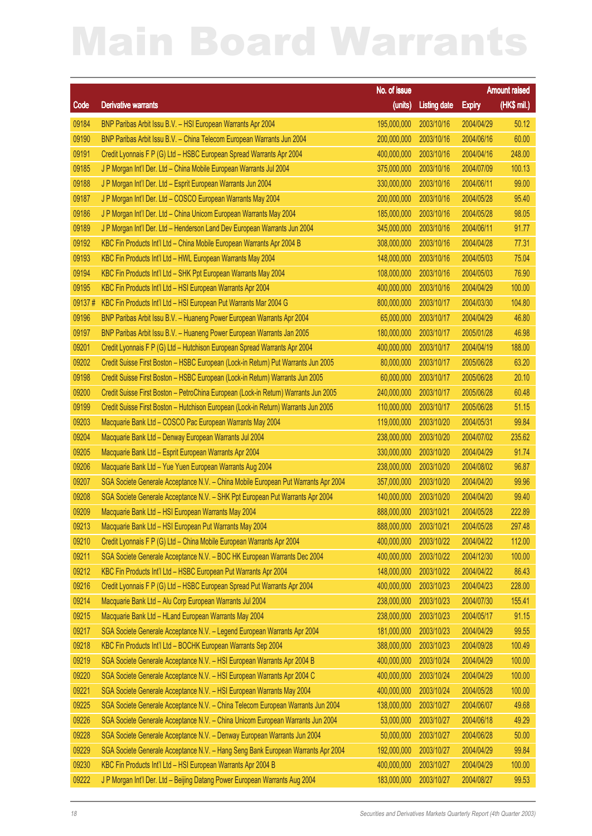|        |                                                                                     | No. of issue           |                     |               | <b>Amount raised</b> |
|--------|-------------------------------------------------------------------------------------|------------------------|---------------------|---------------|----------------------|
| Code   | <b>Derivative warrants</b>                                                          | (units)                | <b>Listing date</b> | <b>Expiry</b> | $(HK$$ mil.)         |
| 09184  | BNP Paribas Arbit Issu B.V. - HSI European Warrants Apr 2004                        | 195,000,000            | 2003/10/16          | 2004/04/29    | 50.12                |
| 09190  | BNP Paribas Arbit Issu B.V. - China Telecom European Warrants Jun 2004              | 200,000,000            | 2003/10/16          | 2004/06/16    | 60.00                |
| 09191  | Credit Lyonnais F P (G) Ltd - HSBC European Spread Warrants Apr 2004                | 400,000,000            | 2003/10/16          | 2004/04/16    | 248.00               |
| 09185  | J P Morgan Int'l Der. Ltd - China Mobile European Warrants Jul 2004                 | 375,000,000            | 2003/10/16          | 2004/07/09    | 100.13               |
| 09188  | J P Morgan Int'l Der. Ltd - Esprit European Warrants Jun 2004                       | 330,000,000            | 2003/10/16          | 2004/06/11    | 99.00                |
| 09187  | J P Morgan Int'l Der. Ltd - COSCO European Warrants May 2004                        | 200,000,000            | 2003/10/16          | 2004/05/28    | 95.40                |
| 09186  | J P Morgan Int'l Der. Ltd - China Unicom European Warrants May 2004                 | 185,000,000            | 2003/10/16          | 2004/05/28    | 98.05                |
| 09189  | J P Morgan Int'l Der. Ltd - Henderson Land Dev European Warrants Jun 2004           | 345,000,000            | 2003/10/16          | 2004/06/11    | 91.77                |
| 09192  | KBC Fin Products Int'l Ltd - China Mobile European Warrants Apr 2004 B              | 308,000,000            | 2003/10/16          | 2004/04/28    | 77.31                |
| 09193  | KBC Fin Products Int'l Ltd - HWL European Warrants May 2004                         | 148,000,000            | 2003/10/16          | 2004/05/03    | 75.04                |
| 09194  | KBC Fin Products Int'l Ltd - SHK Ppt European Warrants May 2004                     | 108,000,000            | 2003/10/16          | 2004/05/03    | 76.90                |
| 09195  | KBC Fin Products Int'l Ltd - HSI European Warrants Apr 2004                         | 400,000,000            | 2003/10/16          | 2004/04/29    | 100.00               |
| 09137# | KBC Fin Products Int'l Ltd - HSI European Put Warrants Mar 2004 G                   | 800,000,000            | 2003/10/17          | 2004/03/30    | 104.80               |
| 09196  | BNP Paribas Arbit Issu B.V. - Huaneng Power European Warrants Apr 2004              | 65,000,000             | 2003/10/17          | 2004/04/29    | 46.80                |
| 09197  | BNP Paribas Arbit Issu B.V. - Huaneng Power European Warrants Jan 2005              | 180,000,000            | 2003/10/17          | 2005/01/28    | 46.98                |
| 09201  | Credit Lyonnais F P (G) Ltd - Hutchison European Spread Warrants Apr 2004           | 400,000,000            | 2003/10/17          | 2004/04/19    | 188.00               |
| 09202  | Credit Suisse First Boston - HSBC European (Lock-in Return) Put Warrants Jun 2005   | 80,000,000             | 2003/10/17          | 2005/06/28    | 63.20                |
| 09198  | Credit Suisse First Boston - HSBC European (Lock-in Return) Warrants Jun 2005       | 60,000,000             | 2003/10/17          | 2005/06/28    | 20.10                |
| 09200  | Credit Suisse First Boston - PetroChina European (Lock-in Return) Warrants Jun 2005 | 240,000,000            | 2003/10/17          | 2005/06/28    | 60.48                |
| 09199  | Credit Suisse First Boston - Hutchison European (Lock-in Return) Warrants Jun 2005  | 110,000,000            | 2003/10/17          | 2005/06/28    | 51.15                |
| 09203  | Macquarie Bank Ltd - COSCO Pac European Warrants May 2004                           | 119,000,000            | 2003/10/20          | 2004/05/31    | 99.84                |
| 09204  | Macquarie Bank Ltd - Denway European Warrants Jul 2004                              | 238,000,000            | 2003/10/20          | 2004/07/02    | 235.62               |
| 09205  | Macquarie Bank Ltd - Esprit European Warrants Apr 2004                              | 330,000,000            | 2003/10/20          | 2004/04/29    | 91.74                |
| 09206  | Macquarie Bank Ltd - Yue Yuen European Warrants Aug 2004                            | 238,000,000            | 2003/10/20          | 2004/08/02    | 96.87                |
| 09207  | SGA Societe Generale Acceptance N.V. - China Mobile European Put Warrants Apr 2004  | 357,000,000            | 2003/10/20          | 2004/04/20    | 99.96                |
| 09208  | SGA Societe Generale Acceptance N.V. - SHK Ppt European Put Warrants Apr 2004       | 140,000,000            | 2003/10/20          | 2004/04/20    | 99.40                |
| 09209  | Macquarie Bank Ltd - HSI European Warrants May 2004                                 | 888,000,000            | 2003/10/21          | 2004/05/28    | 222.89               |
| 09213  | Macquarie Bank Ltd - HSI European Put Warrants May 2004                             | 888,000,000 2003/10/21 |                     | 2004/05/28    | 297.48               |
| 09210  | Credit Lyonnais F P (G) Ltd - China Mobile European Warrants Apr 2004               | 400,000,000            | 2003/10/22          | 2004/04/22    | 112.00               |
| 09211  | SGA Societe Generale Acceptance N.V. - BOC HK European Warrants Dec 2004            | 400,000,000            | 2003/10/22          | 2004/12/30    | 100.00               |
| 09212  | KBC Fin Products Int'l Ltd - HSBC European Put Warrants Apr 2004                    | 148,000,000            | 2003/10/22          | 2004/04/22    | 86.43                |
| 09216  | Credit Lyonnais F P (G) Ltd - HSBC European Spread Put Warrants Apr 2004            | 400,000,000            | 2003/10/23          | 2004/04/23    | 228.00               |
| 09214  | Macquarie Bank Ltd - Alu Corp European Warrants Jul 2004                            | 238,000,000            | 2003/10/23          | 2004/07/30    | 155.41               |
| 09215  | Macquarie Bank Ltd - HLand European Warrants May 2004                               | 238,000,000            | 2003/10/23          | 2004/05/17    | 91.15                |
| 09217  | SGA Societe Generale Acceptance N.V. - Legend European Warrants Apr 2004            | 181,000,000            | 2003/10/23          | 2004/04/29    | 99.55                |
| 09218  | KBC Fin Products Int'l Ltd - BOCHK European Warrants Sep 2004                       | 388,000,000            | 2003/10/23          | 2004/09/28    | 100.49               |
| 09219  | SGA Societe Generale Acceptance N.V. - HSI European Warrants Apr 2004 B             | 400,000,000            | 2003/10/24          | 2004/04/29    | 100.00               |
| 09220  | SGA Societe Generale Acceptance N.V. - HSI European Warrants Apr 2004 C             | 400,000,000            | 2003/10/24          | 2004/04/29    | 100.00               |
| 09221  | SGA Societe Generale Acceptance N.V. - HSI European Warrants May 2004               | 400,000,000            | 2003/10/24          | 2004/05/28    | 100.00               |
| 09225  | SGA Societe Generale Acceptance N.V. - China Telecom European Warrants Jun 2004     | 138,000,000            | 2003/10/27          | 2004/06/07    | 49.68                |
| 09226  | SGA Societe Generale Acceptance N.V. - China Unicom European Warrants Jun 2004      | 53,000,000             | 2003/10/27          | 2004/06/18    | 49.29                |
| 09228  | SGA Societe Generale Acceptance N.V. - Denway European Warrants Jun 2004            | 50,000,000             | 2003/10/27          | 2004/06/28    | 50.00                |
| 09229  | SGA Societe Generale Acceptance N.V. - Hang Seng Bank European Warrants Apr 2004    | 192,000,000            | 2003/10/27          | 2004/04/29    | 99.84                |
| 09230  | KBC Fin Products Int'l Ltd - HSI European Warrants Apr 2004 B                       | 400,000,000            | 2003/10/27          | 2004/04/29    | 100.00               |
| 09222  | J P Morgan Int'l Der. Ltd - Beijing Datang Power European Warrants Aug 2004         | 183,000,000            | 2003/10/27          | 2004/08/27    | 99.53                |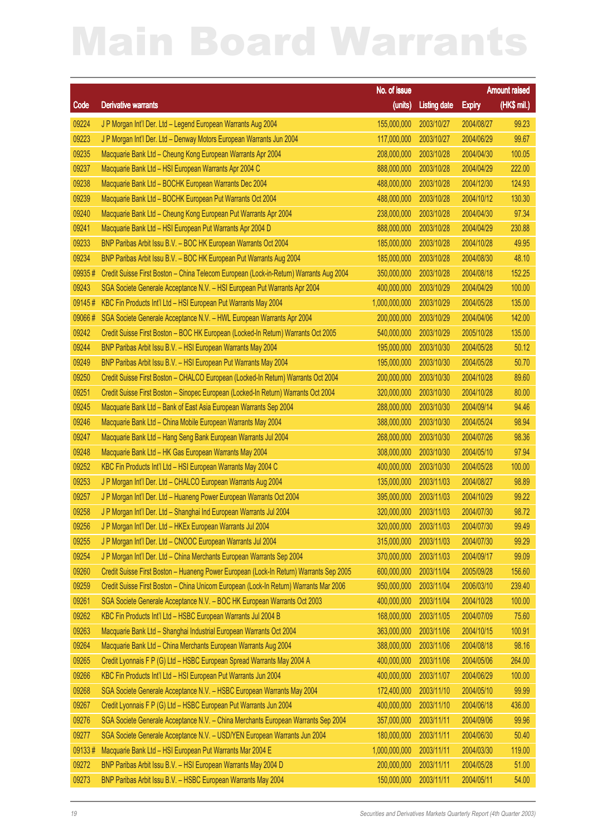|        |                                                                                        | No. of issue           |                     |               | <b>Amount raised</b> |
|--------|----------------------------------------------------------------------------------------|------------------------|---------------------|---------------|----------------------|
| Code   | <b>Derivative warrants</b>                                                             | (units)                | <b>Listing date</b> | <b>Expiry</b> | $(HK$$ mil.)         |
| 09224  | J P Morgan Int'l Der. Ltd - Legend European Warrants Aug 2004                          | 155,000,000            | 2003/10/27          | 2004/08/27    | 99.23                |
| 09223  | J P Morgan Int'l Der. Ltd - Denway Motors European Warrants Jun 2004                   | 117,000,000            | 2003/10/27          | 2004/06/29    | 99.67                |
| 09235  | Macquarie Bank Ltd - Cheung Kong European Warrants Apr 2004                            | 208,000,000            | 2003/10/28          | 2004/04/30    | 100.05               |
| 09237  | Macquarie Bank Ltd - HSI European Warrants Apr 2004 C                                  | 888,000,000            | 2003/10/28          | 2004/04/29    | 222.00               |
| 09238  | Macquarie Bank Ltd - BOCHK European Warrants Dec 2004                                  | 488,000,000            | 2003/10/28          | 2004/12/30    | 124.93               |
| 09239  | Macquarie Bank Ltd - BOCHK European Put Warrants Oct 2004                              | 488,000,000            | 2003/10/28          | 2004/10/12    | 130.30               |
| 09240  | Macquarie Bank Ltd - Cheung Kong European Put Warrants Apr 2004                        | 238,000,000            | 2003/10/28          | 2004/04/30    | 97.34                |
| 09241  | Macquarie Bank Ltd - HSI European Put Warrants Apr 2004 D                              | 888,000,000            | 2003/10/28          | 2004/04/29    | 230.88               |
| 09233  | BNP Paribas Arbit Issu B.V. - BOC HK European Warrants Oct 2004                        | 185,000,000            | 2003/10/28          | 2004/10/28    | 49.95                |
| 09234  | BNP Paribas Arbit Issu B.V. - BOC HK European Put Warrants Aug 2004                    | 185,000,000            | 2003/10/28          | 2004/08/30    | 48.10                |
| 09935# | Credit Suisse First Boston - China Telecom European (Lock-in-Return) Warrants Aug 2004 | 350,000,000            | 2003/10/28          | 2004/08/18    | 152.25               |
| 09243  | SGA Societe Generale Acceptance N.V. - HSI European Put Warrants Apr 2004              | 400,000,000            | 2003/10/29          | 2004/04/29    | 100.00               |
| 09145# | KBC Fin Products Int'l Ltd - HSI European Put Warrants May 2004                        | 1,000,000,000          | 2003/10/29          | 2004/05/28    | 135.00               |
| 09066# | SGA Societe Generale Acceptance N.V. - HWL European Warrants Apr 2004                  | 200,000,000            | 2003/10/29          | 2004/04/06    | 142.00               |
| 09242  | Credit Suisse First Boston - BOC HK European (Locked-In Return) Warrants Oct 2005      | 540,000,000            | 2003/10/29          | 2005/10/28    | 135.00               |
| 09244  | BNP Paribas Arbit Issu B.V. - HSI European Warrants May 2004                           | 195,000,000            | 2003/10/30          | 2004/05/28    | 50.12                |
| 09249  | BNP Paribas Arbit Issu B.V. - HSI European Put Warrants May 2004                       | 195,000,000            | 2003/10/30          | 2004/05/28    | 50.70                |
| 09250  | Credit Suisse First Boston - CHALCO European (Locked-In Return) Warrants Oct 2004      | 200,000,000            | 2003/10/30          | 2004/10/28    | 89.60                |
| 09251  | Credit Suisse First Boston - Sinopec European (Locked-In Return) Warrants Oct 2004     | 320,000,000            | 2003/10/30          | 2004/10/28    | 80.00                |
| 09245  | Macquarie Bank Ltd - Bank of East Asia European Warrants Sep 2004                      | 288,000,000            | 2003/10/30          | 2004/09/14    | 94.46                |
| 09246  | Macquarie Bank Ltd - China Mobile European Warrants May 2004                           | 388,000,000            | 2003/10/30          | 2004/05/24    | 98.94                |
| 09247  | Macquarie Bank Ltd - Hang Seng Bank European Warrants Jul 2004                         | 268,000,000            | 2003/10/30          | 2004/07/26    | 98.36                |
| 09248  | Macquarie Bank Ltd - HK Gas European Warrants May 2004                                 | 308,000,000            | 2003/10/30          | 2004/05/10    | 97.94                |
| 09252  | KBC Fin Products Int'l Ltd - HSI European Warrants May 2004 C                          | 400,000,000            | 2003/10/30          | 2004/05/28    | 100.00               |
| 09253  | J P Morgan Int'l Der. Ltd - CHALCO European Warrants Aug 2004                          | 135,000,000            | 2003/11/03          | 2004/08/27    | 98.89                |
| 09257  | J P Morgan Int'l Der. Ltd - Huaneng Power European Warrants Oct 2004                   | 395,000,000            | 2003/11/03          | 2004/10/29    | 99.22                |
| 09258  | J P Morgan Int'l Der. Ltd - Shanghai Ind European Warrants Jul 2004                    | 320,000,000            | 2003/11/03          | 2004/07/30    | 98.72                |
| 09256  | J P Morgan Int'l Der. Ltd - HKEx European Warrants Jul 2004                            | 320,000,000 2003/11/03 |                     | 2004/07/30    | 99.49                |
| 09255  | J P Morgan Int'l Der. Ltd - CNOOC European Warrants Jul 2004                           | 315,000,000            | 2003/11/03          | 2004/07/30    | 99.29                |
| 09254  | J P Morgan Int'l Der. Ltd - China Merchants European Warrants Sep 2004                 | 370,000,000            | 2003/11/03          | 2004/09/17    | 99.09                |
| 09260  | Credit Suisse First Boston - Huaneng Power European (Lock-In Return) Warrants Sep 2005 | 600,000,000            | 2003/11/04          | 2005/09/28    | 156.60               |
| 09259  | Credit Suisse First Boston - China Unicom European (Lock-In Return) Warrants Mar 2006  | 950,000,000            | 2003/11/04          | 2006/03/10    | 239.40               |
| 09261  | SGA Societe Generale Acceptance N.V. - BOC HK European Warrants Oct 2003               | 400,000,000            | 2003/11/04          | 2004/10/28    | 100.00               |
| 09262  | KBC Fin Products Int'l Ltd - HSBC European Warrants Jul 2004 B                         | 168,000,000            | 2003/11/05          | 2004/07/09    | 75.60                |
| 09263  | Macquarie Bank Ltd - Shanghai Industrial European Warrants Oct 2004                    | 363,000,000            | 2003/11/06          | 2004/10/15    | 100.91               |
| 09264  | Macquarie Bank Ltd - China Merchants European Warrants Aug 2004                        | 388,000,000            | 2003/11/06          | 2004/08/18    | 98.16                |
| 09265  | Credit Lyonnais F P (G) Ltd - HSBC European Spread Warrants May 2004 A                 | 400,000,000            | 2003/11/06          | 2004/05/06    | 264.00               |
| 09266  | KBC Fin Products Int'l Ltd - HSI European Put Warrants Jun 2004                        | 400,000,000            | 2003/11/07          | 2004/06/29    | 100.00               |
| 09268  | SGA Societe Generale Acceptance N.V. - HSBC European Warrants May 2004                 | 172,400,000            | 2003/11/10          | 2004/05/10    | 99.99                |
| 09267  | Credit Lyonnais F P (G) Ltd - HSBC European Put Warrants Jun 2004                      | 400,000,000            | 2003/11/10          | 2004/06/18    | 436.00               |
| 09276  | SGA Societe Generale Acceptance N.V. - China Merchants European Warrants Sep 2004      | 357,000,000            | 2003/11/11          | 2004/09/06    | 99.96                |
| 09277  | SGA Societe Generale Acceptance N.V. - USD/YEN European Warrants Jun 2004              | 180,000,000            | 2003/11/11          | 2004/06/30    | 50.40                |
| 09133# | Macquarie Bank Ltd - HSI European Put Warrants Mar 2004 E                              | 1,000,000,000          | 2003/11/11          | 2004/03/30    | 119.00               |
| 09272  | BNP Paribas Arbit Issu B.V. - HSI European Warrants May 2004 D                         | 200,000,000            | 2003/11/11          | 2004/05/28    | 51.00                |
| 09273  | BNP Paribas Arbit Issu B.V. - HSBC European Warrants May 2004                          | 150,000,000            | 2003/11/11          | 2004/05/11    | 54.00                |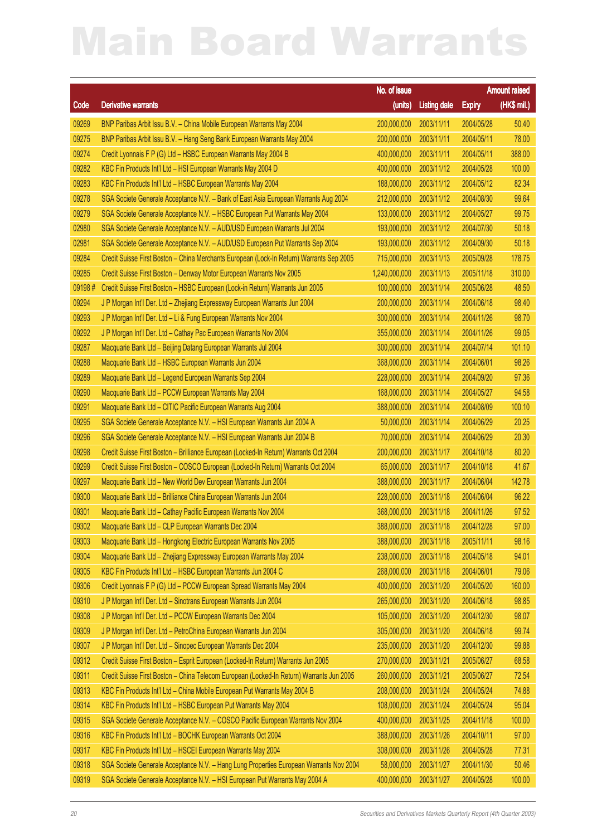|        |                                                                                          | No. of issue           |                     |               | <b>Amount raised</b> |
|--------|------------------------------------------------------------------------------------------|------------------------|---------------------|---------------|----------------------|
| Code   | <b>Derivative warrants</b>                                                               | (units)                | <b>Listing date</b> | <b>Expiry</b> | (HK\$ mil.)          |
| 09269  | BNP Paribas Arbit Issu B.V. - China Mobile European Warrants May 2004                    | 200,000,000            | 2003/11/11          | 2004/05/28    | 50.40                |
| 09275  | BNP Paribas Arbit Issu B.V. - Hang Seng Bank European Warrants May 2004                  | 200,000,000            | 2003/11/11          | 2004/05/11    | 78.00                |
| 09274  | Credit Lyonnais F P (G) Ltd - HSBC European Warrants May 2004 B                          | 400,000,000            | 2003/11/11          | 2004/05/11    | 388.00               |
| 09282  | KBC Fin Products Int'l Ltd - HSI European Warrants May 2004 D                            | 400,000,000            | 2003/11/12          | 2004/05/28    | 100.00               |
| 09283  | KBC Fin Products Int'l Ltd - HSBC European Warrants May 2004                             | 188,000,000            | 2003/11/12          | 2004/05/12    | 82.34                |
| 09278  | SGA Societe Generale Acceptance N.V. - Bank of East Asia European Warrants Aug 2004      | 212,000,000            | 2003/11/12          | 2004/08/30    | 99.64                |
| 09279  | SGA Societe Generale Acceptance N.V. - HSBC European Put Warrants May 2004               | 133,000,000            | 2003/11/12          | 2004/05/27    | 99.75                |
| 02980  | SGA Societe Generale Acceptance N.V. - AUD/USD European Warrants Jul 2004                | 193,000,000            | 2003/11/12          | 2004/07/30    | 50.18                |
| 02981  | SGA Societe Generale Acceptance N.V. - AUD/USD European Put Warrants Sep 2004            | 193,000,000            | 2003/11/12          | 2004/09/30    | 50.18                |
| 09284  | Credit Suisse First Boston - China Merchants European (Lock-In Return) Warrants Sep 2005 | 715,000,000            | 2003/11/13          | 2005/09/28    | 178.75               |
| 09285  | Credit Suisse First Boston - Denway Motor European Warrants Nov 2005                     | 1,240,000,000          | 2003/11/13          | 2005/11/18    | 310.00               |
| 09198# | Credit Suisse First Boston - HSBC European (Lock-in Return) Warrants Jun 2005            | 100,000,000            | 2003/11/14          | 2005/06/28    | 48.50                |
| 09294  | J P Morgan Int'l Der. Ltd - Zhejiang Expressway European Warrants Jun 2004               | 200,000,000            | 2003/11/14          | 2004/06/18    | 98.40                |
| 09293  | J P Morgan Int'l Der. Ltd - Li & Fung European Warrants Nov 2004                         | 300,000,000            | 2003/11/14          | 2004/11/26    | 98.70                |
| 09292  | J P Morgan Int'l Der. Ltd - Cathay Pac European Warrants Nov 2004                        | 355,000,000            | 2003/11/14          | 2004/11/26    | 99.05                |
| 09287  | Macquarie Bank Ltd - Beijing Datang European Warrants Jul 2004                           | 300,000,000            | 2003/11/14          | 2004/07/14    | 101.10               |
| 09288  | Macquarie Bank Ltd - HSBC European Warrants Jun 2004                                     | 368,000,000            | 2003/11/14          | 2004/06/01    | 98.26                |
| 09289  | Macquarie Bank Ltd - Legend European Warrants Sep 2004                                   | 228,000,000            | 2003/11/14          | 2004/09/20    | 97.36                |
| 09290  | Macquarie Bank Ltd - PCCW European Warrants May 2004                                     | 168,000,000            | 2003/11/14          | 2004/05/27    | 94.58                |
| 09291  | Macquarie Bank Ltd - CITIC Pacific European Warrants Aug 2004                            | 388,000,000            | 2003/11/14          | 2004/08/09    | 100.10               |
| 09295  | SGA Societe Generale Acceptance N.V. - HSI European Warrants Jun 2004 A                  | 50,000,000             | 2003/11/14          | 2004/06/29    | 20.25                |
| 09296  | SGA Societe Generale Acceptance N.V. - HSI European Warrants Jun 2004 B                  | 70,000,000             | 2003/11/14          | 2004/06/29    | 20.30                |
| 09298  | Credit Suisse First Boston - Brilliance European (Locked-In Return) Warrants Oct 2004    | 200,000,000            | 2003/11/17          | 2004/10/18    | 80.20                |
| 09299  | Credit Suisse First Boston - COSCO European (Locked-In Return) Warrants Oct 2004         | 65,000,000             | 2003/11/17          | 2004/10/18    | 41.67                |
| 09297  | Macquarie Bank Ltd - New World Dev European Warrants Jun 2004                            | 388,000,000            | 2003/11/17          | 2004/06/04    | 142.78               |
| 09300  | Macquarie Bank Ltd - Brilliance China European Warrants Jun 2004                         | 228,000,000            | 2003/11/18          | 2004/06/04    | 96.22                |
| 09301  | Macquarie Bank Ltd - Cathay Pacific European Warrants Nov 2004                           | 368,000,000            | 2003/11/18          | 2004/11/26    | 97.52                |
| 09302  | Macquarie Bank Ltd - CLP European Warrants Dec 2004                                      | 388,000,000 2003/11/18 |                     | 2004/12/28    | 97.00                |
| 09303  | Macquarie Bank Ltd - Hongkong Electric European Warrants Nov 2005                        | 388,000,000            | 2003/11/18          | 2005/11/11    | 98.16                |
| 09304  | Macquarie Bank Ltd - Zhejiang Expressway European Warrants May 2004                      | 238,000,000            | 2003/11/18          | 2004/05/18    | 94.01                |
| 09305  | KBC Fin Products Int'l Ltd - HSBC European Warrants Jun 2004 C                           | 268,000,000            | 2003/11/18          | 2004/06/01    | 79.06                |
| 09306  | Credit Lyonnais F P (G) Ltd - PCCW European Spread Warrants May 2004                     | 400,000,000            | 2003/11/20          | 2004/05/20    | 160.00               |
| 09310  | J P Morgan Int'l Der. Ltd - Sinotrans European Warrants Jun 2004                         | 265,000,000            | 2003/11/20          | 2004/06/18    | 98.85                |
| 09308  | J P Morgan Int'l Der. Ltd - PCCW European Warrants Dec 2004                              | 105,000,000            | 2003/11/20          | 2004/12/30    | 98.07                |
| 09309  | J P Morgan Int'l Der. Ltd - PetroChina European Warrants Jun 2004                        | 305,000,000            | 2003/11/20          | 2004/06/18    | 99.74                |
| 09307  | J P Morgan Int'l Der. Ltd - Sinopec European Warrants Dec 2004                           | 235,000,000            | 2003/11/20          | 2004/12/30    | 99.88                |
| 09312  | Credit Suisse First Boston - Esprit European (Locked-In Return) Warrants Jun 2005        | 270,000,000            | 2003/11/21          | 2005/06/27    | 68.58                |
| 09311  | Credit Suisse First Boston - China Telecom European (Locked-In Return) Warrants Jun 2005 | 260,000,000            | 2003/11/21          | 2005/06/27    | 72.54                |
| 09313  | KBC Fin Products Int'l Ltd - China Mobile European Put Warrants May 2004 B               | 208,000,000            | 2003/11/24          | 2004/05/24    | 74.88                |
| 09314  | KBC Fin Products Int'l Ltd - HSBC European Put Warrants May 2004                         | 108,000,000            | 2003/11/24          | 2004/05/24    | 95.04                |
| 09315  | SGA Societe Generale Acceptance N.V. - COSCO Pacific European Warrants Nov 2004          | 400,000,000            | 2003/11/25          | 2004/11/18    | 100.00               |
| 09316  | KBC Fin Products Int'l Ltd - BOCHK European Warrants Oct 2004                            | 388,000,000            | 2003/11/26          | 2004/10/11    | 97.00                |
| 09317  | KBC Fin Products Int'l Ltd - HSCEI European Warrants May 2004                            | 308,000,000            | 2003/11/26          | 2004/05/28    | 77.31                |
| 09318  | SGA Societe Generale Acceptance N.V. - Hang Lung Properties European Warrants Nov 2004   | 58,000,000             | 2003/11/27          | 2004/11/30    | 50.46                |
| 09319  | SGA Societe Generale Acceptance N.V. - HSI European Put Warrants May 2004 A              | 400,000,000            | 2003/11/27          | 2004/05/28    | 100.00               |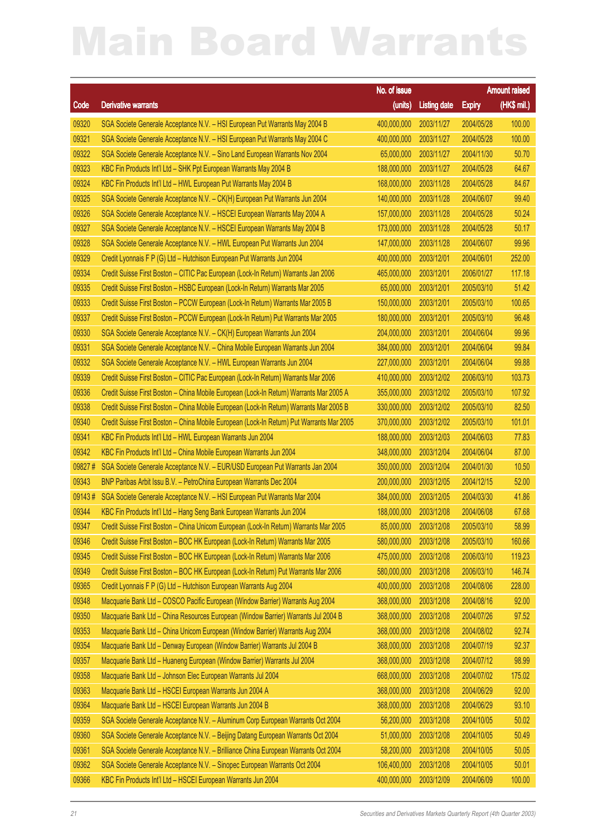|        |                                                                                           | No. of issue |                       |               | <b>Amount raised</b> |
|--------|-------------------------------------------------------------------------------------------|--------------|-----------------------|---------------|----------------------|
| Code   | <b>Derivative warrants</b>                                                                | (units)      | <b>Listing date</b>   | <b>Expiry</b> | (HK\$ mil.)          |
| 09320  | SGA Societe Generale Acceptance N.V. - HSI European Put Warrants May 2004 B               | 400,000,000  | 2003/11/27            | 2004/05/28    | 100.00               |
| 09321  | SGA Societe Generale Acceptance N.V. - HSI European Put Warrants May 2004 C               | 400,000,000  | 2003/11/27            | 2004/05/28    | 100.00               |
| 09322  | SGA Societe Generale Acceptance N.V. - Sino Land European Warrants Nov 2004               | 65,000,000   | 2003/11/27            | 2004/11/30    | 50.70                |
| 09323  | KBC Fin Products Int'l Ltd - SHK Ppt European Warrants May 2004 B                         | 188,000,000  | 2003/11/27            | 2004/05/28    | 64.67                |
| 09324  | KBC Fin Products Int'l Ltd - HWL European Put Warrants May 2004 B                         | 168,000,000  | 2003/11/28            | 2004/05/28    | 84.67                |
| 09325  | SGA Societe Generale Acceptance N.V. - CK(H) European Put Warrants Jun 2004               | 140,000,000  | 2003/11/28            | 2004/06/07    | 99.40                |
| 09326  | SGA Societe Generale Acceptance N.V. - HSCEI European Warrants May 2004 A                 | 157,000,000  | 2003/11/28            | 2004/05/28    | 50.24                |
| 09327  | SGA Societe Generale Acceptance N.V. - HSCEI European Warrants May 2004 B                 | 173,000,000  | 2003/11/28            | 2004/05/28    | 50.17                |
| 09328  | SGA Societe Generale Acceptance N.V. - HWL European Put Warrants Jun 2004                 | 147,000,000  | 2003/11/28            | 2004/06/07    | 99.96                |
| 09329  | Credit Lyonnais F P (G) Ltd - Hutchison European Put Warrants Jun 2004                    | 400,000,000  | 2003/12/01            | 2004/06/01    | 252.00               |
| 09334  | Credit Suisse First Boston - CITIC Pac European (Lock-In Return) Warrants Jan 2006        | 465,000,000  | 2003/12/01            | 2006/01/27    | 117.18               |
| 09335  | Credit Suisse First Boston - HSBC European (Lock-In Return) Warrants Mar 2005             | 65,000,000   | 2003/12/01            | 2005/03/10    | 51.42                |
| 09333  | Credit Suisse First Boston - PCCW European (Lock-In Return) Warrants Mar 2005 B           | 150,000,000  | 2003/12/01            | 2005/03/10    | 100.65               |
| 09337  | Credit Suisse First Boston - PCCW European (Lock-In Return) Put Warrants Mar 2005         | 180,000,000  | 2003/12/01            | 2005/03/10    | 96.48                |
| 09330  | SGA Societe Generale Acceptance N.V. - CK(H) European Warrants Jun 2004                   | 204,000,000  | 2003/12/01            | 2004/06/04    | 99.96                |
| 09331  | SGA Societe Generale Acceptance N.V. - China Mobile European Warrants Jun 2004            | 384,000,000  | 2003/12/01            | 2004/06/04    | 99.84                |
| 09332  | SGA Societe Generale Acceptance N.V. - HWL European Warrants Jun 2004                     | 227,000,000  | 2003/12/01            | 2004/06/04    | 99.88                |
| 09339  | Credit Suisse First Boston - CITIC Pac European (Lock-In Return) Warrants Mar 2006        | 410,000,000  | 2003/12/02            | 2006/03/10    | 103.73               |
| 09336  | Credit Suisse First Boston - China Mobile European (Lock-In Return) Warrants Mar 2005 A   | 355,000,000  | 2003/12/02            | 2005/03/10    | 107.92               |
| 09338  | Credit Suisse First Boston - China Mobile European (Lock-In Return) Warrants Mar 2005 B   | 330,000,000  | 2003/12/02            | 2005/03/10    | 82.50                |
| 09340  | Credit Suisse First Boston - China Mobile European (Lock-In Return) Put Warrants Mar 2005 | 370,000,000  | 2003/12/02            | 2005/03/10    | 101.01               |
| 09341  | KBC Fin Products Int'l Ltd - HWL European Warrants Jun 2004                               | 188,000,000  | 2003/12/03            | 2004/06/03    | 77.83                |
| 09342  | KBC Fin Products Int'l Ltd - China Mobile European Warrants Jun 2004                      | 348,000,000  | 2003/12/04            | 2004/06/04    | 87.00                |
| 09827# | SGA Societe Generale Acceptance N.V. - EUR/USD European Put Warrants Jan 2004             | 350,000,000  | 2003/12/04            | 2004/01/30    | 10.50                |
| 09343  | BNP Paribas Arbit Issu B.V. - PetroChina European Warrants Dec 2004                       | 200,000,000  | 2003/12/05            | 2004/12/15    | 52.00                |
| 09143# | SGA Societe Generale Acceptance N.V. - HSI European Put Warrants Mar 2004                 | 384,000,000  | 2003/12/05            | 2004/03/30    | 41.86                |
| 09344  | KBC Fin Products Int'l Ltd - Hang Seng Bank European Warrants Jun 2004                    | 188,000,000  | 2003/12/08            | 2004/06/08    | 67.68                |
| 09347  | Credit Suisse First Boston - China Unicom European (Lock-In Return) Warrants Mar 2005     |              | 85,000,000 2003/12/08 | 2005/03/10    | 58.99                |
| 09346  | Credit Suisse First Boston - BOC HK European (Lock-In Return) Warrants Mar 2005           | 580,000,000  | 2003/12/08            | 2005/03/10    | 160.66               |
| 09345  | Credit Suisse First Boston - BOC HK European (Lock-In Return) Warrants Mar 2006           | 475,000,000  | 2003/12/08            | 2006/03/10    | 119.23               |
| 09349  | Credit Suisse First Boston - BOC HK European (Lock-In Return) Put Warrants Mar 2006       | 580,000,000  | 2003/12/08            | 2006/03/10    | 146.74               |
| 09365  | Credit Lyonnais F P (G) Ltd - Hutchison European Warrants Aug 2004                        | 400,000,000  | 2003/12/08            | 2004/08/06    | 228.00               |
| 09348  | Macquarie Bank Ltd - COSCO Pacific European (Window Barrier) Warrants Aug 2004            | 368,000,000  | 2003/12/08            | 2004/08/16    | 92.00                |
| 09350  | Macquarie Bank Ltd - China Resources European (Window Barrier) Warrants Jul 2004 B        | 368,000,000  | 2003/12/08            | 2004/07/26    | 97.52                |
| 09353  | Macquarie Bank Ltd - China Unicom European (Window Barrier) Warrants Aug 2004             | 368,000,000  | 2003/12/08            | 2004/08/02    | 92.74                |
| 09354  | Macquarie Bank Ltd - Denway European (Window Barrier) Warrants Jul 2004 B                 | 368,000,000  | 2003/12/08            | 2004/07/19    | 92.37                |
| 09357  | Macquarie Bank Ltd - Huaneng European (Window Barrier) Warrants Jul 2004                  | 368,000,000  | 2003/12/08            | 2004/07/12    | 98.99                |
| 09358  | Macquarie Bank Ltd - Johnson Elec European Warrants Jul 2004                              | 668,000,000  | 2003/12/08            | 2004/07/02    | 175.02               |
| 09363  | Macquarie Bank Ltd - HSCEI European Warrants Jun 2004 A                                   | 368,000,000  | 2003/12/08            | 2004/06/29    | 92.00                |
| 09364  | Macquarie Bank Ltd - HSCEI European Warrants Jun 2004 B                                   | 368,000,000  | 2003/12/08            | 2004/06/29    | 93.10                |
| 09359  | SGA Societe Generale Acceptance N.V. - Aluminum Corp European Warrants Oct 2004           | 56,200,000   | 2003/12/08            | 2004/10/05    | 50.02                |
| 09360  | SGA Societe Generale Acceptance N.V. - Beijing Datang European Warrants Oct 2004          | 51,000,000   | 2003/12/08            | 2004/10/05    | 50.49                |
| 09361  | SGA Societe Generale Acceptance N.V. - Brilliance China European Warrants Oct 2004        | 58,200,000   | 2003/12/08            | 2004/10/05    | 50.05                |
| 09362  | SGA Societe Generale Acceptance N.V. - Sinopec European Warrants Oct 2004                 | 106,400,000  | 2003/12/08            | 2004/10/05    | 50.01                |
| 09366  | KBC Fin Products Int'l Ltd - HSCEI European Warrants Jun 2004                             | 400,000,000  | 2003/12/09            | 2004/06/09    | 100.00               |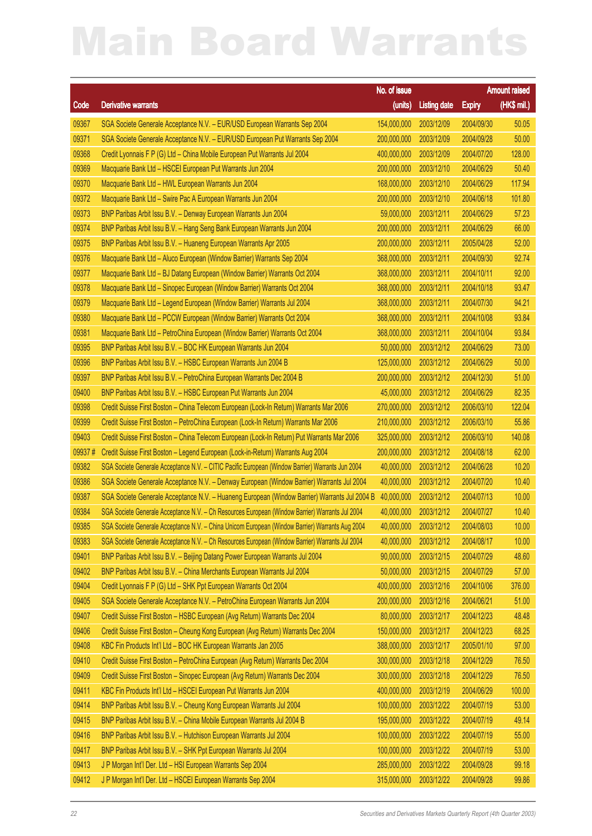|        |                                                                                                  | No. of issue |                       |               | <b>Amount raised</b> |
|--------|--------------------------------------------------------------------------------------------------|--------------|-----------------------|---------------|----------------------|
| Code   | <b>Derivative warrants</b>                                                                       | (units)      | <b>Listing date</b>   | <b>Expiry</b> | $(HK$$ mil.)         |
| 09367  | SGA Societe Generale Acceptance N.V. - EUR/USD European Warrants Sep 2004                        | 154,000,000  | 2003/12/09            | 2004/09/30    | 50.05                |
| 09371  | SGA Societe Generale Acceptance N.V. - EUR/USD European Put Warrants Sep 2004                    | 200,000,000  | 2003/12/09            | 2004/09/28    | 50.00                |
| 09368  | Credit Lyonnais F P (G) Ltd - China Mobile European Put Warrants Jul 2004                        | 400,000,000  | 2003/12/09            | 2004/07/20    | 128.00               |
| 09369  | Macquarie Bank Ltd - HSCEI European Put Warrants Jun 2004                                        | 200,000,000  | 2003/12/10            | 2004/06/29    | 50.40                |
| 09370  | Macquarie Bank Ltd - HWL European Warrants Jun 2004                                              | 168,000,000  | 2003/12/10            | 2004/06/29    | 117.94               |
| 09372  | Macquarie Bank Ltd - Swire Pac A European Warrants Jun 2004                                      | 200,000,000  | 2003/12/10            | 2004/06/18    | 101.80               |
| 09373  | BNP Paribas Arbit Issu B.V. - Denway European Warrants Jun 2004                                  | 59,000,000   | 2003/12/11            | 2004/06/29    | 57.23                |
| 09374  | BNP Paribas Arbit Issu B.V. - Hang Seng Bank European Warrants Jun 2004                          | 200,000,000  | 2003/12/11            | 2004/06/29    | 66.00                |
| 09375  | BNP Paribas Arbit Issu B.V. - Huaneng European Warrants Apr 2005                                 | 200,000,000  | 2003/12/11            | 2005/04/28    | 52.00                |
| 09376  | Macquarie Bank Ltd - Aluco European (Window Barrier) Warrants Sep 2004                           | 368,000,000  | 2003/12/11            | 2004/09/30    | 92.74                |
| 09377  | Macquarie Bank Ltd - BJ Datang European (Window Barrier) Warrants Oct 2004                       | 368,000,000  | 2003/12/11            | 2004/10/11    | 92.00                |
| 09378  | Macquarie Bank Ltd - Sinopec European (Window Barrier) Warrants Oct 2004                         | 368,000,000  | 2003/12/11            | 2004/10/18    | 93.47                |
| 09379  | Macquarie Bank Ltd - Legend European (Window Barrier) Warrants Jul 2004                          | 368,000,000  | 2003/12/11            | 2004/07/30    | 94.21                |
| 09380  | Macquarie Bank Ltd - PCCW European (Window Barrier) Warrants Oct 2004                            | 368,000,000  | 2003/12/11            | 2004/10/08    | 93.84                |
| 09381  | Macquarie Bank Ltd - PetroChina European (Window Barrier) Warrants Oct 2004                      | 368,000,000  | 2003/12/11            | 2004/10/04    | 93.84                |
| 09395  | BNP Paribas Arbit Issu B.V. - BOC HK European Warrants Jun 2004                                  | 50,000,000   | 2003/12/12            | 2004/06/29    | 73.00                |
| 09396  | BNP Paribas Arbit Issu B.V. - HSBC European Warrants Jun 2004 B                                  | 125,000,000  | 2003/12/12            | 2004/06/29    | 50.00                |
| 09397  | BNP Paribas Arbit Issu B.V. - PetroChina European Warrants Dec 2004 B                            | 200,000,000  | 2003/12/12            | 2004/12/30    | 51.00                |
| 09400  | BNP Paribas Arbit Issu B.V. - HSBC European Put Warrants Jun 2004                                | 45,000,000   | 2003/12/12            | 2004/06/29    | 82.35                |
| 09398  | Credit Suisse First Boston - China Telecom European (Lock-In Return) Warrants Mar 2006           | 270,000,000  | 2003/12/12            | 2006/03/10    | 122.04               |
| 09399  | Credit Suisse First Boston - PetroChina European (Lock-In Return) Warrants Mar 2006              | 210,000,000  | 2003/12/12            | 2006/03/10    | 55.86                |
| 09403  | Credit Suisse First Boston - China Telecom European (Lock-In Return) Put Warrants Mar 2006       | 325,000,000  | 2003/12/12            | 2006/03/10    | 140.08               |
| 09937# | Credit Suisse First Boston - Legend European (Lock-in-Return) Warrants Aug 2004                  | 200,000,000  | 2003/12/12            | 2004/08/18    | 62.00                |
| 09382  | SGA Societe Generale Acceptance N.V. - CITIC Pacific European (Window Barrier) Warrants Jun 2004 | 40,000,000   | 2003/12/12            | 2004/06/28    | 10.20                |
| 09386  | SGA Societe Generale Acceptance N.V. - Denway European (Window Barrier) Warrants Jul 2004        | 40,000,000   | 2003/12/12            | 2004/07/20    | 10.40                |
| 09387  | SGA Societe Generale Acceptance N.V. - Huaneng European (Window Barrier) Warrants Jul 2004 B     | 40,000,000   | 2003/12/12            | 2004/07/13    | 10.00                |
| 09384  | SGA Societe Generale Acceptance N.V. - Ch Resources European (Window Barrier) Warrants Jul 2004  | 40,000,000   | 2003/12/12            | 2004/07/27    | 10.40                |
| 09385  | SGA Societe Generale Acceptance N.V. - China Unicom European (Window Barrier) Warrants Aug 2004  |              | 40,000,000 2003/12/12 | 2004/08/03    | 10.00                |
| 09383  | SGA Societe Generale Acceptance N.V. - Ch Resources European (Window Barrier) Warrants Jul 2004  | 40,000,000   | 2003/12/12            | 2004/08/17    | 10.00                |
| 09401  | BNP Paribas Arbit Issu B.V. - Beijing Datang Power European Warrants Jul 2004                    | 90,000,000   | 2003/12/15            | 2004/07/29    | 48.60                |
| 09402  | BNP Paribas Arbit Issu B.V. - China Merchants European Warrants Jul 2004                         | 50,000,000   | 2003/12/15            | 2004/07/29    | 57.00                |
| 09404  | Credit Lyonnais F P (G) Ltd - SHK Ppt European Warrants Oct 2004                                 | 400,000,000  | 2003/12/16            | 2004/10/06    | 376.00               |
| 09405  | SGA Societe Generale Acceptance N.V. - PetroChina European Warrants Jun 2004                     | 200,000,000  | 2003/12/16            | 2004/06/21    | 51.00                |
| 09407  | Credit Suisse First Boston - HSBC European (Avg Return) Warrants Dec 2004                        | 80,000,000   | 2003/12/17            | 2004/12/23    | 48.48                |
| 09406  | Credit Suisse First Boston - Cheung Kong European (Avg Return) Warrants Dec 2004                 | 150,000,000  | 2003/12/17            | 2004/12/23    | 68.25                |
| 09408  | KBC Fin Products Int'l Ltd - BOC HK European Warrants Jan 2005                                   | 388,000,000  | 2003/12/17            | 2005/01/10    | 97.00                |
| 09410  | Credit Suisse First Boston - PetroChina European (Avg Return) Warrants Dec 2004                  | 300,000,000  | 2003/12/18            | 2004/12/29    | 76.50                |
| 09409  | Credit Suisse First Boston - Sinopec European (Avg Return) Warrants Dec 2004                     | 300,000,000  | 2003/12/18            | 2004/12/29    | 76.50                |
| 09411  | KBC Fin Products Int'l Ltd - HSCEI European Put Warrants Jun 2004                                | 400,000,000  | 2003/12/19            | 2004/06/29    | 100.00               |
| 09414  | BNP Paribas Arbit Issu B.V. - Cheung Kong European Warrants Jul 2004                             | 100,000,000  | 2003/12/22            | 2004/07/19    | 53.00                |
| 09415  | BNP Paribas Arbit Issu B.V. - China Mobile European Warrants Jul 2004 B                          | 195,000,000  | 2003/12/22            | 2004/07/19    | 49.14                |
| 09416  | BNP Paribas Arbit Issu B.V. - Hutchison European Warrants Jul 2004                               | 100,000,000  | 2003/12/22            | 2004/07/19    | 55.00                |
| 09417  | BNP Paribas Arbit Issu B.V. - SHK Ppt European Warrants Jul 2004                                 | 100,000,000  | 2003/12/22            | 2004/07/19    | 53.00                |
| 09413  | J P Morgan Int'l Der. Ltd - HSI European Warrants Sep 2004                                       | 285,000,000  | 2003/12/22            | 2004/09/28    | 99.18                |
| 09412  | J P Morgan Int'l Der. Ltd - HSCEI European Warrants Sep 2004                                     | 315,000,000  | 2003/12/22            | 2004/09/28    | 99.86                |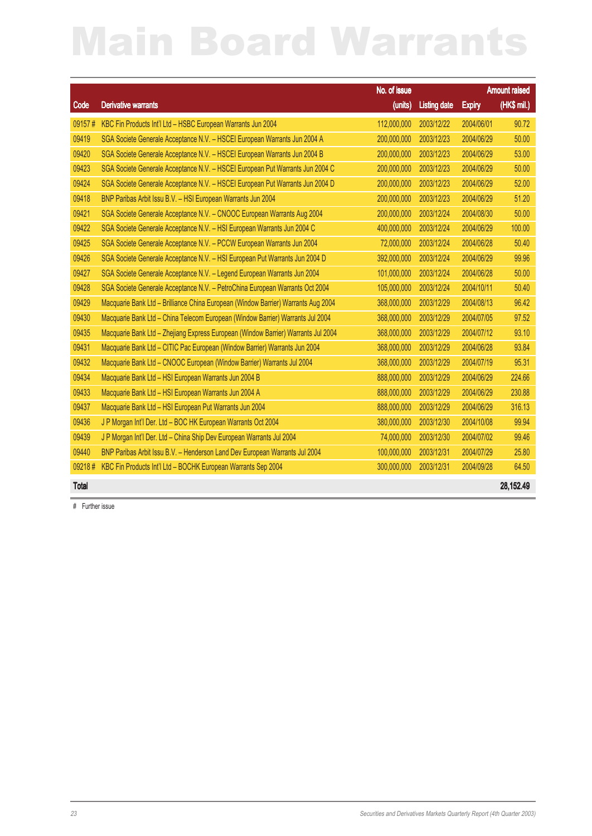|              |                                                                                   | No. of issue |                     |               | <b>Amount raised</b> |
|--------------|-----------------------------------------------------------------------------------|--------------|---------------------|---------------|----------------------|
| Code         | <b>Derivative warrants</b>                                                        | (units)      | <b>Listing date</b> | <b>Expiry</b> | (HK\$ mil.)          |
| 09157#       | KBC Fin Products Int'l Ltd - HSBC European Warrants Jun 2004                      | 112,000,000  | 2003/12/22          | 2004/06/01    | 90.72                |
| 09419        | SGA Societe Generale Acceptance N.V. - HSCEI European Warrants Jun 2004 A         | 200,000,000  | 2003/12/23          | 2004/06/29    | 50.00                |
| 09420        | SGA Societe Generale Acceptance N.V. - HSCEI European Warrants Jun 2004 B         | 200,000,000  | 2003/12/23          | 2004/06/29    | 53.00                |
| 09423        | SGA Societe Generale Acceptance N.V. - HSCEI European Put Warrants Jun 2004 C     | 200,000,000  | 2003/12/23          | 2004/06/29    | 50.00                |
| 09424        | SGA Societe Generale Acceptance N.V. - HSCEI European Put Warrants Jun 2004 D     | 200,000,000  | 2003/12/23          | 2004/06/29    | 52.00                |
| 09418        | BNP Paribas Arbit Issu B.V. - HSI European Warrants Jun 2004                      | 200,000,000  | 2003/12/23          | 2004/06/29    | 51.20                |
| 09421        | SGA Societe Generale Acceptance N.V. - CNOOC European Warrants Aug 2004           | 200,000,000  | 2003/12/24          | 2004/08/30    | 50.00                |
| 09422        | SGA Societe Generale Acceptance N.V. - HSI European Warrants Jun 2004 C           | 400,000,000  | 2003/12/24          | 2004/06/29    | 100.00               |
| 09425        | SGA Societe Generale Acceptance N.V. - PCCW European Warrants Jun 2004            | 72,000,000   | 2003/12/24          | 2004/06/28    | 50.40                |
| 09426        | SGA Societe Generale Acceptance N.V. - HSI European Put Warrants Jun 2004 D       | 392,000,000  | 2003/12/24          | 2004/06/29    | 99.96                |
| 09427        | SGA Societe Generale Acceptance N.V. - Legend European Warrants Jun 2004          | 101,000,000  | 2003/12/24          | 2004/06/28    | 50.00                |
| 09428        | SGA Societe Generale Acceptance N.V. - PetroChina European Warrants Oct 2004      | 105,000,000  | 2003/12/24          | 2004/10/11    | 50.40                |
| 09429        | Macquarie Bank Ltd - Brilliance China European (Window Barrier) Warrants Aug 2004 | 368,000,000  | 2003/12/29          | 2004/08/13    | 96.42                |
| 09430        | Macquarie Bank Ltd - China Telecom European (Window Barrier) Warrants Jul 2004    | 368,000,000  | 2003/12/29          | 2004/07/05    | 97.52                |
| 09435        | Macquarie Bank Ltd - Zhejiang Express European (Window Barrier) Warrants Jul 2004 | 368,000,000  | 2003/12/29          | 2004/07/12    | 93.10                |
| 09431        | Macquarie Bank Ltd - CITIC Pac European (Window Barrier) Warrants Jun 2004        | 368,000,000  | 2003/12/29          | 2004/06/28    | 93.84                |
| 09432        | Macquarie Bank Ltd - CNOOC European (Window Barrier) Warrants Jul 2004            | 368,000,000  | 2003/12/29          | 2004/07/19    | 95.31                |
| 09434        | Macquarie Bank Ltd - HSI European Warrants Jun 2004 B                             | 888,000,000  | 2003/12/29          | 2004/06/29    | 224.66               |
| 09433        | Macquarie Bank Ltd - HSI European Warrants Jun 2004 A                             | 888,000,000  | 2003/12/29          | 2004/06/29    | 230.88               |
| 09437        | Macquarie Bank Ltd - HSI European Put Warrants Jun 2004                           | 888,000,000  | 2003/12/29          | 2004/06/29    | 316.13               |
| 09436        | J P Morgan Int'l Der. Ltd - BOC HK European Warrants Oct 2004                     | 380,000,000  | 2003/12/30          | 2004/10/08    | 99.94                |
| 09439        | J P Morgan Int'l Der. Ltd - China Ship Dev European Warrants Jul 2004             | 74,000,000   | 2003/12/30          | 2004/07/02    | 99.46                |
| 09440        | BNP Paribas Arbit Issu B.V. - Henderson Land Dev European Warrants Jul 2004       | 100,000,000  | 2003/12/31          | 2004/07/29    | 25.80                |
| 09218#       | KBC Fin Products Int'l Ltd - BOCHK European Warrants Sep 2004                     | 300,000,000  | 2003/12/31          | 2004/09/28    | 64.50                |
| <b>Total</b> |                                                                                   |              |                     |               | 28,152.49            |

# Further issue

23 Securities and Derivatives Markets Quarterly Report (4th Quarter 2003)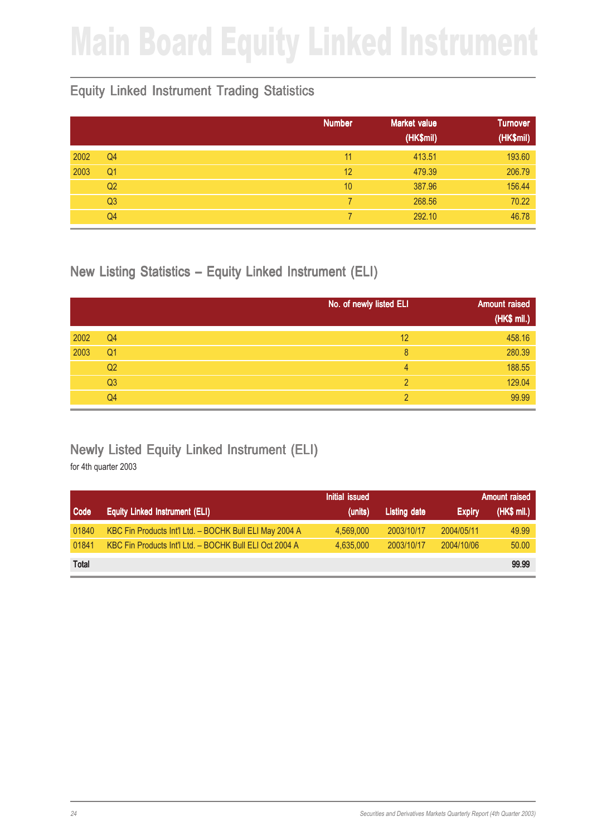## Main Board Equity Linked Instrument

#### Equity Linked Instrument Trading Statistics

|      |                | <b>Number</b> | <b>Market value</b><br>(HK\$mil) | <b>Turnover</b><br>(HK\$mil) |
|------|----------------|---------------|----------------------------------|------------------------------|
| 2002 | Q <sub>4</sub> | 11            | 413.51                           | 193.60                       |
| 2003 | Q <sub>1</sub> | 12            | 479.39                           | 206.79                       |
|      | Q <sub>2</sub> | 10            | 387.96                           | 156.44                       |
|      | Q <sub>3</sub> |               | 268.56                           | 70.22                        |
|      | Q4             |               | 292.10                           | 46.78                        |

New Listing Statistics – Equity Linked Instrument (ELI)

|      |                | No. of newly listed ELI | <b>Amount raised</b> |
|------|----------------|-------------------------|----------------------|
|      |                |                         | (HK\$ mil.)          |
| 2002 | Q <sub>4</sub> | 12                      | 458.16               |
| 2003 | Q <sub>1</sub> | 8                       | 280.39               |
|      | Q <sub>2</sub> | 4                       | 188.55               |
|      | Q <sub>3</sub> | 2                       | 129.04               |
|      | Q4             | っ                       | 99.99                |

#### Newly Listed Equity Linked Instrument (ELI)

|              |                                                         | Initial issued |              |               | <b>Amount raised</b> |
|--------------|---------------------------------------------------------|----------------|--------------|---------------|----------------------|
| Code         | <b>Equity Linked Instrument (ELI)</b>                   | (units)        | Listing date | <b>Expiry</b> | (HK\$ mi.)           |
| 01840        | KBC Fin Products Int'l Ltd. - BOCHK Bull ELI May 2004 A | 4.569.000      | 2003/10/17   | 2004/05/11    | 49.99                |
| 01841        | KBC Fin Products Int'l Ltd. - BOCHK Bull ELI Oct 2004 A | 4.635.000      | 2003/10/17   | 2004/10/06    | 50.00                |
| <b>Total</b> |                                                         |                |              |               | 99.99                |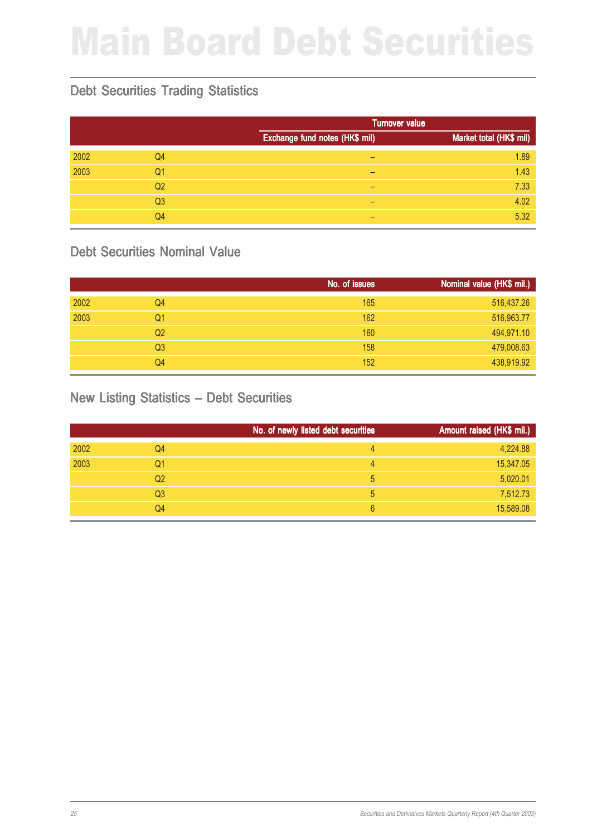## Main Board Debt Securities

#### Debt Securities Trading Statistics

|      |                |                                | <b>Turnover value</b>   |  |  |
|------|----------------|--------------------------------|-------------------------|--|--|
|      |                | Exchange fund notes (HK\$ mil) | Market total (HK\$ mil) |  |  |
| 2002 | Q4             |                                | 1.89                    |  |  |
| 2003 | Q1             | -                              | 1.43                    |  |  |
|      | Q2             | -                              | 7.33                    |  |  |
|      | Q <sub>3</sub> | -                              | 4.02                    |  |  |
|      | Q4             | $\overline{\phantom{0}}$       | 5.32                    |  |  |

#### Debt Securities Nominal Value

|      |                | No. of issues | Nominal value (HK\$ mil.) |
|------|----------------|---------------|---------------------------|
| 2002 | Q <sub>4</sub> | 165           | 516,437.26                |
| 2003 | Q1             | 162           | 516,963.77                |
|      | Q <sub>2</sub> | 160           | 494,971.10                |
|      | Q <sub>3</sub> | 158           | 479,008.63                |
|      | Q4             | 152           | 438,919.92                |

#### New Listing Statistics – Debt Securities

|      |                | No. of newly listed debt securities | Amount raised (HK\$ mil.) |
|------|----------------|-------------------------------------|---------------------------|
| 2002 | Q4             | 4                                   | 4,224.88                  |
| 2003 | Q1             | 4                                   | 15,347.05                 |
|      | Q <sub>2</sub> | 5                                   | 5,020.01                  |
|      | Q3             | 5                                   | 7,512.73                  |
|      | Q4             | 6                                   | 15,589.08                 |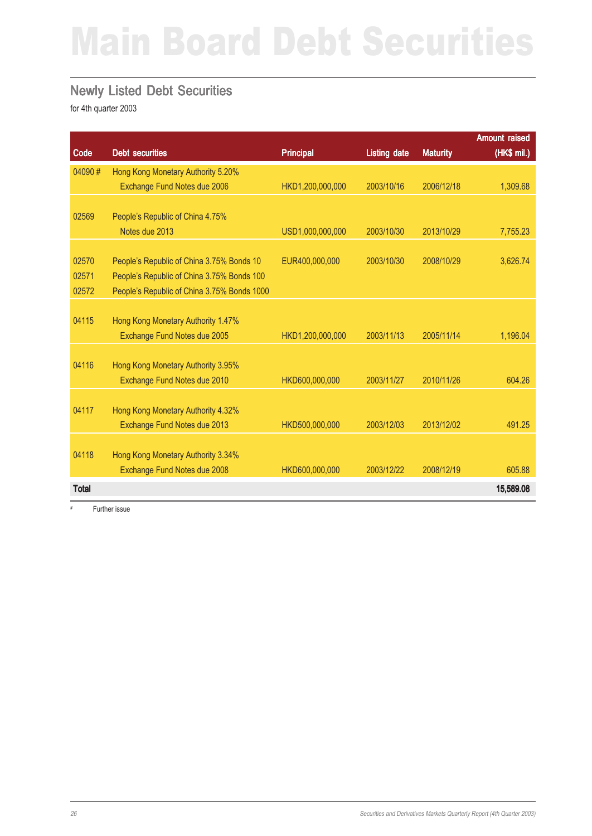## Main Board Debt Securities

#### Newly Listed Debt Securities

for 4th quarter 2003

|              |                                             |                  |                     |                 | <b>Amount raised</b> |
|--------------|---------------------------------------------|------------------|---------------------|-----------------|----------------------|
| Code         | <b>Debt securities</b>                      | <b>Principal</b> | <b>Listing date</b> | <b>Maturity</b> | (HK\$ mil.)          |
| 04090#       | Hong Kong Monetary Authority 5.20%          |                  |                     |                 |                      |
|              | Exchange Fund Notes due 2006                | HKD1,200,000,000 | 2003/10/16          | 2006/12/18      | 1,309.68             |
|              |                                             |                  |                     |                 |                      |
| 02569        | People's Republic of China 4.75%            |                  |                     |                 |                      |
|              | Notes due 2013                              | USD1,000,000,000 | 2003/10/30          | 2013/10/29      | 7,755.23             |
|              |                                             |                  |                     |                 |                      |
| 02570        | People's Republic of China 3.75% Bonds 10   | EUR400,000,000   | 2003/10/30          | 2008/10/29      | 3,626.74             |
| 02571        | People's Republic of China 3.75% Bonds 100  |                  |                     |                 |                      |
| 02572        | People's Republic of China 3.75% Bonds 1000 |                  |                     |                 |                      |
|              |                                             |                  |                     |                 |                      |
| 04115        | Hong Kong Monetary Authority 1.47%          |                  |                     |                 |                      |
|              | Exchange Fund Notes due 2005                | HKD1,200,000,000 | 2003/11/13          | 2005/11/14      | 1,196.04             |
|              |                                             |                  |                     |                 |                      |
| 04116        | Hong Kong Monetary Authority 3.95%          |                  |                     |                 |                      |
|              | Exchange Fund Notes due 2010                | HKD600,000,000   | 2003/11/27          | 2010/11/26      | 604.26               |
|              |                                             |                  |                     |                 |                      |
| 04117        | Hong Kong Monetary Authority 4.32%          |                  |                     |                 |                      |
|              | Exchange Fund Notes due 2013                | HKD500,000,000   | 2003/12/03          | 2013/12/02      | 491.25               |
|              |                                             |                  |                     |                 |                      |
| 04118        | Hong Kong Monetary Authority 3.34%          |                  |                     |                 |                      |
|              | Exchange Fund Notes due 2008                | HKD600,000,000   | 2003/12/22          | 2008/12/19      | 605.88               |
| <b>Total</b> |                                             |                  |                     |                 | 15,589.08            |

# Further issue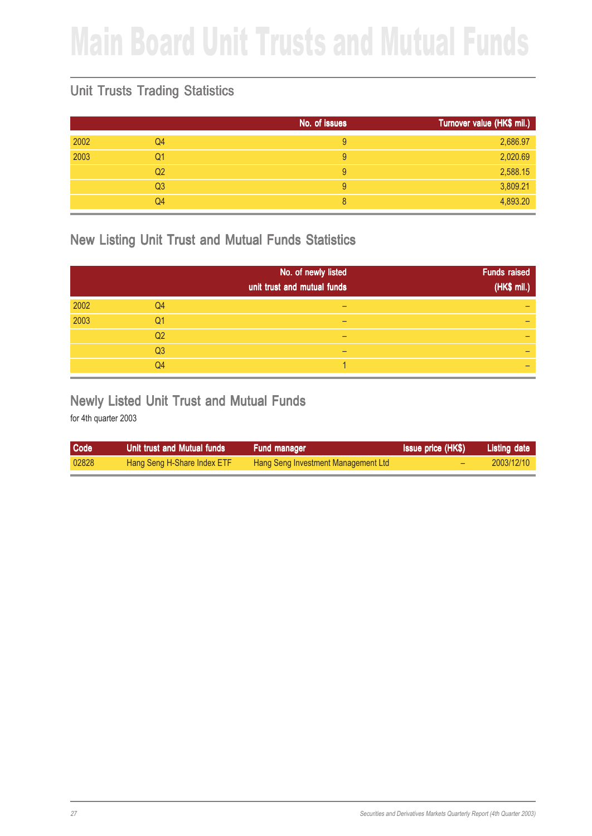## Main Board Unit Trusts and Mutual Funds

#### Unit Trusts Trading Statistics

|      |                | No. of issues | Turnover value (HK\$ mil.) |
|------|----------------|---------------|----------------------------|
| 2002 | Q4             | 9             | 2,686.97                   |
| 2003 | Q1             | 9             | 2,020.69                   |
|      | Q <sub>2</sub> | 9             | 2,588.15                   |
|      | Q <sub>3</sub> | 9             | 3,809.21                   |
|      | Q4             | 8             | 4,893.20                   |

#### New Listing Unit Trust and Mutual Funds Statistics

|      |                | No. of newly listed<br>unit trust and mutual funds | <b>Funds raised</b><br>(HK\$ mil.) |
|------|----------------|----------------------------------------------------|------------------------------------|
| 2002 | Q4             |                                                    |                                    |
| 2003 | Q1             |                                                    |                                    |
|      | Q2             |                                                    |                                    |
|      | Q <sub>3</sub> |                                                    |                                    |
|      | Q <sub>4</sub> |                                                    |                                    |

#### Newly Listed Unit Trust and Mutual Funds

| <b>Code</b> | Unit trust and Mutual funds | <b>Fund manager</b>                 | <b>Issue price (HK\$)</b> | Listing date |
|-------------|-----------------------------|-------------------------------------|---------------------------|--------------|
| 02828       | Hang Seng H-Share Index ETF | Hang Seng Investment Management Ltd |                           | 2003/12/10   |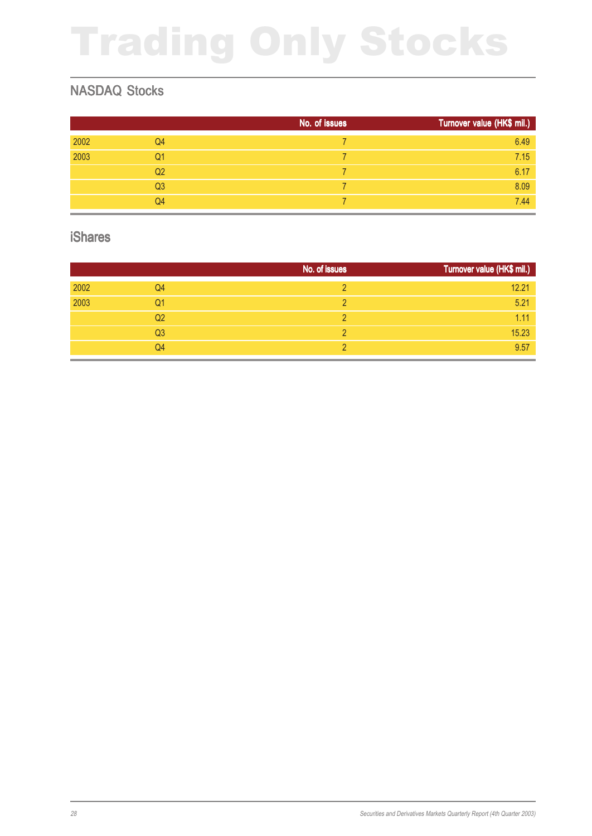## Trading Only Stocks

#### NASDAQ Stocks

|      |                | No. of issues | Turnover value (HK\$ mil.) |
|------|----------------|---------------|----------------------------|
| 2002 | Q4             |               | 6.49                       |
| 2003 | Q1             |               | 7.15                       |
|      | Q <sub>2</sub> |               | 6.17                       |
|      | Q <sub>3</sub> |               | 8.09                       |
|      | Q4             |               | 7.44                       |

#### iShares

|      |                | No. of issues | Turnover value (HK\$ mil.) |
|------|----------------|---------------|----------------------------|
| 2002 | Q4             |               | 12.21                      |
| 2003 | Q1             | ∩             | 5.21                       |
|      | Q2             |               | 1.11                       |
|      | Q <sub>3</sub> |               | 15.23                      |
|      | Q4             |               | 9.57                       |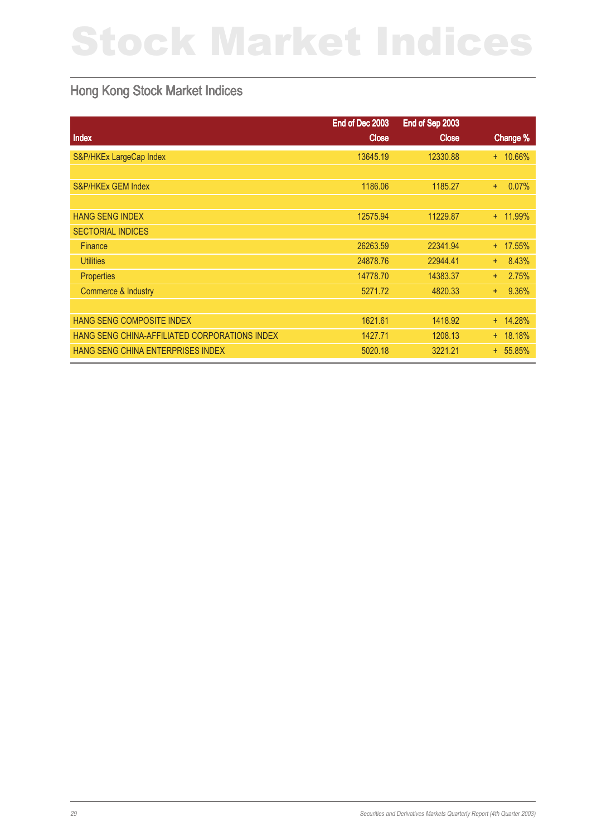## Stock Market Indices

#### Hong Kong Stock Market Indices

|                                               | End of Dec 2003 | End of Sep 2003 |              |
|-----------------------------------------------|-----------------|-----------------|--------------|
| Index                                         | <b>Close</b>    | <b>Close</b>    | Change %     |
| S&P/HKEx LargeCap Index                       | 13645.19        | 12330.88        | + 10.66%     |
|                                               |                 |                 |              |
| S&P/HKEx GEM Index                            | 1186.06         | 1185.27         | 0.07%<br>÷.  |
|                                               |                 |                 |              |
| <b>HANG SENG INDEX</b>                        | 12575.94        | 11229.87        | + 11.99%     |
| <b>SECTORIAL INDICES</b>                      |                 |                 |              |
| <b>Finance</b>                                | 26263.59        | 22341.94        | + 17.55%     |
| <b>Utilities</b>                              | 24878.76        | 22944.41        | 8.43%<br>$+$ |
| <b>Properties</b>                             | 14778.70        | 14383.37        | 2.75%<br>$+$ |
| Commerce & Industry                           | 5271.72         | 4820.33         | 9.36%<br>÷.  |
|                                               |                 |                 |              |
| HANG SENG COMPOSITE INDEX                     | 1621.61         | 1418.92         | $+ 14.28%$   |
| HANG SENG CHINA-AFFILIATED CORPORATIONS INDEX | 1427.71         | 1208.13         | $+ 18.18%$   |
| HANG SENG CHINA ENTERPRISES INDEX             | 5020.18         | 3221.21         | $+ 55.85%$   |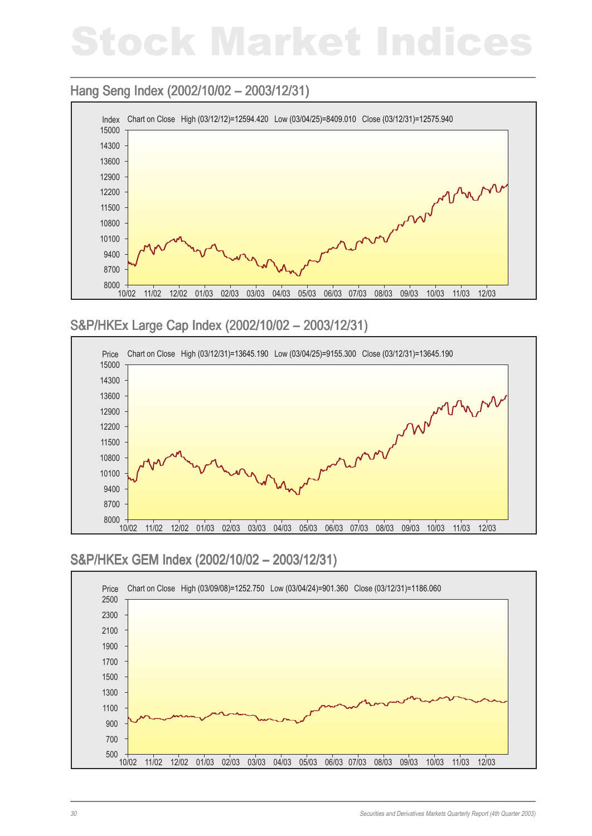## Stock Market Indices

#### Hang Seng Index (2002/10/02 – 2003/12/31)



#### S&P/HKEx Large Cap Index (2002/10/02 - 2003/12/31)



#### S&P/HKEx GEM Index (2002/10/02 - 2003/12/31)

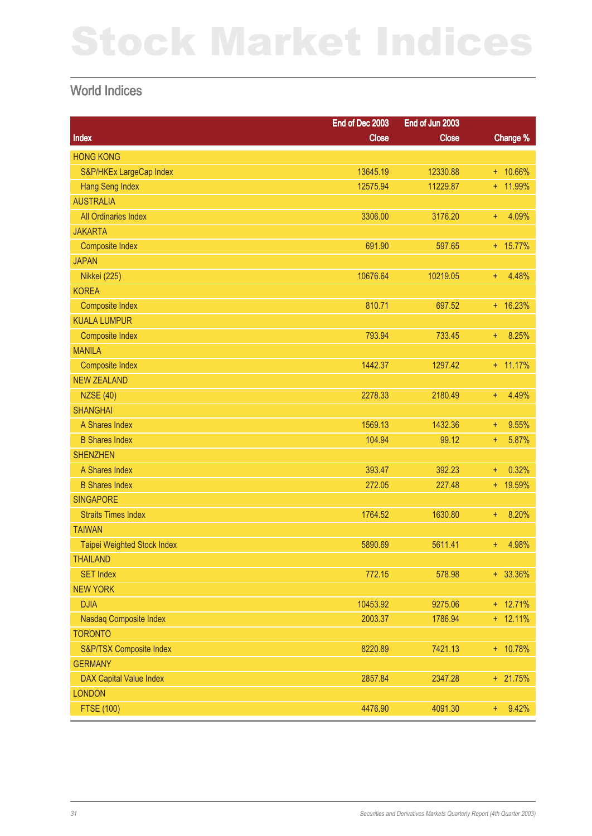## Stock Market Indices

#### World Indices

|                                | End of Dec 2003 | End of Jun 2003 |                |
|--------------------------------|-----------------|-----------------|----------------|
| <b>Index</b>                   | <b>Close</b>    | <b>Close</b>    | Change %       |
| <b>HONG KONG</b>               |                 |                 |                |
| S&P/HKEx LargeCap Index        | 13645.19        | 12330.88        | $+ 10.66\%$    |
| <b>Hang Seng Index</b>         | 12575.94        | 11229.87        | + 11.99%       |
| <b>AUSTRALIA</b>               |                 |                 |                |
| All Ordinaries Index           | 3306.00         | 3176.20         | 4.09%<br>$+$   |
| <b>JAKARTA</b>                 |                 |                 |                |
| <b>Composite Index</b>         | 691.90          | 597.65          | $+ 15.77\%$    |
| <b>JAPAN</b>                   |                 |                 |                |
| <b>Nikkei (225)</b>            | 10676.64        | 10219.05        | 4.48%<br>$+$   |
| <b>KOREA</b>                   |                 |                 |                |
| <b>Composite Index</b>         | 810.71          | 697.52          | $+ 16.23%$     |
| <b>KUALA LUMPUR</b>            |                 |                 |                |
| <b>Composite Index</b>         | 793.94          | 733.45          | 8.25%<br>$+$   |
| <b>MANILA</b>                  |                 |                 |                |
| <b>Composite Index</b>         | 1442.37         | 1297.42         | $+ 11.17%$     |
| <b>NEW ZEALAND</b>             |                 |                 |                |
| <b>NZSE (40)</b>               | 2278.33         | 2180.49         | 4.49%<br>$+$   |
| <b>SHANGHAI</b>                |                 |                 |                |
| A Shares Index                 | 1569.13         | 1432.36         | 9.55%<br>$+$   |
| <b>B Shares Index</b>          | 104.94          | 99.12           | 5.87%<br>$+$   |
| <b>SHENZHEN</b>                |                 |                 |                |
| A Shares Index                 | 393.47          | 392.23          | 0.32%<br>$+$   |
| <b>B Shares Index</b>          | 272.05          | 227.48          | + 19.59%       |
| <b>SINGAPORE</b>               |                 |                 |                |
| <b>Straits Times Index</b>     | 1764.52         | 1630.80         | 8.20%<br>$+$   |
| <b>TAIWAN</b>                  |                 |                 |                |
| Taipei Weighted Stock Index    | 5890.69         | 5611.41         | 4.98%<br>$+$   |
| <b>THAILAND</b>                |                 |                 |                |
| <b>SET Index</b>               | 772.15          | 578.98          | $+ 33.36\%$    |
| <b>NEW YORK</b>                |                 |                 |                |
| <b>DJIA</b>                    | 10453.92        | 9275.06         | $+ 12.71%$     |
| Nasdaq Composite Index         | 2003.37         | 1786.94         | $+ 12.11%$     |
| <b>TORONTO</b>                 |                 |                 |                |
| S&P/TSX Composite Index        | 8220.89         | 7421.13         | + 10.78%       |
| <b>GERMANY</b>                 |                 |                 |                |
| <b>DAX Capital Value Index</b> | 2857.84         | 2347.28         | + 21.75%       |
| <b>LONDON</b>                  |                 |                 |                |
| <b>FTSE (100)</b>              | 4476.90         | 4091.30         | 9.42%<br>$\pm$ |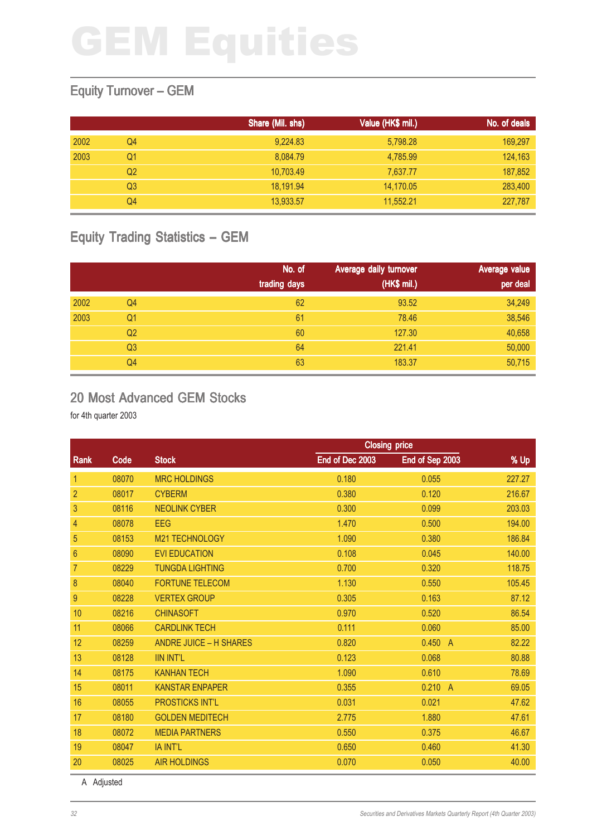#### Equity Turnover – GEM

|      |    | Share (Mil. shs) | Value (HK\$ mil.) | No. of deals |
|------|----|------------------|-------------------|--------------|
| 2002 | Q4 | 9,224.83         | 5,798.28          | 169,297      |
| 2003 | Q1 | 8,084.79         | 4,785.99          | 124,163      |
|      | Q2 | 10,703.49        | 7,637.77          | 187,852      |
|      | Q3 | 18,191.94        | 14,170.05         | 283,400      |
|      | Q4 | 13,933.57        | 11.552.21         | 227,787      |

#### Equity Trading Statistics – GEM

|      |                | No. of<br>trading days | Average daily turnover<br>(HK\$ mil.) | Average value<br>per deal |
|------|----------------|------------------------|---------------------------------------|---------------------------|
| 2002 | Q4             | 62                     | 93.52                                 | 34,249                    |
| 2003 | Q <sub>1</sub> | 61                     | 78.46                                 | 38,546                    |
|      | Q <sub>2</sub> | 60                     | 127.30                                | 40,658                    |
|      | Q <sub>3</sub> | 64                     | 221.41                                | 50,000                    |
|      | Q4             | 63                     | 183.37                                | 50,715                    |

#### 20 Most Advanced GEM Stocks

for 4th quarter 2003

|       |                               | <b>Closing price</b> |                 |        |  |
|-------|-------------------------------|----------------------|-----------------|--------|--|
| Code  | <b>Stock</b>                  | End of Dec 2003      | End of Sep 2003 | % Up   |  |
| 08070 | <b>MRC HOLDINGS</b>           | 0.180                | 0.055           | 227.27 |  |
| 08017 | <b>CYBERM</b>                 | 0.380                | 0.120           | 216.67 |  |
| 08116 | <b>NEOLINK CYBER</b>          | 0.300                | 0.099           | 203.03 |  |
| 08078 | <b>EEG</b>                    | 1.470                | 0.500           | 194.00 |  |
| 08153 | M21 TECHNOLOGY                | 1.090                | 0.380           | 186.84 |  |
| 08090 | <b>EVI EDUCATION</b>          | 0.108                | 0.045           | 140.00 |  |
| 08229 | <b>TUNGDA LIGHTING</b>        | 0.700                | 0.320           | 118.75 |  |
| 08040 | <b>FORTUNE TELECOM</b>        | 1.130                | 0.550           | 105.45 |  |
| 08228 | <b>VERTEX GROUP</b>           | 0.305                | 0.163           | 87.12  |  |
| 08216 | <b>CHINASOFT</b>              | 0.970                | 0.520           | 86.54  |  |
| 08066 | <b>CARDLINK TECH</b>          | 0.111                | 0.060           | 85.00  |  |
| 08259 | <b>ANDRE JUICE - H SHARES</b> | 0.820                | 0.450<br>- A    | 82.22  |  |
| 08128 | <b>IIN INT'L</b>              | 0.123                | 0.068           | 80.88  |  |
| 08175 | <b>KANHAN TECH</b>            | 1.090                | 0.610           | 78.69  |  |
| 08011 | <b>KANSTAR ENPAPER</b>        | 0.355                | 0.210<br>- A    | 69.05  |  |
| 08055 | <b>PROSTICKS INT'L</b>        | 0.031                | 0.021           | 47.62  |  |
| 08180 | <b>GOLDEN MEDITECH</b>        | 2.775                | 1.880           | 47.61  |  |
| 08072 | <b>MEDIA PARTNERS</b>         | 0.550                | 0.375           | 46.67  |  |
| 08047 | IA INT'L                      | 0.650                | 0.460           | 41.30  |  |
| 08025 | <b>AIR HOLDINGS</b>           | 0.070                | 0.050           | 40.00  |  |
|       |                               |                      |                 |        |  |

A Adjusted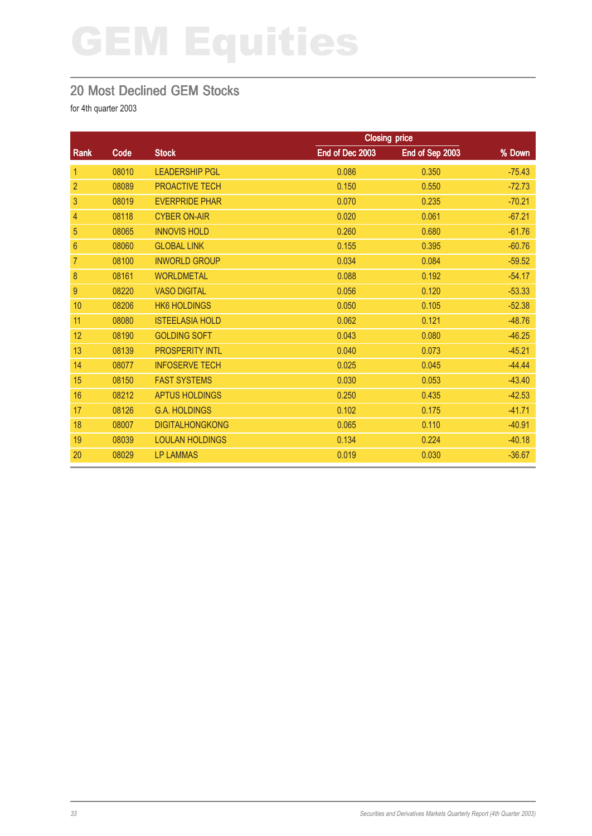#### 20 Most Declined GEM Stocks

|                |       |                        | <b>Closing price</b> |                 |          |
|----------------|-------|------------------------|----------------------|-----------------|----------|
| Rank           | Code  | <b>Stock</b>           | End of Dec 2003      | End of Sep 2003 | % Down   |
| $\mathbf{1}$   | 08010 | <b>LEADERSHIP PGL</b>  | 0.086                | 0.350           | $-75.43$ |
| $\overline{2}$ | 08089 | PROACTIVE TECH         | 0.150                | 0.550           | $-72.73$ |
| 3              | 08019 | <b>EVERPRIDE PHAR</b>  | 0.070                | 0.235           | $-70.21$ |
| 4              | 08118 | <b>CYBER ON-AIR</b>    | 0.020                | 0.061           | $-67.21$ |
| 5              | 08065 | <b>INNOVIS HOLD</b>    | 0.260                | 0.680           | $-61.76$ |
| $\overline{6}$ | 08060 | <b>GLOBAL LINK</b>     | 0.155                | 0.395           | $-60.76$ |
| 7              | 08100 | <b>INWORLD GROUP</b>   | 0.034                | 0.084           | $-59.52$ |
| 8              | 08161 | <b>WORLDMETAL</b>      | 0.088                | 0.192           | $-54.17$ |
| 9              | 08220 | <b>VASO DIGITAL</b>    | 0.056                | 0.120           | $-53.33$ |
| 10             | 08206 | <b>HK6 HOLDINGS</b>    | 0.050                | 0.105           | $-52.38$ |
| 11             | 08080 | <b>ISTEELASIA HOLD</b> | 0.062                | 0.121           | $-48.76$ |
| 12             | 08190 | <b>GOLDING SOFT</b>    | 0.043                | 0.080           | $-46.25$ |
| 13             | 08139 | <b>PROSPERITY INTL</b> | 0.040                | 0.073           | $-45.21$ |
| 14             | 08077 | <b>INFOSERVE TECH</b>  | 0.025                | 0.045           | $-44.44$ |
| 15             | 08150 | <b>FAST SYSTEMS</b>    | 0.030                | 0.053           | $-43.40$ |
| 16             | 08212 | <b>APTUS HOLDINGS</b>  | 0.250                | 0.435           | $-42.53$ |
| 17             | 08126 | <b>G.A. HOLDINGS</b>   | 0.102                | 0.175           | $-41.71$ |
| 18             | 08007 | <b>DIGITALHONGKONG</b> | 0.065                | 0.110           | $-40.91$ |
| 19             | 08039 | <b>LOULAN HOLDINGS</b> | 0.134                | 0.224           | $-40.18$ |
| 20             | 08029 | <b>LP LAMMAS</b>       | 0.019                | 0.030           | $-36.67$ |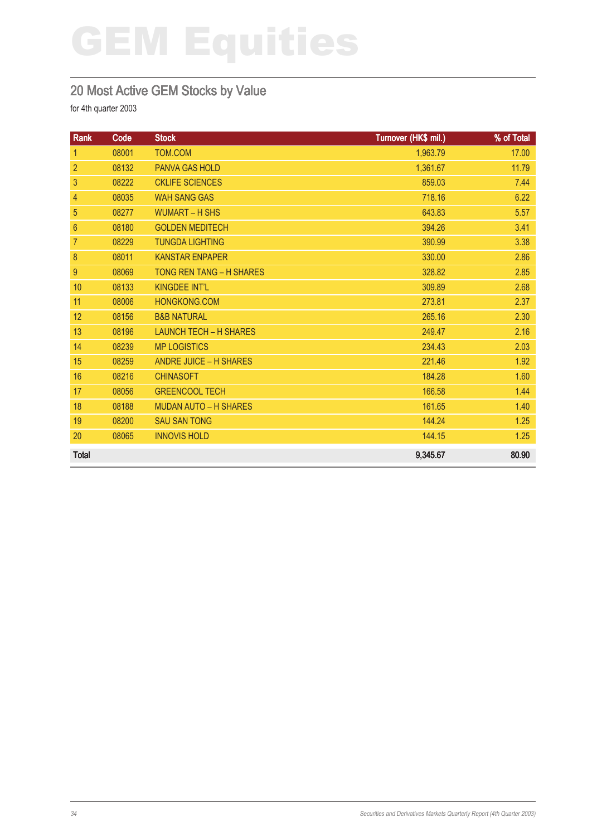#### 20 Most Active GEM Stocks by Value

| Rank           | Code  | <b>Stock</b>                    | Turnover (HK\$ mil.) | % of Total |
|----------------|-------|---------------------------------|----------------------|------------|
| 1              | 08001 | TOM.COM                         | 1,963.79             | 17.00      |
| $\overline{2}$ | 08132 | <b>PANVA GAS HOLD</b>           | 1,361.67             | 11.79      |
| 3              | 08222 | <b>CKLIFE SCIENCES</b>          | 859.03               | 7.44       |
| $\overline{4}$ | 08035 | <b>WAH SANG GAS</b>             | 718.16               | 6.22       |
| 5              | 08277 | <b>WUMART - H SHS</b>           | 643.83               | 5.57       |
| 6              | 08180 | <b>GOLDEN MEDITECH</b>          | 394.26               | 3.41       |
| 7              | 08229 | <b>TUNGDA LIGHTING</b>          | 390.99               | 3.38       |
| 8              | 08011 | <b>KANSTAR ENPAPER</b>          | 330.00               | 2.86       |
| 9              | 08069 | <b>TONG REN TANG - H SHARES</b> | 328.82               | 2.85       |
| 10             | 08133 | <b>KINGDEE INT'L</b>            | 309.89               | 2.68       |
| 11             | 08006 | HONGKONG.COM                    | 273.81               | 2.37       |
| 12             | 08156 | <b>B&amp;B NATURAL</b>          | 265.16               | 2.30       |
| 13             | 08196 | <b>LAUNCH TECH - H SHARES</b>   | 249.47               | 2.16       |
| 14             | 08239 | <b>MP LOGISTICS</b>             | 234.43               | 2.03       |
| 15             | 08259 | <b>ANDRE JUICE - H SHARES</b>   | 221.46               | 1.92       |
| 16             | 08216 | <b>CHINASOFT</b>                | 184.28               | 1.60       |
| 17             | 08056 | <b>GREENCOOL TECH</b>           | 166.58               | 1.44       |
| 18             | 08188 | <b>MUDAN AUTO - H SHARES</b>    | 161.65               | 1.40       |
| 19             | 08200 | <b>SAU SAN TONG</b>             | 144.24               | 1.25       |
| 20             | 08065 | <b>INNOVIS HOLD</b>             | 144.15               | 1.25       |
| <b>Total</b>   |       |                                 | 9,345.67             | 80.90      |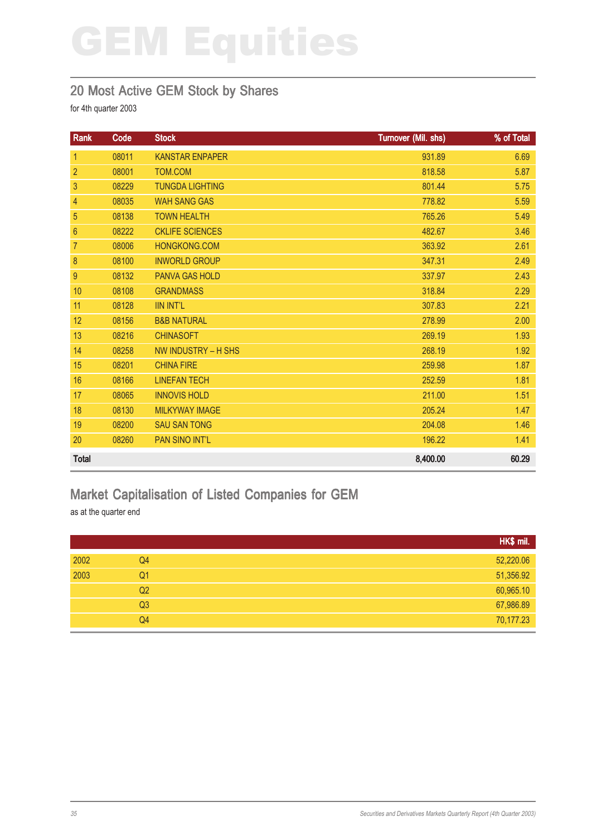#### 20 Most Active GEM Stock by Shares

for 4th quarter 2003

| Rank           | Code  | <b>Stock</b>           | Turnover (Mil. shs) | % of Total |
|----------------|-------|------------------------|---------------------|------------|
| $\mathbf{1}$   | 08011 | <b>KANSTAR ENPAPER</b> | 931.89              | 6.69       |
| $\overline{2}$ | 08001 | TOM.COM                | 818.58              | 5.87       |
| 3              | 08229 | <b>TUNGDA LIGHTING</b> | 801.44              | 5.75       |
| 4              | 08035 | <b>WAH SANG GAS</b>    | 778.82              | 5.59       |
| 5              | 08138 | <b>TOWN HEALTH</b>     | 765.26              | 5.49       |
| $6\phantom{1}$ | 08222 | <b>CKLIFE SCIENCES</b> | 482.67              | 3.46       |
| $\overline{7}$ | 08006 | HONGKONG.COM           | 363.92              | 2.61       |
| $\bf 8$        | 08100 | <b>INWORLD GROUP</b>   | 347.31              | 2.49       |
| 9              | 08132 | <b>PANVA GAS HOLD</b>  | 337.97              | 2.43       |
| 10             | 08108 | <b>GRANDMASS</b>       | 318.84              | 2.29       |
| 11             | 08128 | <b>IIN INT'L</b>       | 307.83              | 2.21       |
| 12             | 08156 | <b>B&amp;B NATURAL</b> | 278.99              | 2.00       |
| 13             | 08216 | <b>CHINASOFT</b>       | 269.19              | 1.93       |
| 14             | 08258 | NW INDUSTRY - H SHS    | 268.19              | 1.92       |
| 15             | 08201 | <b>CHINA FIRE</b>      | 259.98              | 1.87       |
| 16             | 08166 | <b>LINEFAN TECH</b>    | 252.59              | 1.81       |
| 17             | 08065 | <b>INNOVIS HOLD</b>    | 211.00              | 1.51       |
| 18             | 08130 | <b>MILKYWAY IMAGE</b>  | 205.24              | 1.47       |
| 19             | 08200 | <b>SAU SAN TONG</b>    | 204.08              | 1.46       |
| 20             | 08260 | <b>PAN SINO INT'L</b>  | 196.22              | 1.41       |
| <b>Total</b>   |       |                        | 8,400.00            | 60.29      |

#### Market Capitalisation of Listed Companies for GEM

as at the quarter end

|      |                | HK\$ mil. |
|------|----------------|-----------|
| 2002 | Q4             | 52,220.06 |
| 2003 | Q <sub>1</sub> | 51,356.92 |
|      | Q <sub>2</sub> | 60,965.10 |
|      | Q <sub>3</sub> | 67,986.89 |
|      | Q4             | 70,177.23 |
|      |                |           |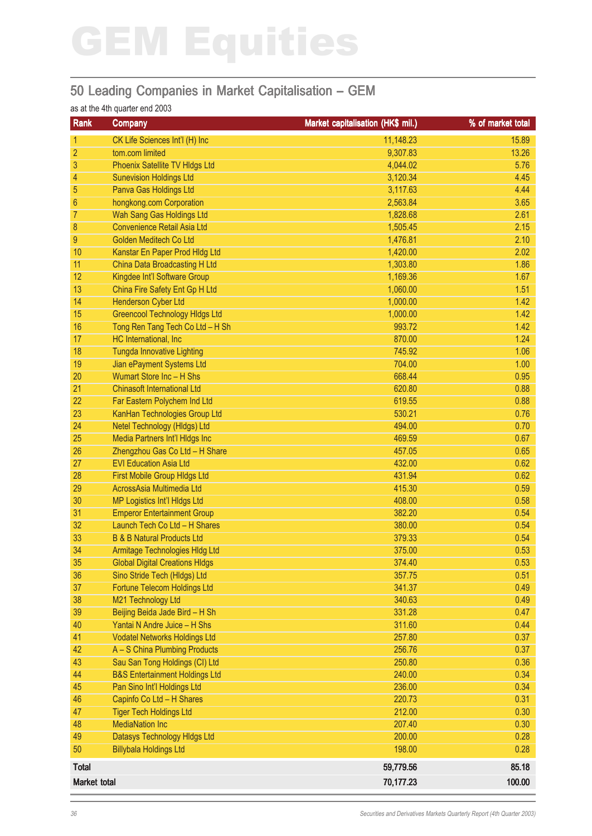#### 50 Leading Companies in Market Capitalisation – GEM

#### as at the 4th quarter end 2003

| Rank                | <b>Company</b>                            | Market capitalisation (HK\$ mil.) | % of market total |
|---------------------|-------------------------------------------|-----------------------------------|-------------------|
| 1                   | CK Life Sciences Int'l (H) Inc            | 11,148.23                         | 15.89             |
| $\overline{2}$      | tom.com limited                           | 9,307.83                          | 13.26             |
| 3                   | Phoenix Satellite TV Hldgs Ltd            | 4,044.02                          | 5.76              |
| 4                   | <b>Sunevision Holdings Ltd</b>            | 3,120.34                          | 4.45              |
| 5                   | Panva Gas Holdings Ltd                    | 3,117.63                          | 4.44              |
| 6                   | hongkong.com Corporation                  | 2,563.84                          | 3.65              |
| 7                   | Wah Sang Gas Holdings Ltd                 | 1,828.68                          | 2.61              |
| 8                   | <b>Convenience Retail Asia Ltd</b>        | 1,505.45                          | 2.15              |
| 9                   | Golden Meditech Co Ltd                    | 1,476.81                          | 2.10              |
| 10                  | Kanstar En Paper Prod Hldg Ltd            | 1,420.00                          | 2.02              |
| 11                  | China Data Broadcasting H Ltd             | 1,303.80                          | 1.86              |
| 12                  | Kingdee Int'l Software Group              | 1,169.36                          | 1.67              |
| 13                  | China Fire Safety Ent Gp H Ltd            | 1,060.00                          | 1.51              |
| 14                  | Henderson Cyber Ltd                       | 1,000.00                          | 1.42              |
| 15                  | <b>Greencool Technology Hidgs Ltd</b>     | 1,000.00                          | 1.42              |
| 16                  | Tong Ren Tang Tech Co Ltd - H Sh          | 993.72                            | 1.42              |
| 17                  | HC International, Inc.                    | 870.00                            | 1.24              |
| 18                  | <b>Tungda Innovative Lighting</b>         | 745.92                            | 1.06              |
| 19                  | Jian ePayment Systems Ltd                 | 704.00                            | 1.00              |
| 20                  | Wumart Store Inc - H Shs                  | 668.44                            | 0.95              |
| 21                  | <b>Chinasoft International Ltd</b>        | 620.80                            | 0.88              |
| 22                  | Far Eastern Polychem Ind Ltd              | 619.55                            | 0.88              |
| 23                  | KanHan Technologies Group Ltd             | 530.21                            | 0.76              |
| 24                  | Netel Technology (HIdgs) Ltd              | 494.00                            | 0.70              |
| 25                  | Media Partners Int'l HIdgs Inc            | 469.59                            | 0.67              |
| 26                  | Zhengzhou Gas Co Ltd - H Share            | 457.05                            | 0.65              |
| 27                  | <b>EVI Education Asia Ltd</b>             | 432.00                            | 0.62              |
| 28                  | First Mobile Group Hldgs Ltd              | 431.94                            | 0.62              |
| 29                  | AcrossAsia Multimedia Ltd                 | 415.30                            | 0.59              |
| 30                  | MP Logistics Int'l HIdgs Ltd              | 408.00                            | 0.58              |
| 31                  | <b>Emperor Entertainment Group</b>        | 382.20                            | 0.54              |
| 32                  | Launch Tech Co Ltd - H Shares             | 380.00                            | 0.54              |
| 33                  | <b>B &amp; B Natural Products Ltd</b>     | 379.33                            | 0.54              |
| 34                  | Armitage Technologies HIdg Ltd            | 375.00                            | 0.53              |
| 35                  | <b>Global Digital Creations HIdgs</b>     | 374.40                            | 0.53              |
| 36                  | Sino Stride Tech (Hldgs) Ltd              | 357.75                            | 0.51              |
| 37                  | Fortune Telecom Holdings Ltd              | 341.37                            | 0.49              |
| 38                  | M21 Technology Ltd                        | 340.63                            | 0.49              |
| 39                  | Beijing Beida Jade Bird - H Sh            | 331.28                            | 0.47              |
| 40                  | Yantai N Andre Juice - H Shs              | 311.60                            | 0.44              |
| 41                  | <b>Vodatel Networks Holdings Ltd</b>      | 257.80                            | 0.37              |
| 42                  | A - S China Plumbing Products             | 256.76                            | 0.37              |
| 43                  | Sau San Tong Holdings (CI) Ltd            | 250.80                            | 0.36              |
| 44                  | <b>B&amp;S Entertainment Holdings Ltd</b> | 240.00                            | 0.34              |
| 45                  | Pan Sino Int'l Holdings Ltd               | 236.00                            | 0.34              |
| 46                  | Capinfo Co Ltd - H Shares                 | 220.73                            | 0.31              |
| 47                  | <b>Tiger Tech Holdings Ltd</b>            | 212.00                            | 0.30              |
| 48                  | <b>MediaNation Inc</b>                    | 207.40                            | 0.30              |
| 49                  | Datasys Technology Hidgs Ltd              | 200.00                            | 0.28              |
| 50                  | <b>Billybala Holdings Ltd</b>             | 198.00                            | 0.28              |
| <b>Total</b>        |                                           | 59,779.56                         | 85.18             |
| <b>Market total</b> |                                           | 70,177.23                         | 100.00            |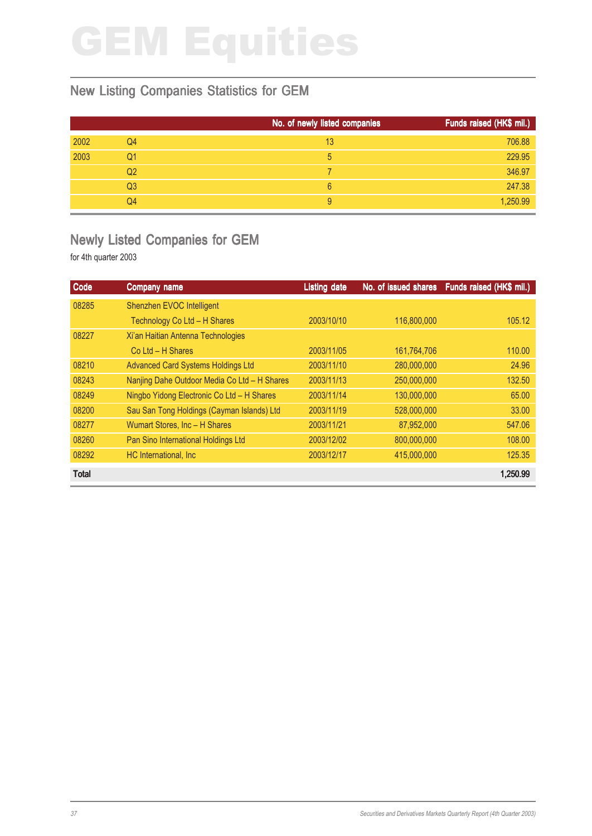#### New Listing Companies Statistics for GEM

|      |    | No. of newly listed companies | Funds raised (HK\$ mil.) |
|------|----|-------------------------------|--------------------------|
| 2002 | Q4 | 13                            | 706.88                   |
| 2003 | Q1 | 5                             | 229.95                   |
|      | Q2 |                               | 346.97                   |
|      | Q3 | 6                             | 247.38                   |
|      | Q4 | 9                             | 1,250.99                 |

#### Newly Listed Companies for GEM

| Code         | Company name                                 | <b>Listing date</b> | No. of issued shares | Funds raised (HK\$ mil.) |
|--------------|----------------------------------------------|---------------------|----------------------|--------------------------|
| 08285        | Shenzhen EVOC Intelligent                    |                     |                      |                          |
|              | Technology Co Ltd - H Shares                 | 2003/10/10          | 116,800,000          | 105.12                   |
| 08227        | Xi'an Haitian Antenna Technologies           |                     |                      |                          |
|              | $Co$ Ltd $- H$ Shares                        | 2003/11/05          | 161,764,706          | 110.00                   |
| 08210        | <b>Advanced Card Systems Holdings Ltd</b>    | 2003/11/10          | 280,000,000          | 24.96                    |
| 08243        | Nanjing Dahe Outdoor Media Co Ltd - H Shares | 2003/11/13          | 250,000,000          | 132.50                   |
| 08249        | Ningbo Yidong Electronic Co Ltd - H Shares   | 2003/11/14          | 130,000,000          | 65.00                    |
| 08200        | Sau San Tong Holdings (Cayman Islands) Ltd   | 2003/11/19          | 528,000,000          | 33.00                    |
| 08277        | Wumart Stores, Inc - H Shares                | 2003/11/21          | 87,952,000           | 547.06                   |
| 08260        | Pan Sino International Holdings Ltd          | 2003/12/02          | 800,000,000          | 108.00                   |
| 08292        | HC International, Inc.                       | 2003/12/17          | 415,000,000          | 125.35                   |
| <b>Total</b> |                                              |                     |                      | 1,250.99                 |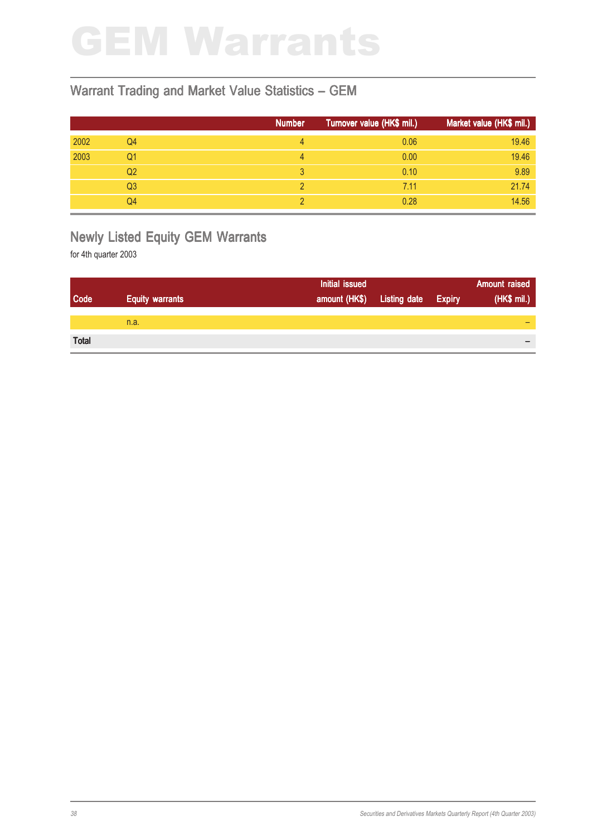### GEM Warrants

#### Warrant Trading and Market Value Statistics – GEM

|      |    | <b>Number</b> | Turnover value (HK\$ mil.) | Market value (HK\$ mil.) |
|------|----|---------------|----------------------------|--------------------------|
| 2002 | Q4 | 4             | 0.06                       | 19.46                    |
| 2003 | Q1 | 4             | 0.00                       | 19.46                    |
|      | Q2 |               | 0.10                       | 9.89                     |
|      | Q3 |               | 7.11                       | 21.74                    |
|      | Q4 |               | 0.28                       | 14.56                    |

#### Newly Listed Equity GEM Warrants

|              |                        | Initial issued |                     |               | <b>Amount raised</b> |
|--------------|------------------------|----------------|---------------------|---------------|----------------------|
| Code         | <b>Equity warrants</b> | amount (HK\$)  | <b>Listing date</b> | <b>Expiry</b> | (HK\$ mil.)          |
|              |                        |                |                     |               |                      |
|              | n.a.                   |                |                     |               |                      |
| <b>Total</b> |                        |                |                     |               |                      |
|              |                        |                |                     |               | $\,$                 |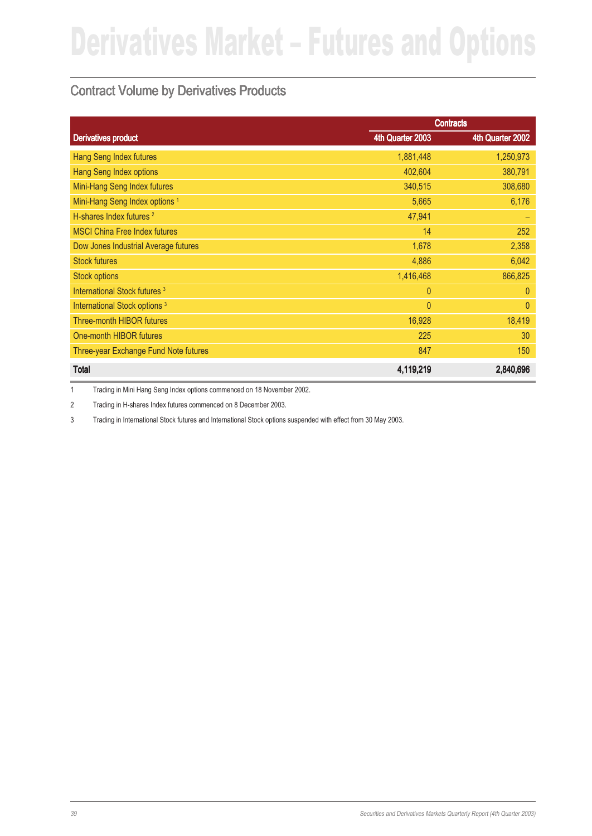#### Contract Volume by Derivatives Products

|                                           | <b>Contracts</b> |                  |
|-------------------------------------------|------------------|------------------|
| <b>Derivatives product</b>                | 4th Quarter 2003 | 4th Quarter 2002 |
| <b>Hang Seng Index futures</b>            | 1,881,448        | 1,250,973        |
| <b>Hang Seng Index options</b>            | 402,604          | 380,791          |
| Mini-Hang Seng Index futures              | 340,515          | 308,680          |
| Mini-Hang Seng Index options <sup>1</sup> | 5,665            | 6,176            |
| H-shares Index futures <sup>2</sup>       | 47,941           |                  |
| <b>MSCI China Free Index futures</b>      | 14               | 252              |
| Dow Jones Industrial Average futures      | 1,678            | 2,358            |
| <b>Stock futures</b>                      | 4,886            | 6,042            |
| <b>Stock options</b>                      | 1,416,468        | 866,825          |
| International Stock futures <sup>3</sup>  | $\overline{0}$   | $\theta$         |
| International Stock options <sup>3</sup>  | $\overline{0}$   | $\overline{0}$   |
| <b>Three-month HIBOR futures</b>          | 16,928           | 18,419           |
| One-month HIBOR futures                   | 225              | 30               |
| Three-year Exchange Fund Note futures     | 847              | 150              |
| <b>Total</b>                              | 4,119,219        | 2,840,696        |

1 Trading in Mini Hang Seng Index options commenced on 18 November 2002.

2 Trading in H-shares Index futures commenced on 8 December 2003.

3 Trading in International Stock futures and International Stock options suspended with effect from 30 May 2003.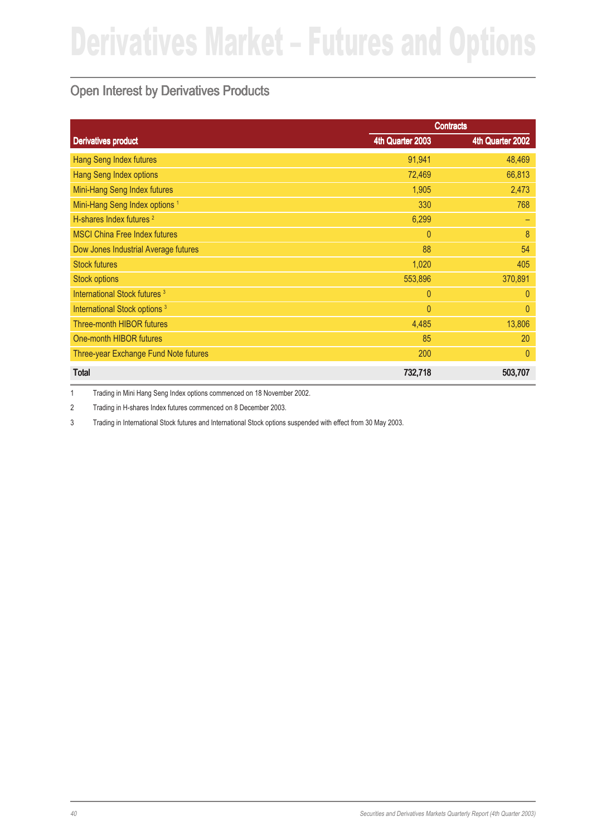#### Open Interest by Derivatives Products

|                                           | <b>Contracts</b> |                  |
|-------------------------------------------|------------------|------------------|
| <b>Derivatives product</b>                | 4th Quarter 2003 | 4th Quarter 2002 |
| Hang Seng Index futures                   | 91,941           | 48,469           |
| <b>Hang Seng Index options</b>            | 72,469           | 66,813           |
| Mini-Hang Seng Index futures              | 1,905            | 2,473            |
| Mini-Hang Seng Index options <sup>1</sup> | 330              | 768              |
| H-shares Index futures <sup>2</sup>       | 6,299            |                  |
| <b>MSCI China Free Index futures</b>      | $\overline{0}$   | 8                |
| Dow Jones Industrial Average futures      | 88               | 54               |
| <b>Stock futures</b>                      | 1,020            | 405              |
| <b>Stock options</b>                      | 553,896          | 370,891          |
| International Stock futures <sup>3</sup>  | $\overline{0}$   | $\theta$         |
| International Stock options <sup>3</sup>  | $\overline{0}$   | $\overline{0}$   |
| <b>Three-month HIBOR futures</b>          | 4,485            | 13,806           |
| One-month HIBOR futures                   | 85               | 20               |
| Three-year Exchange Fund Note futures     | 200              | $\theta$         |
| <b>Total</b>                              | 732,718          | 503,707          |

1 Trading in Mini Hang Seng Index options commenced on 18 November 2002.

2 Trading in H-shares Index futures commenced on 8 December 2003.

3 Trading in International Stock futures and International Stock options suspended with effect from 30 May 2003.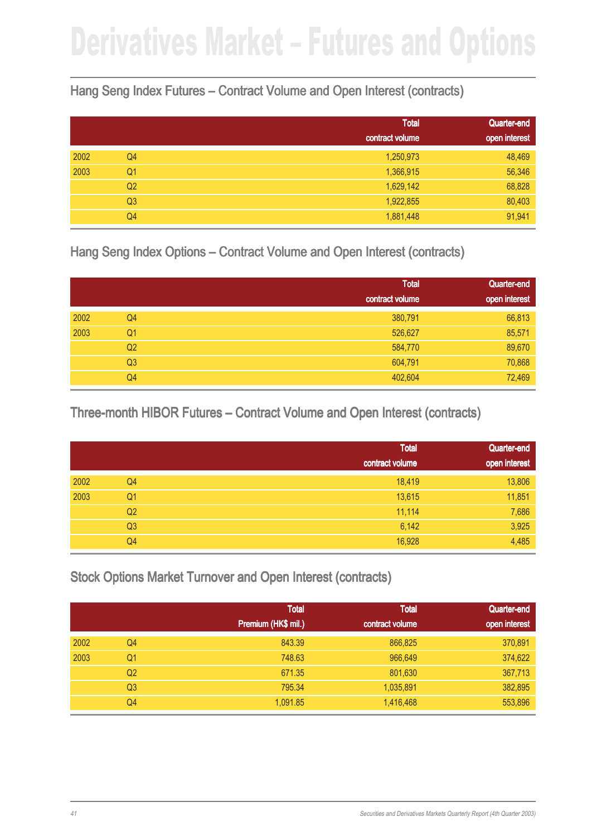#### Hang Seng Index Futures – Contract Volume and Open Interest (contracts)

|      |                | <b>Total</b>    | Quarter-end   |
|------|----------------|-----------------|---------------|
|      |                | contract volume | open interest |
| 2002 | Q4             | 1,250,973       | 48,469        |
| 2003 | Q <sub>1</sub> | 1,366,915       | 56,346        |
|      | Q <sub>2</sub> | 1,629,142       | 68,828        |
|      | Q <sub>3</sub> | 1,922,855       | 80,403        |
|      | Q4             | 1,881,448       | 91,941        |

Hang Seng Index Options – Contract Volume and Open Interest (contracts)

|      |                | <b>Total</b><br>contract volume | Quarter-end<br>open interest |
|------|----------------|---------------------------------|------------------------------|
| 2002 | Q4             | 380,791                         | 66,813                       |
| 2003 | Q <sub>1</sub> | 526,627                         | 85,571                       |
|      | Q <sub>2</sub> | 584,770                         | 89,670                       |
|      | Q <sub>3</sub> | 604,791                         | 70,868                       |
|      | Q4             | 402,604                         | 72,469                       |

Three-month HIBOR Futures – Contract Volume and Open Interest (contracts)

|      |                | <b>Total</b>    | Quarter-end   |
|------|----------------|-----------------|---------------|
|      |                | contract volume | open interest |
| 2002 | Q4             | 18,419          | 13,806        |
| 2003 | Q <sub>1</sub> | 13,615          | 11,851        |
|      | Q <sub>2</sub> | 11,114          | 7,686         |
|      | Q <sub>3</sub> | 6,142           | 3,925         |
|      | Q4             | 16,928          | 4,485         |

Stock Options Market Turnover and Open Interest (contracts)

|      |                | <b>Total</b>        | <b>Total</b>    | Quarter-end   |
|------|----------------|---------------------|-----------------|---------------|
|      |                | Premium (HK\$ mil.) | contract volume | open interest |
| 2002 | Q4             | 843.39              | 866,825         | 370,891       |
| 2003 | Q1             | 748.63              | 966,649         | 374,622       |
|      | Q <sub>2</sub> | 671.35              | 801,630         | 367,713       |
|      | Q <sub>3</sub> | 795.34              | 1,035,891       | 382,895       |
|      | Q4             | 1,091.85            | 1,416,468       | 553,896       |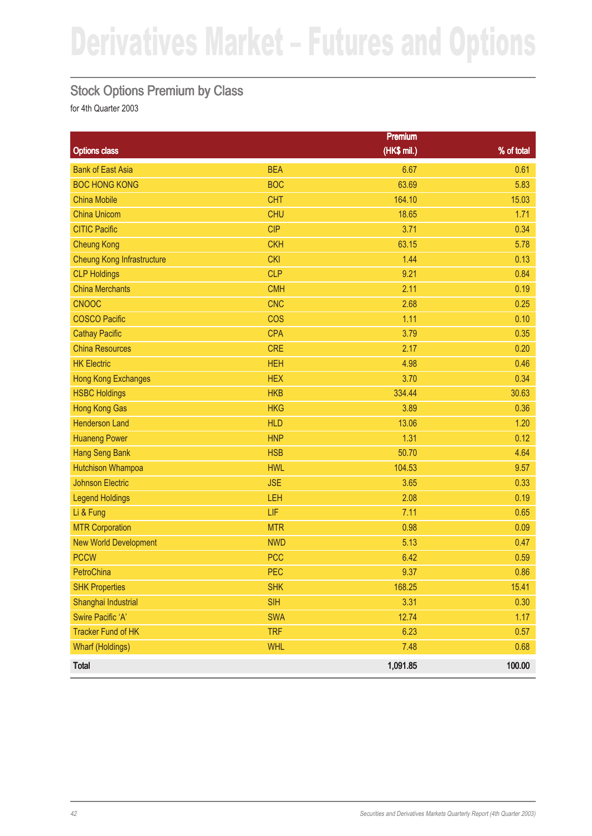#### Stock Options Premium by Class

|                                   |            | <b>Premium</b> |            |
|-----------------------------------|------------|----------------|------------|
| <b>Options class</b>              |            | (HK\$ mil.)    | % of total |
| <b>Bank of East Asia</b>          | <b>BEA</b> | 6.67           | 0.61       |
| <b>BOC HONG KONG</b>              | <b>BOC</b> | 63.69          | 5.83       |
| <b>China Mobile</b>               | <b>CHT</b> | 164.10         | 15.03      |
| <b>China Unicom</b>               | <b>CHU</b> | 18.65          | 1.71       |
| <b>CITIC Pacific</b>              | <b>CIP</b> | 3.71           | 0.34       |
| <b>Cheung Kong</b>                | <b>CKH</b> | 63.15          | 5.78       |
| <b>Cheung Kong Infrastructure</b> | <b>CKI</b> | 1.44           | 0.13       |
| <b>CLP Holdings</b>               | <b>CLP</b> | 9.21           | 0.84       |
| <b>China Merchants</b>            | <b>CMH</b> | 2.11           | 0.19       |
| <b>CNOOC</b>                      | <b>CNC</b> | 2.68           | 0.25       |
| <b>COSCO Pacific</b>              | <b>COS</b> | 1.11           | 0.10       |
| <b>Cathay Pacific</b>             | <b>CPA</b> | 3.79           | 0.35       |
| <b>China Resources</b>            | <b>CRE</b> | 2.17           | 0.20       |
| <b>HK Electric</b>                | <b>HEH</b> | 4.98           | 0.46       |
| <b>Hong Kong Exchanges</b>        | <b>HEX</b> | 3.70           | 0.34       |
| <b>HSBC Holdings</b>              | <b>HKB</b> | 334.44         | 30.63      |
| <b>Hong Kong Gas</b>              | <b>HKG</b> | 3.89           | 0.36       |
| <b>Henderson Land</b>             | <b>HLD</b> | 13.06          | 1.20       |
| <b>Huaneng Power</b>              | <b>HNP</b> | 1.31           | 0.12       |
| <b>Hang Seng Bank</b>             | <b>HSB</b> | 50.70          | 4.64       |
| <b>Hutchison Whampoa</b>          | <b>HWL</b> | 104.53         | 9.57       |
| <b>Johnson Electric</b>           | <b>JSE</b> | 3.65           | 0.33       |
| <b>Legend Holdings</b>            | LEH        | 2.08           | 0.19       |
| Li & Fung                         | LIF        | 7.11           | 0.65       |
| <b>MTR Corporation</b>            | <b>MTR</b> | 0.98           | 0.09       |
| <b>New World Development</b>      | <b>NWD</b> | 5.13           | 0.47       |
| <b>PCCW</b>                       | <b>PCC</b> | 6.42           | 0.59       |
| PetroChina                        | PEC        | 9.37           | 0.86       |
| <b>SHK Properties</b>             | <b>SHK</b> | 168.25         | 15.41      |
| Shanghai Industrial               | <b>SIH</b> | 3.31           | 0.30       |
| Swire Pacific 'A'                 | <b>SWA</b> | 12.74          | 1.17       |
| <b>Tracker Fund of HK</b>         | <b>TRF</b> | 6.23           | 0.57       |
| <b>Wharf (Holdings)</b>           | <b>WHL</b> | 7.48           | 0.68       |
| <b>Total</b>                      |            | 1,091.85       | 100.00     |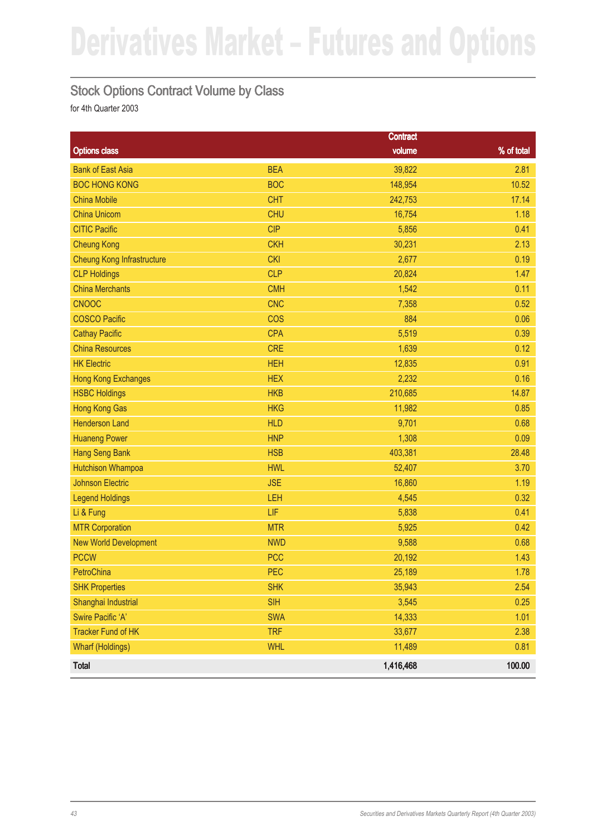#### Stock Options Contract Volume by Class

|                                   |            | <b>Contract</b> |            |
|-----------------------------------|------------|-----------------|------------|
| <b>Options class</b>              |            | volume          | % of total |
| <b>Bank of East Asia</b>          | <b>BEA</b> | 39,822          | 2.81       |
| <b>BOC HONG KONG</b>              | <b>BOC</b> | 148,954         | 10.52      |
| <b>China Mobile</b>               | <b>CHT</b> | 242,753         | 17.14      |
| <b>China Unicom</b>               | <b>CHU</b> | 16,754          | 1.18       |
| <b>CITIC Pacific</b>              | <b>CIP</b> | 5,856           | 0.41       |
| <b>Cheung Kong</b>                | <b>CKH</b> | 30,231          | 2.13       |
| <b>Cheung Kong Infrastructure</b> | <b>CKI</b> | 2,677           | 0.19       |
| <b>CLP Holdings</b>               | <b>CLP</b> | 20,824          | 1.47       |
| <b>China Merchants</b>            | <b>CMH</b> | 1,542           | 0.11       |
| <b>CNOOC</b>                      | <b>CNC</b> | 7,358           | 0.52       |
| <b>COSCO Pacific</b>              | <b>COS</b> | 884             | 0.06       |
| <b>Cathay Pacific</b>             | <b>CPA</b> | 5,519           | 0.39       |
| <b>China Resources</b>            | <b>CRE</b> | 1,639           | 0.12       |
| <b>HK Electric</b>                | <b>HEH</b> | 12,835          | 0.91       |
| <b>Hong Kong Exchanges</b>        | <b>HEX</b> | 2,232           | 0.16       |
| <b>HSBC Holdings</b>              | <b>HKB</b> | 210,685         | 14.87      |
| <b>Hong Kong Gas</b>              | <b>HKG</b> | 11,982          | 0.85       |
| <b>Henderson Land</b>             | <b>HLD</b> | 9,701           | 0.68       |
| <b>Huaneng Power</b>              | <b>HNP</b> | 1,308           | 0.09       |
| <b>Hang Seng Bank</b>             | <b>HSB</b> | 403,381         | 28.48      |
| <b>Hutchison Whampoa</b>          | <b>HWL</b> | 52,407          | 3.70       |
| <b>Johnson Electric</b>           | <b>JSE</b> | 16,860          | 1.19       |
| <b>Legend Holdings</b>            | LEH        | 4,545           | 0.32       |
| Li & Fung                         | LIF        | 5,838           | 0.41       |
| <b>MTR Corporation</b>            | <b>MTR</b> | 5,925           | 0.42       |
| <b>New World Development</b>      | <b>NWD</b> | 9,588           | 0.68       |
| <b>PCCW</b>                       | <b>PCC</b> | 20,192          | 1.43       |
| PetroChina                        | PEC        | 25,189          | 1.78       |
| <b>SHK Properties</b>             | <b>SHK</b> | 35,943          | 2.54       |
| Shanghai Industrial               | <b>SIH</b> | 3,545           | 0.25       |
| Swire Pacific 'A'                 | <b>SWA</b> | 14,333          | 1.01       |
| <b>Tracker Fund of HK</b>         | <b>TRF</b> | 33,677          | 2.38       |
| <b>Wharf (Holdings)</b>           | <b>WHL</b> | 11,489          | 0.81       |
| <b>Total</b>                      |            | 1,416,468       | 100.00     |